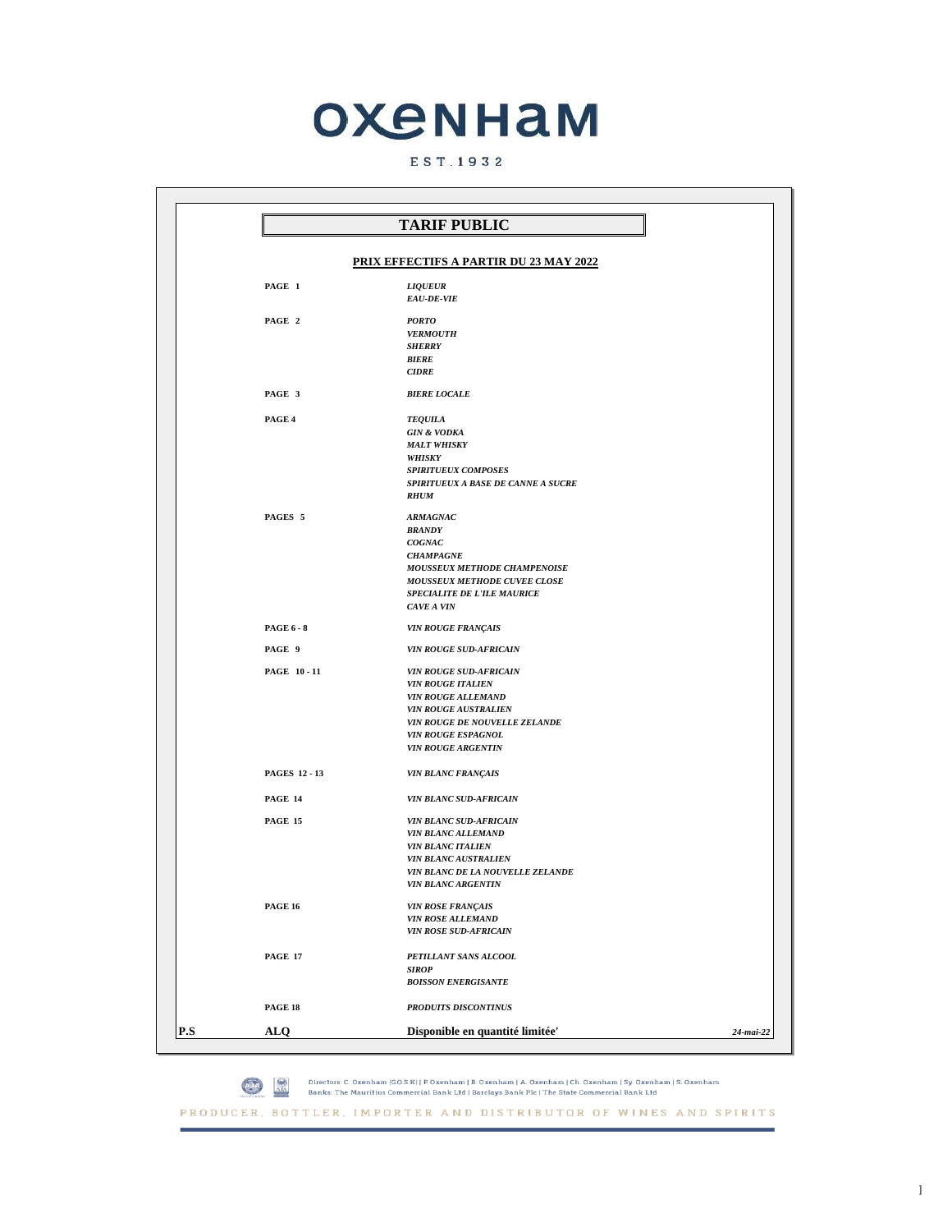## **ОХЕННАМ**

## EST. 1932

| <b>TARIF PUBLIC</b>                                               |  |
|-------------------------------------------------------------------|--|
| <b>PRIX EFFECTIFS A PARTIR DU 23 MAY 2022</b>                     |  |
|                                                                   |  |
| PAGE 1<br><b>LIQUEUR</b>                                          |  |
| EAU-DE-VIE                                                        |  |
| PAGE 2<br><b>PORTO</b>                                            |  |
| <b>VERMOUTH</b>                                                   |  |
| <b>SHERRY</b>                                                     |  |
| <b>BIERE</b><br><b>CIDRE</b>                                      |  |
|                                                                   |  |
| PAGE 3<br><b>BIERE LOCALE</b>                                     |  |
|                                                                   |  |
| PAGE 4<br><b>TEQUILA</b><br><b>GIN &amp; VODKA</b>                |  |
| <b>MALT WHISKY</b>                                                |  |
| WHISKY                                                            |  |
| SPIRITUEUX COMPOSES                                               |  |
| SPIRITUEUX A BASE DE CANNE A SUCRE                                |  |
| <b>RHUM</b>                                                       |  |
| PAGES 5<br><b>ARMAGNAC</b>                                        |  |
| <b>BRANDY</b>                                                     |  |
| COGNAC                                                            |  |
| <b>CHAMPAGNE</b>                                                  |  |
| MOUSSEUX METHODE CHAMPENOISE<br>MOUSSEUX METHODE CUVEE CLOSE      |  |
| <b>SPECIALITE DE L'ILE MAURICE</b>                                |  |
| CAVE A VIN                                                        |  |
|                                                                   |  |
| <b>PAGE 6 - 8</b><br>VIN ROUGE FRANÇAIS                           |  |
| PAGE 9<br><b>VIN ROUGE SUD-AFRICAIN</b>                           |  |
| PAGE 10-11<br><b>VIN ROUGE SUD-AFRICAIN</b>                       |  |
| <b>VIN ROUGE ITALIEN</b>                                          |  |
| VIN ROUGE ALLEMAND                                                |  |
| <b>VIN ROUGE AUSTRALIEN</b>                                       |  |
| VIN ROUGE DE NOUVELLE ZELANDE                                     |  |
| <b>VIN ROUGE ESPAGNOL</b><br><b>VIN ROUGE ARGENTIN</b>            |  |
|                                                                   |  |
| <b>PAGES 12 - 13</b><br><b>VIN BLANC FRANÇAIS</b>                 |  |
|                                                                   |  |
| <b>PAGE 14</b><br><b>VIN BLANC SUD-AFRICAIN</b>                   |  |
| <b>PAGE 15</b><br><b>VIN BLANC SUD-AFRICAIN</b>                   |  |
| VIN BLANC ALLEMAND                                                |  |
| <b>VIN BLANC ITALIEN</b>                                          |  |
| <b>VIN BLANC AUSTRALIEN</b><br>VIN BLANC DE LA NOUVELLE ZELANDE   |  |
| <b>VIN BLANC ARGENTIN</b>                                         |  |
|                                                                   |  |
| <b>PAGE 16</b><br><b>VIN ROSE FRANÇAIS</b><br>VIN ROSE ALLEMAND   |  |
| <b>VIN ROSE SUD-AFRICAIN</b>                                      |  |
|                                                                   |  |
| <b>PAGE 17</b><br>PETILLANT SANS ALCOOL                           |  |
| <b>SIROP</b>                                                      |  |
| <b>BOISSON ENERGISANTE</b>                                        |  |
| PAGE 18<br><b>PRODUITS DISCONTINUS</b>                            |  |
|                                                                   |  |
| P.S<br>Disponible en quantité limitée'<br><b>ALQ</b><br>24-mai-22 |  |

PRODUCER, BOTTLER, IMPORTER AND DISTRIBUTOR OF WINES AND SPIRITS

Directors: C. Oxenham (G.O.S.K) | P. Oxenham | B. Oxenham | A. Oxenham | Ch. Oxenham | Sy. Oxenham | S. Oxenham<br>Banks: The Mauritius Commercial Bank Ltd | Barclays Bank Plc | The State Commercial Bank Ltd ◎ ☆

 $\,$   $\,$   $\,$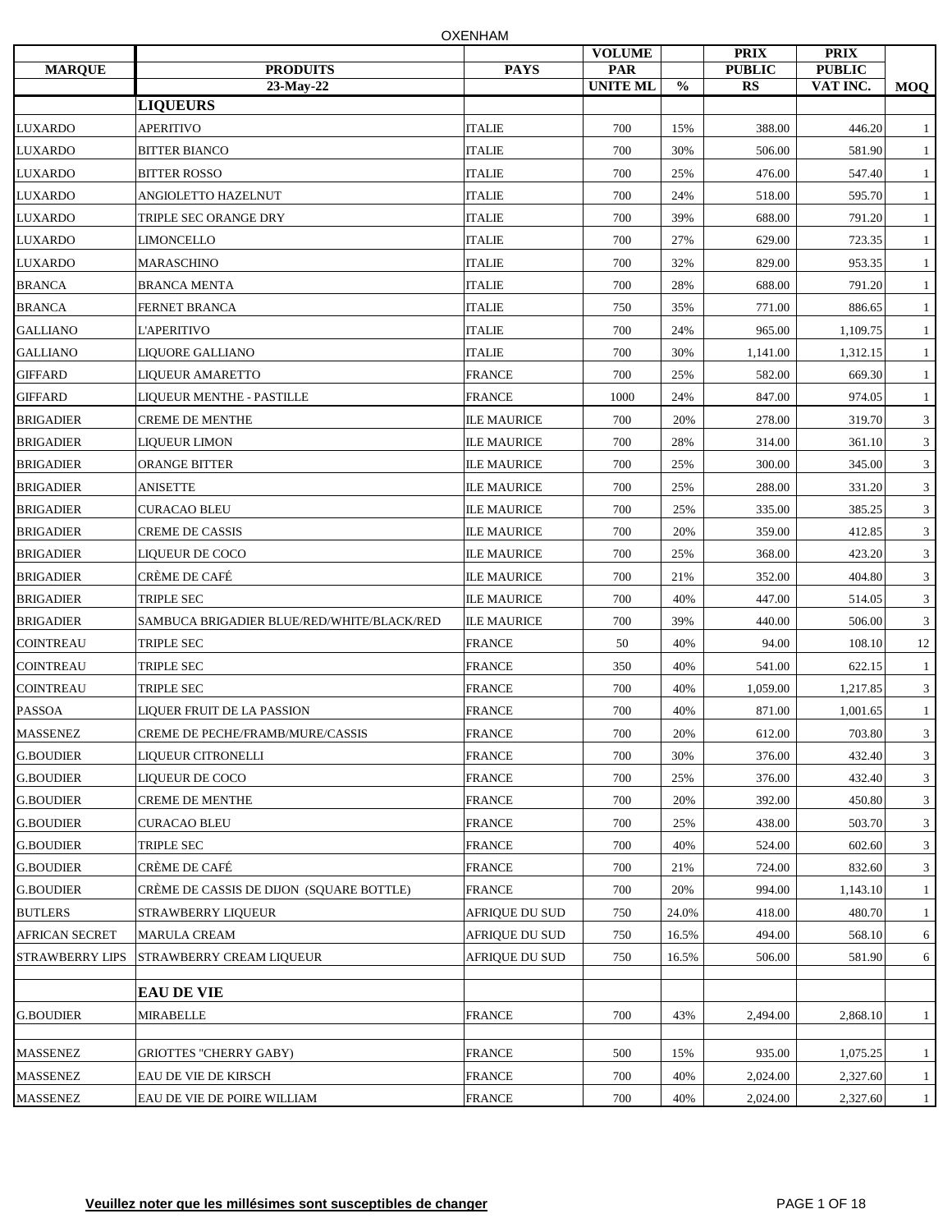| <b>MARQUE</b>          | <b>PRODUITS</b>                            | <b>PAYS</b>        | <b>VOLUME</b><br>PAR |               | <b>PRIX</b><br><b>PUBLIC</b> | <b>PRIX</b><br><b>PUBLIC</b> |              |
|------------------------|--------------------------------------------|--------------------|----------------------|---------------|------------------------------|------------------------------|--------------|
|                        | 23-May-22                                  |                    | <b>UNITE ML</b>      | $\frac{0}{0}$ | <b>RS</b>                    | VAT INC.                     | <b>MOQ</b>   |
|                        | <b>LIQUEURS</b>                            |                    |                      |               |                              |                              |              |
| <b>LUXARDO</b>         | <b>APERITIVO</b>                           | <b>ITALIE</b>      | 700                  | 15%           | 388.00                       | 446.20                       | -1           |
| <b>LUXARDO</b>         | <b>BITTER BIANCO</b>                       | $\sf ITALIE$       | 700                  | 30%           | 506.00                       | 581.90                       | -1           |
| <b>LUXARDO</b>         | <b>BITTER ROSSO</b>                        | <b>ITALIE</b>      | 700                  | 25%           | 476.00                       | 547.40                       | -1           |
| <b>LUXARDO</b>         | ANGIOLETTO HAZELNUT                        | <b>ITALIE</b>      | 700                  | 24%           | 518.00                       | 595.70                       | -1           |
| <b>LUXARDO</b>         | <b>TRIPLE SEC ORANGE DRY</b>               | <b>ITALIE</b>      | 700                  | 39%           | 688.00                       | 791.20                       | -1           |
| <b>LUXARDO</b>         | LIMONCELLO                                 | <b>ITALIE</b>      | 700                  | 27%           | 629.00                       | 723.35                       | -1           |
| <b>LUXARDO</b>         | MARASCHINO                                 | <b>ITALIE</b>      | 700                  | 32%           | 829.00                       | 953.35                       | -1           |
| <b>BRANCA</b>          | <b>BRANCA MENTA</b>                        | <b>ITALIE</b>      | 700                  | 28%           | 688.00                       | 791.20                       | -1           |
| <b>BRANCA</b>          | <b>FERNET BRANCA</b>                       | <b>ITALIE</b>      | 750                  | 35%           | 771.00                       | 886.65                       | -1           |
| <b>GALLIANO</b>        | <b>L'APERITIVO</b>                         | <b>ITALIE</b>      | 700                  | 24%           | 965.00                       | 1,109.75                     | -1           |
| <b>GALLIANO</b>        | LIQUORE GALLIANO                           | <b>ITALIE</b>      | 700                  | 30%           | 1,141.00                     | 1,312.15                     | -1           |
| <b>GIFFARD</b>         | LIQUEUR AMARETTO                           | <b>FRANCE</b>      | 700                  | 25%           | 582.00                       | 669.30                       | -1           |
| <b>GIFFARD</b>         | LIQUEUR MENTHE - PASTILLE                  | FRANCE             | 1000                 | 24%           | 847.00                       | 974.05                       | -1           |
| <b>BRIGADIER</b>       | <b>CREME DE MENTHE</b>                     | <b>ILE MAURICE</b> | 700                  | 20%           | 278.00                       | 319.70                       | 3            |
| <b>BRIGADIER</b>       | LIQUEUR LIMON                              | <b>ILE MAURICE</b> | 700                  | 28%           | 314.00                       | 361.10                       | 3            |
| <b>BRIGADIER</b>       | <b>ORANGE BITTER</b>                       | <b>ILE MAURICE</b> | 700                  | 25%           | 300.00                       | 345.00                       | 3            |
| <b>BRIGADIER</b>       | <b>ANISETTE</b>                            | <b>ILE MAURICE</b> | 700                  | 25%           | 288.00                       | 331.20                       | 3            |
| <b>BRIGADIER</b>       | <b>CURACAO BLEU</b>                        | <b>ILE MAURICE</b> | 700                  | 25%           | 335.00                       | 385.25                       | 3            |
| <b>BRIGADIER</b>       | <b>CREME DE CASSIS</b>                     | <b>ILE MAURICE</b> | 700                  | 20%           | 359.00                       | 412.85                       | 3            |
| <b>BRIGADIER</b>       | LIQUEUR DE COCO                            | <b>ILE MAURICE</b> | 700                  | 25%           | 368.00                       | 423.20                       | 3            |
| <b>BRIGADIER</b>       | CRÈME DE CAFÉ                              | <b>ILE MAURICE</b> | 700                  | 21%           | 352.00                       | 404.80                       | 3            |
| <b>BRIGADIER</b>       | <b>TRIPLE SEC</b>                          | <b>ILE MAURICE</b> | 700                  | 40%           | 447.00                       | 514.05                       | 3            |
| <b>BRIGADIER</b>       | SAMBUCA BRIGADIER BLUE/RED/WHITE/BLACK/RED | <b>ILE MAURICE</b> | 700                  | 39%           | 440.00                       | 506.00                       | 3            |
| <b>COINTREAU</b>       | <b>TRIPLE SEC</b>                          | <b>FRANCE</b>      | 50                   | 40%           | 94.00                        | 108.10                       | 12           |
| <b>COINTREAU</b>       | <b>TRIPLE SEC</b>                          | FRANCE             | 350                  | 40%           | 541.00                       | 622.15                       | -1           |
| <b>COINTREAU</b>       | <b>TRIPLE SEC</b>                          | <b>FRANCE</b>      | 700                  | 40%           | 1,059.00                     | 1,217.85                     | 3            |
| <b>PASSOA</b>          | LIQUER FRUIT DE LA PASSION                 | <b>FRANCE</b>      | 700                  | 40%           | 871.00                       | 1,001.65                     | $\mathbf{1}$ |
| <b>MASSENEZ</b>        | CREME DE PECHE/FRAMB/MURE/CASSIS           | <b>FRANCE</b>      | 700                  | 20%           | 612.00                       | 703.80                       | 3            |
| <b>G.BOUDIER</b>       | LIQUEUR CITRONELLI                         | <b>FRANCE</b>      | 700                  | 30%           | 376.00                       | 432.40                       | 3            |
| <b>G.BOUDIER</b>       | LIQUEUR DE COCO                            | <b>FRANCE</b>      | 700                  | 25%           | 376.00                       | 432.40                       | 3            |
| <b>G.BOUDIER</b>       | <b>CREME DE MENTHE</b>                     | <b>FRANCE</b>      | 700                  | 20%           | 392.00                       | 450.80                       | 3            |
| <b>G.BOUDIER</b>       | <b>CURACAO BLEU</b>                        | <b>FRANCE</b>      | 700                  | 25%           | 438.00                       | 503.70                       | 3            |
| <b>G.BOUDIER</b>       | TRIPLE SEC                                 | <b>FRANCE</b>      | 700                  | 40%           | 524.00                       | 602.60                       | 3            |
| <b>G.BOUDIER</b>       | CRÈME DE CAFÉ                              | <b>FRANCE</b>      | 700                  | 21%           | 724.00                       | 832.60                       | 3            |
| <b>G.BOUDIER</b>       | CRÈME DE CASSIS DE DIJON (SQUARE BOTTLE)   | <b>FRANCE</b>      | 700                  | 20%           | 994.00                       | 1,143.10                     | -1           |
| <b>BUTLERS</b>         | STRAWBERRY LIQUEUR                         | AFRIQUE DU SUD     | 750                  | 24.0%         | 418.00                       | 480.70                       | -1           |
| <b>AFRICAN SECRET</b>  | <b>MARULA CREAM</b>                        | AFRIQUE DU SUD     | 750                  | 16.5%         | 494.00                       | 568.10                       | 6            |
| <b>STRAWBERRY LIPS</b> | STRAWBERRY CREAM LIQUEUR                   | AFRIQUE DU SUD     | 750                  | 16.5%         | 506.00                       | 581.90                       | 6            |
|                        |                                            |                    |                      |               |                              |                              |              |
|                        | <b>EAU DE VIE</b>                          |                    |                      |               |                              |                              |              |
| <b>G.BOUDIER</b>       | <b>MIRABELLE</b>                           | <b>FRANCE</b>      | 700                  | 43%           | 2,494.00                     | 2,868.10                     | -1           |
| <b>MASSENEZ</b>        | <b>GRIOTTES "CHERRY GABY)</b>              | <b>FRANCE</b>      | 500                  | 15%           | 935.00                       | 1,075.25                     | -1           |
| <b>MASSENEZ</b>        | EAU DE VIE DE KIRSCH                       | <b>FRANCE</b>      | 700                  | 40%           | 2,024.00                     | 2,327.60                     | -1           |
| <b>MASSENEZ</b>        | EAU DE VIE DE POIRE WILLIAM                | <b>FRANCE</b>      | 700                  | 40%           | 2,024.00                     | 2,327.60                     | $\mathbf{1}$ |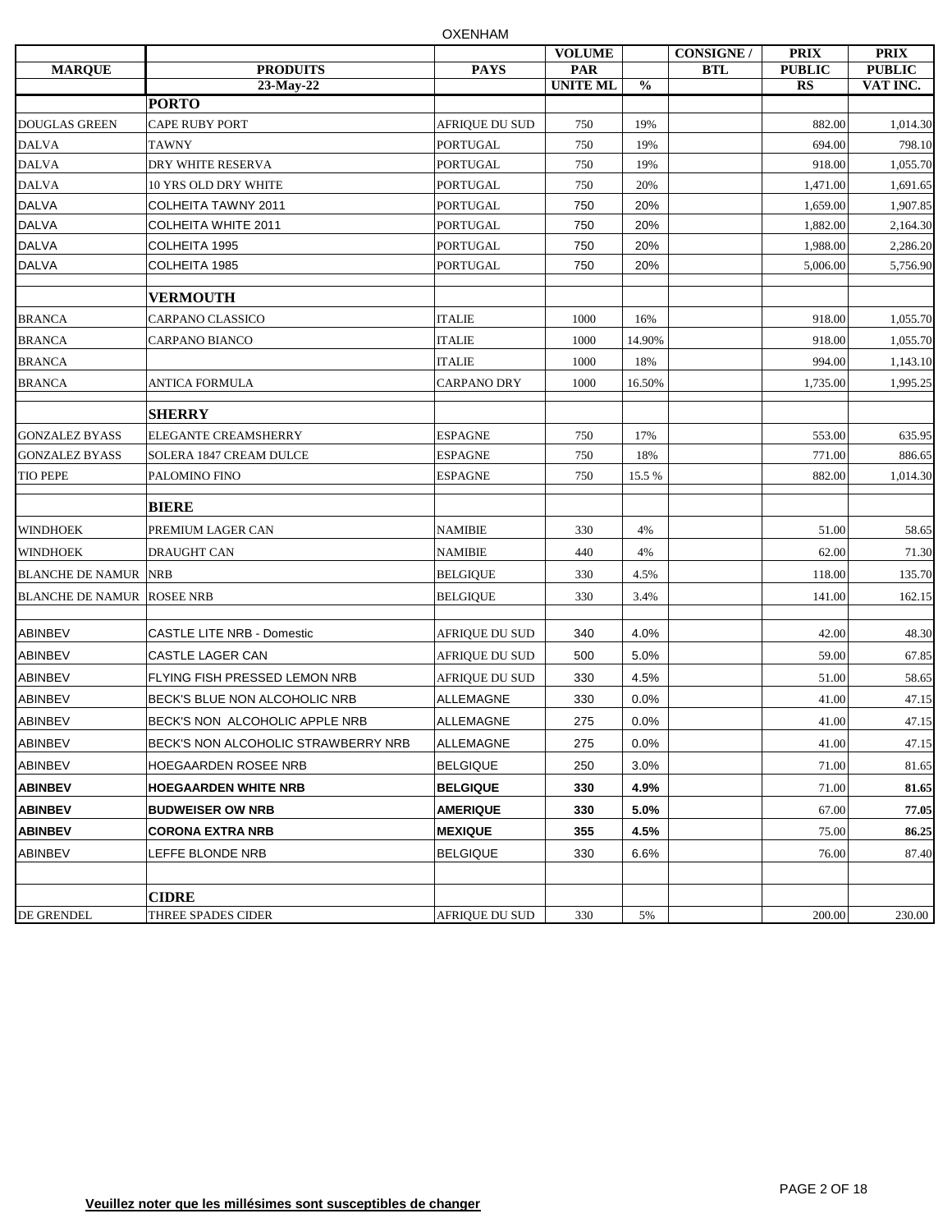|                                   |                                     |                       | <b>VOLUME</b>                 |               | <b>CONSIGNE /</b> | <b>PRIX</b>                | <b>PRIX</b>               |
|-----------------------------------|-------------------------------------|-----------------------|-------------------------------|---------------|-------------------|----------------------------|---------------------------|
| <b>MARQUE</b>                     | <b>PRODUITS</b><br>23-May-22        | <b>PAYS</b>           | <b>PAR</b><br><b>UNITE ML</b> | $\frac{0}{0}$ | <b>BTL</b>        | <b>PUBLIC</b><br><b>RS</b> | <b>PUBLIC</b><br>VAT INC. |
|                                   | <b>PORTO</b>                        |                       |                               |               |                   |                            |                           |
| <b>DOUGLAS GREEN</b>              | <b>CAPE RUBY PORT</b>               | <b>AFRIQUE DU SUD</b> | 750                           | 19%           |                   | 882.00                     | 1,014.30                  |
| <b>DALVA</b>                      | <b>TAWNY</b>                        | <b>PORTUGAL</b>       | 750                           | 19%           |                   | 694.00                     | 798.10                    |
| <b>DALVA</b>                      | DRY WHITE RESERVA                   | <b>PORTUGAL</b>       | 750                           | 19%           |                   | 918.00                     | 1,055.70                  |
| <b>DALVA</b>                      | 10 YRS OLD DRY WHITE                | <b>PORTUGAL</b>       | 750                           | 20%           |                   | 1,471.00                   | 1,691.65                  |
| <b>DALVA</b>                      | <b>COLHEITA TAWNY 2011</b>          | <b>PORTUGAL</b>       | 750                           | 20%           |                   | 1,659.00                   | 1,907.85                  |
| <b>DALVA</b>                      | <b>COLHEITA WHITE 2011</b>          | <b>PORTUGAL</b>       | 750                           | 20%           |                   | 1,882.00                   | 2,164.30                  |
| <b>DALVA</b>                      | COLHEITA 1995                       | <b>PORTUGAL</b>       | 750                           | 20%           |                   | 1,988.00                   | 2,286.20                  |
| <b>DALVA</b>                      | COLHEITA 1985                       | <b>PORTUGAL</b>       | 750                           | 20%           |                   | 5,006.00                   | 5,756.90                  |
|                                   | <b>VERMOUTH</b>                     |                       |                               |               |                   |                            |                           |
| <b>BRANCA</b>                     | <b>CARPANO CLASSICO</b>             | <b>ITALIE</b>         | 1000                          | 16%           |                   | 918.00                     | 1,055.70                  |
| <b>BRANCA</b>                     | CARPANO BIANCO                      | <b>ITALIE</b>         | 1000                          | 14.90%        |                   | 918.00                     | 1,055.70                  |
| <b>BRANCA</b>                     |                                     | <b>ITALIE</b>         | 1000                          | 18%           |                   | 994.00                     | 1,143.10                  |
| <b>BRANCA</b>                     | ANTICA FORMULA                      | <b>CARPANO DRY</b>    | 1000                          | 16.50%        |                   | 1,735.00                   | 1,995.25                  |
|                                   | <b>SHERRY</b>                       |                       |                               |               |                   |                            |                           |
| <b>GONZALEZ BYASS</b>             | ELEGANTE CREAMSHERRY                | <b>ESPAGNE</b>        | 750                           | 17%           |                   | 553.00                     | 635.95                    |
| <b>GONZALEZ BYASS</b>             | SOLERA 1847 CREAM DULCE             | <b>ESPAGNE</b>        | 750                           | 18%           |                   | 771.00                     | 886.65                    |
| <b>TIO PEPE</b>                   | PALOMINO FINO                       | <b>ESPAGNE</b>        | 750                           | 15.5 %        |                   | 882.00                     | 1,014.30                  |
|                                   | <b>BIERE</b>                        |                       |                               |               |                   |                            |                           |
| <b>WINDHOEK</b>                   | PREMIUM LAGER CAN                   | <b>NAMIBIE</b>        | 330                           | 4%            |                   | 51.00                      | 58.65                     |
| <b>WINDHOEK</b>                   | <b>DRAUGHT CAN</b>                  | <b>NAMIBIE</b>        | 440                           | 4%            |                   | 62.00                      | 71.30                     |
| <b>BLANCHE DE NAMUR NRB</b>       |                                     | <b>BELGIQUE</b>       | 330                           | 4.5%          |                   | 118.00                     | 135.70                    |
| <b>BLANCHE DE NAMUR ROSEE NRB</b> |                                     | <b>BELGIQUE</b>       | 330                           | 3.4%          |                   | 141.00                     | 162.15                    |
| <b>ABINBEV</b>                    | <b>CASTLE LITE NRB - Domestic</b>   | <b>AFRIQUE DU SUD</b> | 340                           | 4.0%          |                   | 42.00                      | 48.30                     |
| <b>ABINBEV</b>                    | CASTLE LAGER CAN                    | <b>AFRIQUE DU SUD</b> | 500                           | 5.0%          |                   | 59.00                      | 67.85                     |
| <b>ABINBEV</b>                    | FLYING FISH PRESSED LEMON NRB       | <b>AFRIQUE DU SUD</b> | 330                           | 4.5%          |                   | 51.00                      | 58.65                     |
| <b>ABINBEV</b>                    | BECK'S BLUE NON ALCOHOLIC NRB       | <b>ALLEMAGNE</b>      | 330                           | 0.0%          |                   | 41.00                      | 47.15                     |
| <b>ABINBEV</b>                    | BECK'S NON ALCOHOLIC APPLE NRB      | <b>ALLEMAGNE</b>      | 275                           | 0.0%          |                   | 41.00                      | 47.15                     |
| <b>ABINBEV</b>                    | BECK'S NON ALCOHOLIC STRAWBERRY NRB | ALLEMAGNE             | 275                           | $0.0\%$       |                   | 41.00                      | 47.15                     |
| <b>ABINBEV</b>                    | <b>HOEGAARDEN ROSEE NRB</b>         | <b>BELGIQUE</b>       | 250                           | 3.0%          |                   | 71.00                      | 81.65                     |
| <b>ABINBEV</b>                    | <b>HOEGAARDEN WHITE NRB</b>         | <b>BELGIQUE</b>       | 330                           | 4.9%          |                   | 71.00                      | 81.65                     |
| <b>ABINBEV</b>                    | <b>BUDWEISER OW NRB</b>             | <b>AMERIQUE</b>       | 330                           | 5.0%          |                   | 67.00                      | 77.05                     |
|                                   |                                     |                       |                               |               |                   |                            |                           |
| <b>ABINBEV</b>                    | <b>CORONA EXTRA NRB</b>             | <b>MEXIQUE</b>        | 355                           | 4.5%          |                   | 75.00                      | 86.25                     |
| <b>ABINBEV</b>                    | LEFFE BLONDE NRB                    | <b>BELGIQUE</b>       | 330                           | 6.6%          |                   | 76.00                      | 87.40                     |
|                                   | <b>CIDRE</b>                        |                       |                               |               |                   |                            |                           |
| DE GRENDEL                        | THREE SPADES CIDER                  | <b>AFRIQUE DU SUD</b> | 330                           | 5%            |                   | 200.00                     | 230.00                    |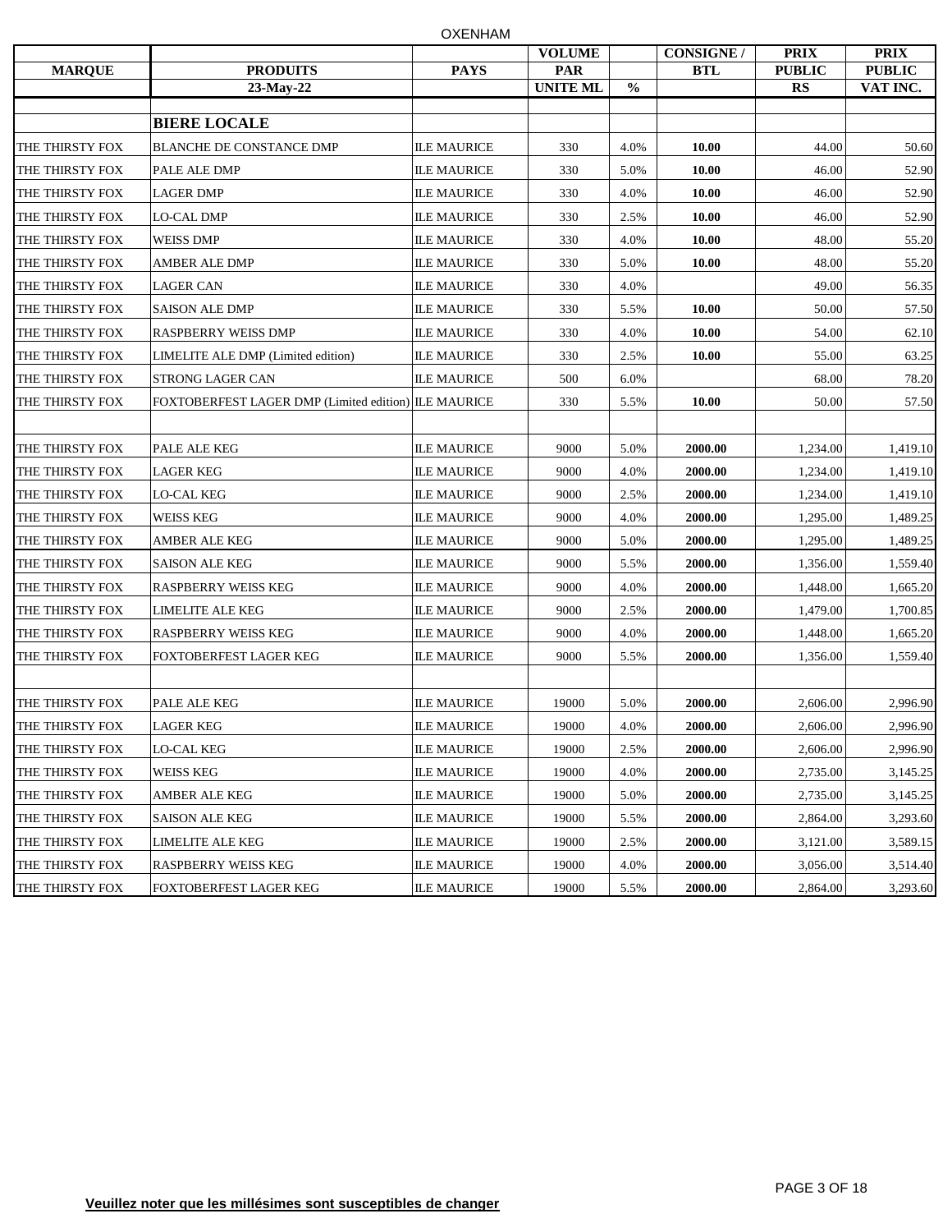| <b>MARQUE</b>   | <b>PRODUITS</b>                                      | <b>PAYS</b>        | <b>VOLUME</b><br>PAR |               | <b>CONSIGNE /</b><br><b>BTL</b> | <b>PRIX</b><br><b>PUBLIC</b> | <b>PRIX</b><br><b>PUBLIC</b> |
|-----------------|------------------------------------------------------|--------------------|----------------------|---------------|---------------------------------|------------------------------|------------------------------|
|                 | 23-May-22                                            |                    | <b>UNITE ML</b>      | $\frac{0}{0}$ |                                 | <b>RS</b>                    | VAT INC.                     |
|                 |                                                      |                    |                      |               |                                 |                              |                              |
|                 | <b>BIERE LOCALE</b>                                  |                    |                      |               |                                 |                              |                              |
| THE THIRSTY FOX | <b>BLANCHE DE CONSTANCE DMP</b>                      | <b>ILE MAURICE</b> | 330                  | 4.0%          | 10.00                           | 44.00                        | 50.60                        |
| THE THIRSTY FOX | PALE ALE DMP                                         | <b>ILE MAURICE</b> | 330                  | 5.0%          | 10.00                           | 46.00                        | 52.90                        |
| THE THIRSTY FOX | LAGER DMP                                            | <b>ILE MAURICE</b> | 330                  | 4.0%          | 10.00                           | 46.00                        | 52.90                        |
| THE THIRSTY FOX | LO-CAL DMP                                           | <b>ILE MAURICE</b> | 330                  | 2.5%          | 10.00                           | 46.00                        | 52.90                        |
| THE THIRSTY FOX | <b>WEISS DMP</b>                                     | <b>ILE MAURICE</b> | 330                  | 4.0%          | 10.00                           | 48.00                        | 55.20                        |
| THE THIRSTY FOX | AMBER ALE DMP                                        | <b>ILE MAURICE</b> | 330                  | 5.0%          | 10.00                           | 48.00                        | 55.20                        |
| THE THIRSTY FOX | <b>LAGER CAN</b>                                     | <b>ILE MAURICE</b> | 330                  | 4.0%          |                                 | 49.00                        | 56.35                        |
| THE THIRSTY FOX | <b>SAISON ALE DMP</b>                                | <b>ILE MAURICE</b> | 330                  | 5.5%          | 10.00                           | 50.00                        | 57.50                        |
| THE THIRSTY FOX | RASPBERRY WEISS DMP                                  | <b>ILE MAURICE</b> | 330                  | 4.0%          | 10.00                           | 54.00                        | 62.10                        |
| THE THIRSTY FOX | LIMELITE ALE DMP (Limited edition)                   | <b>ILE MAURICE</b> | 330                  | 2.5%          | 10.00                           | 55.00                        | 63.25                        |
| THE THIRSTY FOX | <b>STRONG LAGER CAN</b>                              | <b>ILE MAURICE</b> | 500                  | 6.0%          |                                 | 68.00                        | 78.20                        |
| THE THIRSTY FOX | FOXTOBERFEST LAGER DMP (Limited edition) ILE MAURICE |                    | 330                  | 5.5%          | 10.00                           | 50.00                        | 57.50                        |
|                 |                                                      |                    |                      |               |                                 |                              |                              |
| THE THIRSTY FOX | PALE ALE KEG                                         | <b>ILE MAURICE</b> | 9000                 | 5.0%          | 2000.00                         | 1,234.00                     | 1,419.10                     |
| THE THIRSTY FOX | LAGER KEG                                            | <b>ILE MAURICE</b> | 9000                 | 4.0%          | 2000.00                         | 1,234.00                     | 1,419.10                     |
| THE THIRSTY FOX | LO-CAL KEG                                           | <b>ILE MAURICE</b> | 9000                 | 2.5%          | 2000.00                         | 1,234.00                     | 1,419.10                     |
| THE THIRSTY FOX | <b>WEISS KEG</b>                                     | <b>ILE MAURICE</b> | 9000                 | 4.0%          | 2000.00                         | 1,295.00                     | 1,489.25                     |
| THE THIRSTY FOX | AMBER ALE KEG                                        | <b>ILE MAURICE</b> | 9000                 | 5.0%          | 2000.00                         | 1,295.00                     | 1,489.25                     |
| THE THIRSTY FOX | <b>SAISON ALE KEG</b>                                | <b>ILE MAURICE</b> | 9000                 | 5.5%          | 2000.00                         | 1,356.00                     | 1,559.40                     |
| THE THIRSTY FOX | <b>RASPBERRY WEISS KEG</b>                           | <b>ILE MAURICE</b> | 9000                 | 4.0%          | 2000.00                         | 1,448.00                     | 1,665.20                     |
| THE THIRSTY FOX | LIMELITE ALE KEG                                     | <b>ILE MAURICE</b> | 9000                 | 2.5%          | 2000.00                         | 1,479.00                     | 1,700.85                     |
| THE THIRSTY FOX | RASPBERRY WEISS KEG                                  | <b>ILE MAURICE</b> | 9000                 | 4.0%          | 2000.00                         | 1,448.00                     | 1,665.20                     |
| THE THIRSTY FOX | FOXTOBERFEST LAGER KEG                               | <b>ILE MAURICE</b> | 9000                 | 5.5%          | 2000.00                         | 1,356.00                     | 1,559.40                     |
|                 |                                                      |                    |                      |               |                                 |                              |                              |
| THE THIRSTY FOX | PALE ALE KEG                                         | <b>ILE MAURICE</b> | 19000                | 5.0%          | 2000.00                         | 2,606.00                     | 2,996.90                     |
| THE THIRSTY FOX | LAGER KEG                                            | <b>ILE MAURICE</b> | 19000                | 4.0%          | 2000.00                         | 2,606.00                     | 2,996.90                     |
| THE THIRSTY FOX | <b>LO-CAL KEG</b>                                    | <b>ILE MAURICE</b> | 19000                | 2.5%          | 2000.00                         | 2,606.00                     | 2,996.90                     |
| THE THIRSTY FOX | <b>WEISS KEG</b>                                     | <b>ILE MAURICE</b> | 19000                | 4.0%          | 2000.00                         | 2,735.00                     | 3,145.25                     |
| THE THIRSTY FOX | <b>AMBER ALE KEG</b>                                 | <b>ILE MAURICE</b> | 19000                | 5.0%          | 2000.00                         | 2,735.00                     | 3,145.25                     |
| THE THIRSTY FOX | <b>SAISON ALE KEG</b>                                | <b>ILE MAURICE</b> | 19000                | 5.5%          | 2000.00                         | 2,864.00                     | 3,293.60                     |
| THE THIRSTY FOX | <b>LIMELITE ALE KEG</b>                              | <b>ILE MAURICE</b> | 19000                | 2.5%          | 2000.00                         | 3,121.00                     | 3,589.15                     |
| THE THIRSTY FOX | RASPBERRY WEISS KEG                                  | <b>ILE MAURICE</b> | 19000                | 4.0%          | 2000.00                         | 3,056.00                     | 3,514.40                     |
| THE THIRSTY FOX | FOXTOBERFEST LAGER KEG                               | <b>ILE MAURICE</b> | 19000                | 5.5%          | 2000.00                         | 2,864.00                     | 3,293.60                     |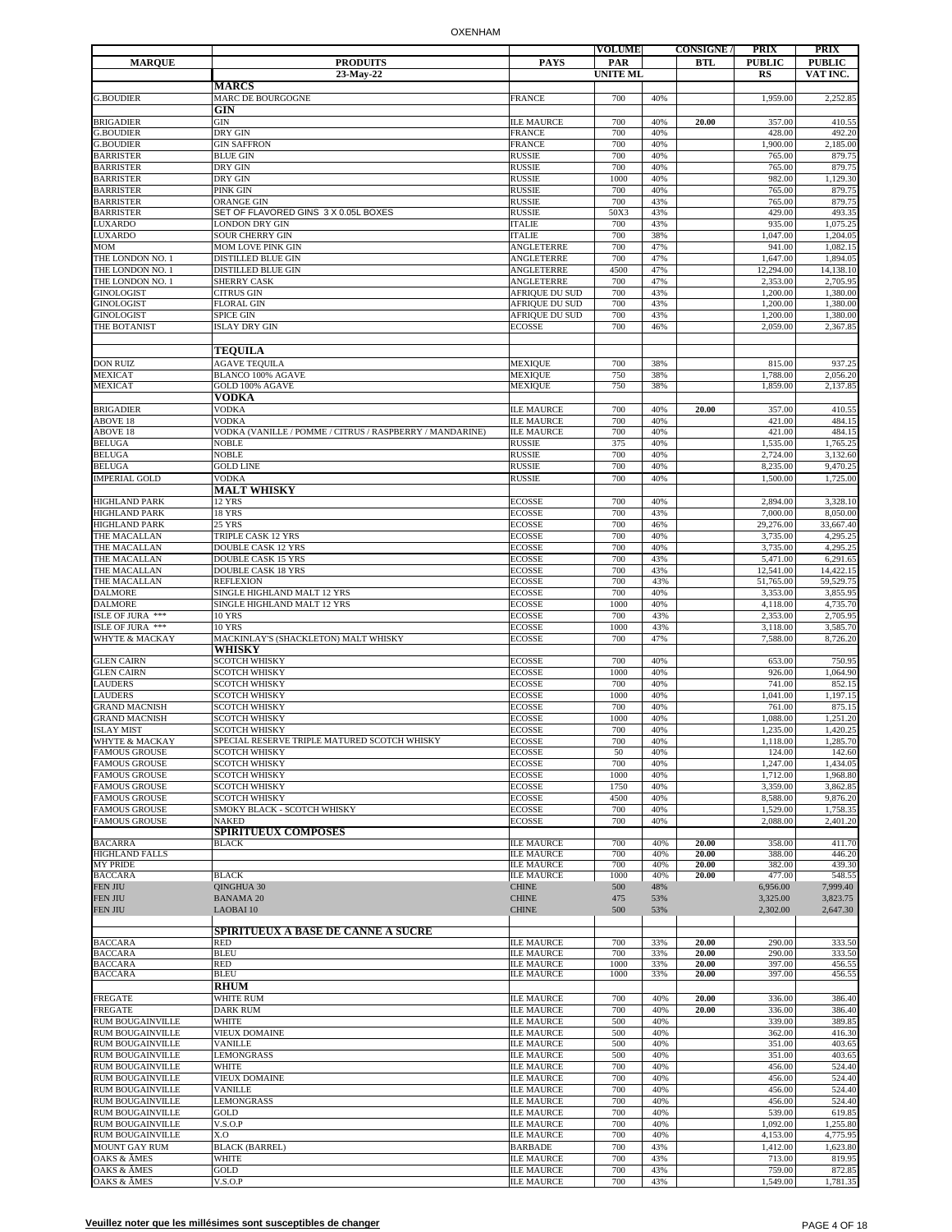|                                           |                                                               |                                        | <b>VOLUME</b>   |            | <b>CONSIGNE</b> / | <b>PRIX</b>          | <b>PRIX</b>          |
|-------------------------------------------|---------------------------------------------------------------|----------------------------------------|-----------------|------------|-------------------|----------------------|----------------------|
| <b>MARQUE</b>                             | <b>PRODUITS</b>                                               | <b>PAYS</b>                            | <b>PAR</b>      |            | BTL               | <b>PUBLIC</b>        | <b>PUBLIC</b>        |
|                                           | 23-May-22                                                     |                                        | <b>UNITE ML</b> |            |                   | <b>RS</b>            | VAT INC.             |
|                                           | <b>MARCS</b>                                                  |                                        |                 |            |                   |                      |                      |
| <b>G.BOUDIER</b>                          | MARC DE BOURGOGNE                                             | <b>FRANCE</b>                          | 700             | 40%        |                   | 1,959.00             | 2,252.85             |
|                                           | GIN                                                           |                                        |                 |            |                   |                      |                      |
| BRIGADIER<br><b>G.BOUDIER</b>             | <b>GIN</b><br>DRY GIN                                         | <b>ILE MAURCE</b><br><b>FRANCE</b>     | 700<br>700      | 40%<br>40% | 20.00             | 357.00<br>428.00     | 410.55<br>492.20     |
| <b>G.BOUDIER</b>                          | <b>GIN SAFFRON</b>                                            | <b>FRANCE</b>                          | 700             | 40%        |                   | 1,900.00             | 2,185.00             |
| <b>BARRISTER</b>                          | <b>BLUE GIN</b>                                               | <b>RUSSIE</b>                          | 700             | 40%        |                   | 765.00               | 879.75               |
| <b>BARRISTER</b>                          | DRY GIN                                                       | <b>RUSSIE</b>                          | 700             | 40%        |                   | 765.00               | 879.75               |
| <b>BARRISTER</b>                          | DRY GIN                                                       | <b>RUSSIE</b>                          | 1000            | 40%        |                   | 982.00               | 1,129.30             |
| <b>BARRISTER</b>                          | PINK GIN                                                      | <b>RUSSIE</b>                          | 700             | 40%        |                   | 765.00               | 879.75               |
| <b>BARRISTER</b>                          | ORANGE GIN                                                    | <b>RUSSIE</b>                          | 700             | 43%        |                   | 765.00               | 879.75               |
| <b>BARRISTER</b><br>LUXARDO               | SET OF FLAVORED GINS 3 X 0.05L BOXES<br><b>LONDON DRY GIN</b> | <b>RUSSIE</b><br><b>ITALIE</b>         | 50X3<br>700     | 43%<br>43% |                   | 429.00<br>935.00     | 493.35<br>1,075.25   |
| LUXARDO                                   | <b>SOUR CHERRY GIN</b>                                        | <b>ITALIE</b>                          | 700             | 38%        |                   | 1,047.00             | 1,204.05             |
| MOM                                       | MOM LOVE PINK GIN                                             | <b>ANGLETERRE</b>                      | 700             | 47%        |                   | 941.00               | 1,082.15             |
| THE LONDON NO. 1                          | DISTILLED BLUE GIN                                            | <b>ANGLETERRE</b>                      | 700             | 47%        |                   | 1,647.00             | 1,894.05             |
| THE LONDON NO. 1                          | <b>DISTILLED BLUE GIN</b>                                     | <b>ANGLETERRE</b>                      | 4500            | 47%        |                   | 12,294.00            | 14,138.10            |
| THE LONDON NO. 1                          | SHERRY CASK                                                   | ANGLETERRE                             | 700             | 47%        |                   | 2,353.00             | 2,705.95             |
| <b>GINOLOGIST</b>                         | <b>CITRUS GIN</b>                                             | AFRIQUE DU SUD                         | 700             | 43%        |                   | 1,200.00             | 1,380.00             |
| GINOLOGIST                                | <b>FLORAL GIN</b>                                             | AFRIQUE DU SUD                         | 700             | 43%        |                   | 1,200.00             | 1,380.00             |
| <b>GINOLOGIST</b><br>THE BOTANIST         | SPICE GIN<br><b>ISLAY DRY GIN</b>                             | AFRIQUE DU SUD<br><b>ECOSSE</b>        | 700<br>700      | 43%<br>46% |                   | 1,200.00<br>2,059.00 | 1,380.00<br>2,367.85 |
|                                           |                                                               |                                        |                 |            |                   |                      |                      |
|                                           | <b>TEQUILA</b>                                                |                                        |                 |            |                   |                      |                      |
| <b>DON RUIZ</b>                           |                                                               |                                        | 700             |            |                   |                      |                      |
| MEXICAT                                   | <b>AGAVE TEQUILA</b><br>BLANCO 100% AGAVE                     | <b>MEXIQUE</b><br><b>MEXIQUE</b>       | 750             | 38%<br>38% |                   | 815.00<br>1,788.00   | 937.25<br>2,056.20   |
| MEXICAT                                   | GOLD 100% AGAVE                                               | <b>MEXIQUE</b>                         | 750             | 38%        |                   | 1,859.00             | 2,137.85             |
|                                           | <b>VODKA</b>                                                  |                                        |                 |            |                   |                      |                      |
| <b>BRIGADIER</b>                          | <b>VODKA</b>                                                  | <b>ILE MAURCE</b>                      | 700             | 40%        | 20.00             | 357.00               | 410.55               |
| ABOVE 18                                  | <b>VODKA</b>                                                  | <b>ILE MAURCE</b>                      | 700             | 40%        |                   | 421.00               | 484.15               |
| ABOVE 18                                  | VODKA (VANILLE / POMME / CITRUS / RASPBERRY / MANDARINE)      | <b>ILE MAURCE</b>                      | 700             | 40%        |                   | 421.00               | 484.15               |
| BELUGA                                    | <b>NOBLE</b>                                                  | <b>RUSSIE</b>                          | 375             | 40%        |                   | 1,535.00             | 1,765.25             |
| <b>BELUGA</b>                             | <b>NOBLE</b>                                                  | <b>RUSSIE</b>                          | 700             | 40%        |                   | 2,724.00             | 3,132.60             |
| <b>BELUGA</b><br><b>IMPERIAL GOLD</b>     | <b>GOLD LINE</b><br><b>VODKA</b>                              | <b>RUSSIE</b>                          | 700             | 40%<br>40% |                   | 8,235.00             | 9,470.25             |
|                                           | <b>MALT WHISKY</b>                                            | <b>RUSSIE</b>                          | 700             |            |                   | 1,500.00             | 1,725.00             |
| HIGHLAND PARK                             | <b>12 YRS</b>                                                 | <b>ECOSSE</b>                          | 700             | 40%        |                   | 2,894.00             | 3,328.10             |
| HIGHLAND PARK                             | 18 YRS                                                        | <b>ECOSSE</b>                          | 700             | 43%        |                   | 7,000.00             | 8,050.00             |
| <b>HIGHLAND PARK</b>                      | <b>25 YRS</b>                                                 | <b>ECOSSE</b>                          | 700             | 46%        |                   | 29,276.00            | 33,667.40            |
| THE MACALLAN                              | TRIPLE CASK 12 YRS                                            | <b>ECOSSE</b>                          | 700             | 40%        |                   | 3,735.00             | 4,295.2:             |
| THE MACALLAN                              | <b>DOUBLE CASK 12 YRS</b>                                     | <b>ECOSSE</b>                          | 700             | 40%        |                   | 3,735.00             | 4,295.25             |
| THE MACALLAN                              | <b>DOUBLE CASK 15 YRS</b>                                     | <b>ECOSSE</b>                          | 700             | 43%        |                   | 5,471.00             | 6,291.65             |
| THE MACALLAN                              | <b>DOUBLE CASK 18 YRS</b>                                     | <b>ECOSSE</b>                          | 700             | 43%        |                   | 12,541.00            | 14,422.15            |
| THE MACALLAN                              | <b>REFLEXION</b>                                              | <b>ECOSSE</b>                          | 700             | 43%        |                   | 51,765.00            | 59,529.75            |
| DALMORE                                   | SINGLE HIGHLAND MALT 12 YRS                                   | <b>ECOSSE</b>                          | 700             | 40%        |                   | 3,353.00             | 3,855.95             |
| <b>DALMORE</b><br>ISLE OF JURA ***        | SINGLE HIGHLAND MALT 12 YRS<br><b>10 YRS</b>                  | <b>ECOSSE</b><br><b>ECOSSE</b>         | 1000<br>700     | 40%<br>43% |                   | 4,118.00<br>2,353.00 | 4,735.70<br>2,705.95 |
| ISLE OF JURA ***                          | <b>10 YRS</b>                                                 | <b>ECOSSE</b>                          | 1000            | 43%        |                   | 3,118.00             | 3,585.70             |
| <b>WHYTE &amp; MACKAY</b>                 | MACKINLAY'S (SHACKLETON) MALT WHISKY                          | <b>ECOSSE</b>                          | 700             | 47%        |                   | 7,588.00             | 8,726.20             |
|                                           | WHISKY                                                        |                                        |                 |            |                   |                      |                      |
| <b>GLEN CAIRN</b>                         | <b>SCOTCH WHISKY</b>                                          | <b>ECOSSE</b>                          | 700             | 40%        |                   | 653.00               | 750.95               |
| <b>GLEN CAIRN</b>                         | <b>SCOTCH WHISKY</b>                                          | <b>ECOSSE</b>                          | 1000            | 40%        |                   | 926.00               | 1,064.90             |
| LAUDERS                                   | <b>SCOTCH WHISKY</b>                                          | <b>ECOSSE</b>                          | 700             | 40%        |                   | 741.00               | 852.15               |
| LAUDERS                                   | <b>SCOTCH WHISKY</b>                                          | <b>ECOSSE</b>                          | 1000            | 40%        |                   | 1,041.00             | 1,197.15             |
| <b>GRAND MACNISH</b>                      | <b>SCOTCH WHISKY</b>                                          | <b>ECOSSE</b>                          | 700             | 40%        |                   | 761.00               | 875.15               |
| <b>GRAND MACNISH</b><br><b>ISLAY MIST</b> | <b>SCOTCH WHISKY</b><br><b>SCOTCH WHISKY</b>                  | <b>ECOSSE</b><br><b>ECOSSE</b>         | 1000<br>700     | 40%<br>40% |                   | 1,088.00<br>1,235.00 | 1,251.20<br>1,420.25 |
| <b>WHYTE &amp; MACKAY</b>                 | SPECIAL RESERVE TRIPLE MATURED SCOTCH WHISKY                  | <b>ECOSSE</b>                          | 700             | 40%        |                   | 1,118.00             | 1,285.70             |
| <b>FAMOUS GROUSE</b>                      | <b>SCOTCH WHISKY</b>                                          | <b>ECOSSE</b>                          | 50              | 40%        |                   | 124.00               | 142.60               |
| <b>FAMOUS GROUSE</b>                      | <b>SCOTCH WHISKY</b>                                          | <b>ECOSSE</b>                          | 700             | 40%        |                   | 1,247.00             | 1,434.05             |
| <b>FAMOUS GROUSE</b>                      | <b>SCOTCH WHISKY</b>                                          | <b>ECOSSE</b>                          | 1000            | 40%        |                   | 1,712.00             | 1,968.80             |
| <b>FAMOUS GROUSE</b>                      | <b>SCOTCH WHISKY</b>                                          | <b>ECOSSE</b>                          | 1750            | 40%        |                   | 3,359.00             | 3,862.85             |
| <b>FAMOUS GROUSE</b>                      | <b>SCOTCH WHISKY</b>                                          | <b>ECOSSE</b>                          | 4500            | 40%        |                   | 8,588.00             | 9,876.20             |
| <b>FAMOUS GROUSE</b>                      | SMOKY BLACK - SCOTCH WHISKY                                   | <b>ECOSSE</b>                          | 700             | 40%        |                   | 1,529.00             | 1,758.35             |
| <b>FAMOUS GROUSE</b>                      | NAKED                                                         | <b>ECOSSE</b>                          | 700             | 40%        |                   | 2,088.00             | 2.401.20             |
| <b>BACARRA</b>                            | <b>SPIRITUEUX COMPOSES</b><br><b>BLACK</b>                    | <b>ILE MAURCE</b>                      | 700             | 40%        | 20.00             | 358.00               | 411.70               |
| HIGHLAND FALLS                            |                                                               | <b>ILE MAURCE</b>                      | 700             | 40%        | 20.00             | 388.00               | 446.20               |
| <b>MY PRIDE</b>                           |                                                               | <b>ILE MAURCE</b>                      | 700             | 40%        | 20.00             | 382.00               | 439.30               |
| <b>BACCARA</b>                            | <b>BLACK</b>                                                  | <b>ILE MAURCE</b>                      | 1000            | 40%        | 20.00             | 477.00               | 548.55               |
| FEN JIU                                   | QINGHUA 30                                                    | <b>CHINE</b>                           | 500             | 48%        |                   | 6,956.00             | 7,999.40             |
| FEN JIU                                   | <b>BANAMA 20</b>                                              | <b>CHINE</b>                           | 475             | 53%        |                   | 3,325.00             | 3,823.75             |
| FEN JIU                                   | LAOBAI 10                                                     | <b>CHINE</b>                           | 500             | 53%        |                   | 2,302.00             | 2,647.30             |
|                                           | SPIRITUEUX A BASE DE CANNE A SUCRE                            |                                        |                 |            |                   |                      |                      |
| <b>BACCARA</b>                            | <b>RED</b>                                                    | <b>ILE MAURCE</b>                      | 700             | 33%        | 20.00             | 290.00               | 333.50               |
| <b>BACCARA</b>                            | <b>BLEU</b>                                                   | <b>ILE MAURCE</b>                      | 700             | 33%        | 20.00             | 290.00               | 333.50               |
| <b>BACCARA</b>                            | <b>RED</b>                                                    | <b>ILE MAURCE</b>                      | 1000            | 33%        | 20.00             | 397.00               | 456.55               |
| <b>BACCARA</b>                            | <b>BLEU</b>                                                   | <b>ILE MAURCE</b>                      | 1000            | 33%        | 20.00             | 397.00               | 456.55               |
|                                           | <b>RHUM</b>                                                   |                                        |                 |            |                   |                      |                      |
| FREGATE                                   | WHITE RUM                                                     | <b>ILE MAURCE</b>                      | 700             | 40%<br>40% | 20.00             | 336.00               | 386.40               |
| FREGATE<br>RUM BOUGAINVILLE               | <b>DARK RUM</b><br>WHITE                                      | <b>ILE MAURCE</b><br><b>ILE MAURCE</b> | 700<br>500      | 40%        | 20.00             | 336.00<br>339.00     | 386.40<br>389.85     |
| <b>RUM BOUGAINVILLE</b>                   | VIEUX DOMAINE                                                 | <b>ILE MAURCE</b>                      | 500             | 40%        |                   | 362.00               | 416.30               |
| <b>RUM BOUGAINVILLE</b>                   | VANILLE                                                       | <b>ILE MAURCE</b>                      | 500             | 40%        |                   | 351.00               | 403.65               |
| <b>RUM BOUGAINVILLE</b>                   | <b>LEMONGRASS</b>                                             | <b>ILE MAURCE</b>                      | 500             | 40%        |                   | 351.00               | 403.65               |
| <b>RUM BOUGAINVILLE</b>                   | WHITE                                                         | <b>ILE MAURCE</b>                      | 700             | 40%        |                   | 456.00               | 524.40               |
| RUM BOUGAINVILLE                          | <b>VIEUX DOMAINE</b>                                          | <b>ILE MAURCE</b>                      | 700             | 40%        |                   | 456.00               | 524.40               |
| <b>RUM BOUGAINVILLE</b>                   | VANILLE                                                       | <b>ILE MAURCE</b>                      | 700             | 40%        |                   | 456.00               | 524.40               |
| <b>RUM BOUGAINVILLE</b>                   | <b>LEMONGRASS</b>                                             | <b>ILE MAURCE</b>                      | 700             | 40%        |                   | 456.00               | 524.40               |
| RUM BOUGAINVILLE                          | GOLD                                                          | <b>ILE MAURCE</b>                      | 700             | 40%        |                   | 539.00               | 619.85               |
| RUM BOUGAINVILLE<br>RUM BOUGAINVILLE      | V.S.O.P<br>X.O                                                | <b>ILE MAURCE</b><br><b>ILE MAURCE</b> | 700<br>700      | 40%<br>40% |                   | 1,092.00<br>4,153.00 | 1,255.80<br>4,775.95 |
| <b>MOUNT GAY RUM</b>                      | <b>BLACK (BARREL)</b>                                         | <b>BARBADE</b>                         | 700             | 43%        |                   | 1,412.00             | 1,623.80             |
| OAKS & ÂMES                               | <b>WHITE</b>                                                  | <b>ILE MAURCE</b>                      | 700             | 43%        |                   | 713.00               | 819.95               |
| OAKS & ÂMES                               | GOLD                                                          | <b>ILE MAURCE</b>                      | 700             | 43%        |                   | 759.00               | 872.85               |
| OAKS & ÂMES                               | V.S.O.P                                                       | <b>ILE MAURCE</b>                      | 700             | 43%        |                   | 1,549.00             | 1,781.35             |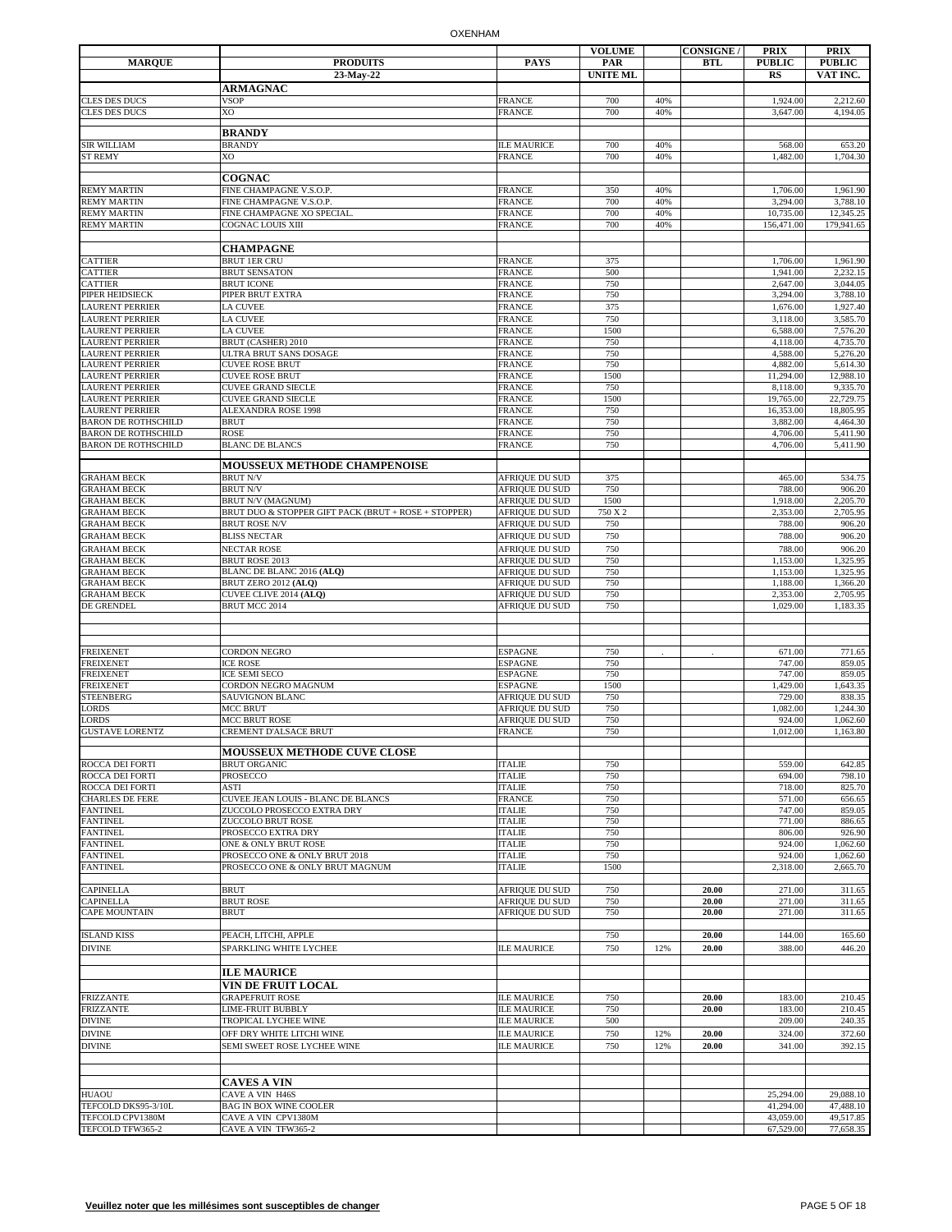|                                                   |                                                                  |                                  | <b>VOLUME</b>   |     | <b>CONSIGNE/</b> | <b>PRIX</b>          | <b>PRIX</b>           |
|---------------------------------------------------|------------------------------------------------------------------|----------------------------------|-----------------|-----|------------------|----------------------|-----------------------|
| <b>MARQUE</b>                                     | <b>PRODUITS</b>                                                  | <b>PAYS</b>                      | PAR             |     | <b>BTL</b>       | <b>PUBLIC</b>        | <b>PUBLIC</b>         |
|                                                   | 23-May-22                                                        |                                  | <b>UNITE ML</b> |     |                  | <b>RS</b>            | VAT INC.              |
|                                                   | <b>ARMAGNAC</b>                                                  |                                  |                 |     |                  |                      |                       |
| CLES DES DUCS                                     | <b>VSOP</b>                                                      | <b>FRANCE</b>                    | 700             | 40% |                  | 1,924.00             | 2,212.60              |
| CLES DES DUCS                                     | XO                                                               | <b>FRANCE</b>                    | 700             | 40% |                  | 3,647.00             | 4,194.05              |
|                                                   | <b>BRANDY</b>                                                    |                                  |                 |     |                  |                      |                       |
| SIR WILLIAM                                       | <b>BRANDY</b>                                                    | <b>ILE MAURICE</b>               | 700             | 40% |                  | 568.00               | 653.20                |
| <b>ST REMY</b>                                    | XO                                                               | <b>FRANCE</b>                    | 700             | 40% |                  | 1,482.00             | 1,704.30              |
|                                                   | <b>COGNAC</b>                                                    |                                  |                 |     |                  |                      |                       |
| <b>REMY MARTIN</b>                                | FINE CHAMPAGNE V.S.O.P.                                          | <b>FRANCE</b>                    | 350             | 40% |                  | 1,706.00             | 1,961.90              |
| <b>REMY MARTIN</b>                                | FINE CHAMPAGNE V.S.O.P.                                          | <b>FRANCE</b>                    | 700             | 40% |                  | 3,294.00             | 3,788.10              |
| REMY MARTIN                                       | FINE CHAMPAGNE XO SPECIAL                                        | <b>FRANCE</b>                    | 700             | 40% |                  | 10,735.00            | 12,345.25             |
| <b>REMY MARTIN</b>                                | <b>COGNAC LOUIS XIII</b>                                         | <b>FRANCE</b>                    | 700             | 40% |                  | 156,471.00           | 179,941.65            |
|                                                   |                                                                  |                                  |                 |     |                  |                      |                       |
|                                                   | <b>CHAMPAGNE</b>                                                 |                                  |                 |     |                  |                      |                       |
| <b>CATTIER</b><br>CATTIER                         | <b>BRUT 1ER CRU</b><br><b>BRUT SENSATON</b>                      | <b>FRANCE</b><br><b>FRANCE</b>   | 375<br>500      |     |                  | 1,706.00<br>1,941.00 | 1,961.90<br>2,232.15  |
| CATTIER                                           | <b>BRUT ICONE</b>                                                | <b>FRANCE</b>                    | 750             |     |                  | 2,647.00             | 3,044.05              |
| PIPER HEIDSIECK                                   | PIPER BRUT EXTRA                                                 | <b>FRANCE</b>                    | 750             |     |                  | 3,294.00             | 3,788.10              |
| AURENT PERRIER                                    | <b>LA CUVEE</b>                                                  | <b>FRANCE</b>                    | 375             |     |                  | 1,676.00             | 1,927.40              |
| <b>AURENT PERRIER</b>                             | <b>LA CUVEE</b>                                                  | <b>FRANCE</b>                    | 750             |     |                  | 3,118.00             | 3,585.70              |
| LAURENT PERRIER                                   | <b>LA CUVEE</b>                                                  | <b>FRANCE</b>                    | 1500            |     |                  | 6,588.00             | 7,576.20              |
| <b>LAURENT PERRIER</b><br>LAURENT PERRIER         | BRUT (CASHER) 2010<br>ULTRA BRUT SANS DOSAGE                     | <b>FRANCE</b><br><b>FRANCE</b>   | 750<br>750      |     |                  | 4,118.00<br>4,588.00 | 4,735.70<br>5,276.20  |
| AURENT PERRIER                                    | <b>CUVEE ROSE BRUT</b>                                           | <b>FRANCE</b>                    | 750             |     |                  | 4,882.00             | 5,614.30              |
| LAURENT PERRIER                                   | <b>CUVEE ROSE BRUT</b>                                           | <b>FRANCE</b>                    | 1500            |     |                  | 11,294.00            | 12,988.10             |
| LAURENT PERRIER                                   | <b>CUVEE GRAND SIECLE</b>                                        | <b>FRANCE</b>                    | 750             |     |                  | 8,118.00             | 9,335.70              |
| AURENT PERRIER                                    | <b>CUVEE GRAND SIECLE</b>                                        | <b>FRANCE</b>                    | 1500            |     |                  | 19,765.00            | 22,729.75             |
| LAURENT PERRIER                                   | <b>ALEXANDRA ROSE 1998</b>                                       | <b>FRANCE</b>                    | 750             |     |                  | 16,353.00            | 18,805.95<br>4.464.30 |
| BARON DE ROTHSCHILD<br><b>BARON DE ROTHSCHILD</b> | <b>BRUT</b><br><b>ROSE</b>                                       | <b>FRANCE</b><br><b>FRANCE</b>   | 750<br>750      |     |                  | 3,882.00<br>4,706.00 | 5,411.90              |
| <b>BARON DE ROTHSCHILD</b>                        | <b>BLANC DE BLANCS</b>                                           | <b>FRANCE</b>                    | 750             |     |                  | 4,706.00             | 5,411.90              |
|                                                   |                                                                  |                                  |                 |     |                  |                      |                       |
|                                                   | <b>MOUSSEUX METHODE CHAMPENOISE</b>                              |                                  |                 |     |                  |                      |                       |
| <b>GRAHAM BECK</b>                                | <b>BRUT N/V</b>                                                  | <b>AFRIOUE DU SUD</b>            | 375             |     |                  | 465.00               | 534.75                |
| <b>GRAHAM BECK</b><br><b>GRAHAM BECK</b>          | <b>BRUT N/V</b><br>BRUT N/V (MAGNUM)                             | AFRIQUE DU SUD<br>AFRIQUE DU SUD | 750<br>1500     |     |                  | 788.00<br>1,918.00   | 906.20<br>2,205.70    |
| GRAHAM BECK                                       | BRUT DUO & STOPPER GIFT PACK (BRUT + ROSE + STOPPER)             | AFRIQUE DU SUD                   | 750 X 2         |     |                  | 2,353.00             | 2,705.95              |
| <b>GRAHAM BECK</b>                                | <b>BRUT ROSE N/V</b>                                             | AFRIQUE DU SUD                   | 750             |     |                  | 788.00               | 906.20                |
| <b>GRAHAM BECK</b>                                | <b>BLISS NECTAR</b>                                              | AFRIQUE DU SUD                   | 750             |     |                  | 788.00               | 906.20                |
| GRAHAM BECK                                       | <b>NECTAR ROSE</b>                                               | AFRIQUE DU SUD                   | 750             |     |                  | 788.00               | 906.20                |
| <b>GRAHAM BECK</b>                                | BRUT ROSE 2013                                                   | AFRIQUE DU SUD                   | 750             |     |                  | 1,153.00             | 1,325.95              |
| <b>GRAHAM BECK</b>                                | BLANC DE BLANC 2016 (ALQ)                                        | AFRIQUE DU SUD                   | 750             |     |                  | 1,153.00             | 1,325.95              |
| <b>GRAHAM BECK</b><br><b>GRAHAM BECK</b>          | BRUT ZERO 2012 (ALQ)<br>CUVEE CLIVE 2014 (ALQ)                   | AFRIQUE DU SUD<br>AFRIQUE DU SUD | 750<br>750      |     |                  | 1,188.00<br>2,353.00 | 1,366.20<br>2,705.95  |
| DE GRENDEL                                        | BRUT MCC 2014                                                    | AFRIQUE DU SUD                   | 750             |     |                  | 1,029.00             | 1,183.35              |
|                                                   |                                                                  |                                  |                 |     |                  |                      |                       |
|                                                   |                                                                  |                                  |                 |     |                  |                      |                       |
|                                                   |                                                                  |                                  |                 |     |                  |                      |                       |
| FREIXENET<br>FREIXENET                            | <b>CORDON NEGRO</b><br><b>ICE ROSE</b>                           | <b>ESPAGNE</b><br><b>ESPAGNE</b> | 750<br>750      |     |                  | 671.00<br>747.00     | 771.65<br>859.05      |
| FREIXENET                                         | <b>ICE SEMI SECO</b>                                             | <b>ESPAGNE</b>                   | 750             |     |                  | 747.00               | 859.05                |
| FREIXENET                                         | CORDON NEGRO MAGNUM                                              | <b>ESPAGNE</b>                   | 1500            |     |                  | 1,429.00             | 1,643.35              |
| <b>TEENBERG</b>                                   | SAUVIGNON BLANC                                                  | AFRIQUE DU SUD                   | 750             |     |                  | 729.00               | 838.35                |
| LORDS                                             | MCC BRUT                                                         | AFRIQUE DU SUD                   | 750             |     |                  | 1,082.00             | 1.244.30              |
| LORDS<br><b>GUSTAVE LORENTZ</b>                   | <b>MCC BRUT ROSE</b><br><b>CREMENT D'ALSACE BRUT</b>             | <b>AFRIQUE DU SUD</b>            | 750<br>750      |     |                  | 924.00<br>1,012.00   | 1,062.60              |
|                                                   |                                                                  | <b>FRANCE</b>                    |                 |     |                  |                      | 1,163.80              |
|                                                   | <b>MOUSSEUX METHODE CUVE CLOSE</b>                               |                                  |                 |     |                  |                      |                       |
| ROCCA DEI FORTI                                   | <b>BRUT ORGANIC</b>                                              | <b>ITALIE</b>                    | 750             |     |                  | 559.00               | 642.85                |
| ROCCA DEI FORTI                                   | PROSECCO                                                         | <b>ITALIE</b>                    | 750             |     |                  | 694.00               | 798.10                |
| ROCCA DEI FORTI                                   | ASTI                                                             | <b>ITALIE</b>                    | 750             |     |                  | 718.00               | 825.70                |
| <b>CHARLES DE FERE</b><br>FANTINEL                | CUVEE JEAN LOUIS - BLANC DE BLANCS<br>ZUCCOLO PROSECCO EXTRA DRY | <b>FRANCE</b><br><b>ITALIE</b>   | 750<br>750      |     |                  | 571.00<br>747.00     | 656.65<br>859.05      |
| <b>FANTINEL</b>                                   | ZUCCOLO BRUT ROSE                                                | <b>ITALIE</b>                    | 750             |     |                  | 771.00               | 886.65                |
| <b>FANTINEL</b>                                   | PROSECCO EXTRA DRY                                               | <b>ITALIE</b>                    | 750             |     |                  | 806.00               | 926.90                |
| <b>FANTINEL</b>                                   | ONE & ONLY BRUT ROSE                                             | <b>ITALIE</b>                    | 750             |     |                  | 924.00               | 1,062.60              |
| FANTINEL                                          | PROSECCO ONE & ONLY BRUT 2018                                    | <b>ITALIE</b>                    | 750             |     |                  | 924.00               | 1,062.60              |
| FANTINEL                                          | PROSECCO ONE & ONLY BRUT MAGNUM                                  | <b>ITALIE</b>                    | 1500            |     |                  | 2,318.00             | 2,665.70              |
| CAPINELLA                                         | <b>BRUT</b>                                                      | AFRIQUE DU SUD                   | 750             |     | 20.00            | 271.00               | 311.65                |
| CAPINELLA                                         | <b>BRUT ROSE</b>                                                 | AFRIQUE DU SUD                   | 750             |     | 20.00            | 271.00               | 311.65                |
| CAPE MOUNTAIN                                     | <b>BRUT</b>                                                      | AFRIQUE DU SUD                   | 750             |     | 20.00            | 271.00               | 311.65                |
|                                                   |                                                                  |                                  |                 |     |                  |                      |                       |
| <b>ISLAND KISS</b>                                | PEACH, LITCHI, APPLE                                             |                                  | 750             |     | 20.00            | 144.00               | 165.60                |
| DIVINE                                            | SPARKLING WHITE LYCHEE                                           | <b>ILE MAURICE</b>               | 750             | 12% | 20.00            | 388.00               | 446.20                |
|                                                   | <b>ILE MAURICE</b>                                               |                                  |                 |     |                  |                      |                       |
|                                                   | <b>VIN DE FRUIT LOCAL</b>                                        |                                  |                 |     |                  |                      |                       |
| <b>FRIZZANTE</b>                                  | <b>GRAPEFRUIT ROSE</b>                                           | <b>ILE MAURICE</b>               | 750             |     | 20.00            | 183.00               | 210.45                |
| FRIZZANTE                                         | <b>LIME-FRUIT BUBBLY</b>                                         | <b>ILE MAURICE</b>               | 750             |     | 20.00            | 183.00               | 210.45                |
| DIVINE                                            | TROPICAL LYCHEE WINE                                             | <b>ILE MAURICE</b>               | 500             |     |                  | 209.00               | 240.35                |
| DIVINE                                            | OFF DRY WHITE LITCHI WINE                                        | <b>ILE MAURICE</b>               | 750             | 12% | 20.00            | 324.00               | 372.60                |
| DIVINE                                            | SEMI SWEET ROSE LYCHEE WINE                                      | <b>ILE MAURICE</b>               | 750             | 12% | 20.00            | 341.00               | 392.15                |
|                                                   |                                                                  |                                  |                 |     |                  |                      |                       |
|                                                   | <b>CAVES A VIN</b>                                               |                                  |                 |     |                  |                      |                       |
| HUAOU                                             | CAVE A VIN H46S                                                  |                                  |                 |     |                  | 25,294.00            | 29,088.10             |
| TEFCOLD DKS95-3/10L                               | <b>BAG IN BOX WINE COOLER</b>                                    |                                  |                 |     |                  | 41,294.00            | 47,488.10             |
| TEFCOLD CPV1380M                                  | CAVE A VIN CPV1380M                                              |                                  |                 |     |                  | 43,059.00            | 49,517.85             |
| TEFCOLD TFW365-2                                  | CAVE A VIN TFW365-2                                              |                                  |                 |     |                  | 67,529.00            | 77,658.35             |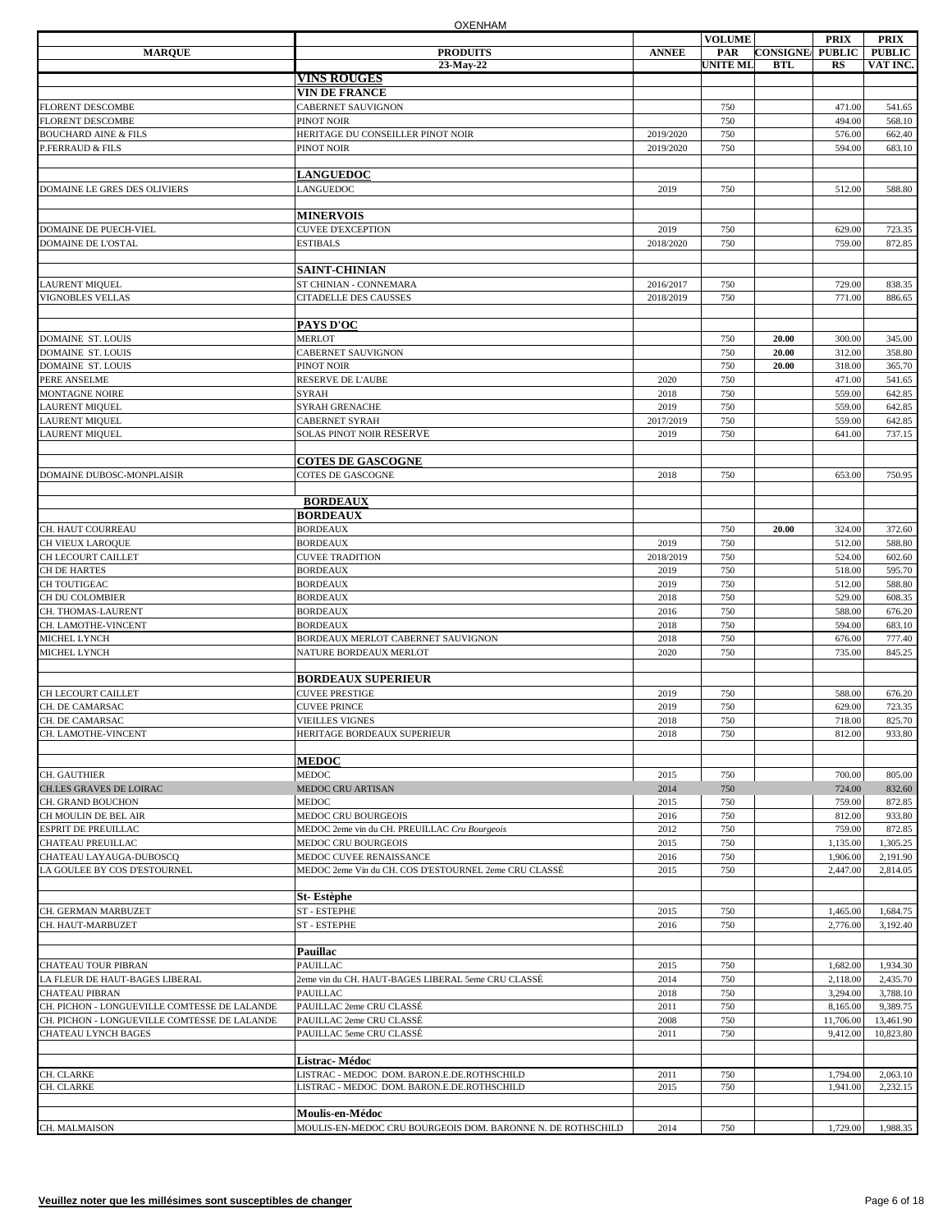|                                                    |                                                                                          |              | <b>VOLUME</b>   |                        | <b>PRIX</b>          | PRIX                 |
|----------------------------------------------------|------------------------------------------------------------------------------------------|--------------|-----------------|------------------------|----------------------|----------------------|
| <b>MARQUE</b>                                      | <b>PRODUITS</b>                                                                          | <b>ANNEE</b> | PAR             | <b>CONSIGNE PUBLIC</b> |                      | <b>PUBLIC</b>        |
|                                                    | 23-May-22                                                                                |              | <b>UNITE ML</b> | <b>BTL</b>             | RS                   | VAT INC.             |
|                                                    | <b>VINS ROUGES</b>                                                                       |              |                 |                        |                      |                      |
|                                                    | <b>VIN DE FRANCE</b>                                                                     |              |                 |                        |                      |                      |
| <b>FLORENT DESCOMBE</b>                            | CABERNET SAUVIGNON                                                                       |              | 750             |                        | 471.00               | 541.65               |
| <b>FLORENT DESCOMBE</b>                            | PINOT NOIR                                                                               |              | 750             |                        | 494.00               | 568.10               |
| <b>BOUCHARD AINE &amp; FILS</b>                    | HERITAGE DU CONSEILLER PINOT NOIR                                                        | 2019/2020    | 750             |                        | 576.00               | 662.40               |
| <b>P.FERRAUD &amp; FILS</b>                        | PINOT NOIR                                                                               | 2019/2020    | 750             |                        | 594.00               | 683.10               |
|                                                    | <b>LANGUEDOC</b>                                                                         |              |                 |                        |                      |                      |
| DOMAINE LE GRES DES OLIVIERS                       | LANGUEDOC                                                                                | 2019         | 750             |                        | 512.00               | 588.80               |
|                                                    | <b>MINERVOIS</b>                                                                         |              |                 |                        |                      |                      |
| DOMAINE DE PUECH-VIEL                              | <b>CUVEE D'EXCEPTION</b>                                                                 | 2019         | 750             |                        | 629.00               | 723.35               |
| <b>DOMAINE DE L'OSTAL</b>                          | <b>ESTIBALS</b>                                                                          | 2018/2020    | 750             |                        | 759.00               | 872.85               |
|                                                    |                                                                                          |              |                 |                        |                      |                      |
|                                                    | <b>SAINT-CHINIAN</b>                                                                     |              |                 |                        |                      |                      |
| <b>LAURENT MIQUEL</b>                              | ST CHINIAN - CONNEMARA                                                                   | 2016/2017    | 750             |                        | 729.00               | 838.35               |
| <b>VIGNOBLES VELLAS</b>                            | <b>CITADELLE DES CAUSSES</b>                                                             | 2018/2019    | 750             |                        | 771.00               | 886.65               |
|                                                    | PAYS D'OC                                                                                |              |                 |                        |                      |                      |
| <b>DOMAINE ST. LOUIS</b>                           | <b>MERLOT</b>                                                                            |              | 750             | 20.00                  | 300.00               | 345.00               |
| DOMAINE ST. LOUIS                                  | CABERNET SAUVIGNON                                                                       |              | 750             | 20.00                  | 312.00               | 358.80               |
| <b>DOMAINE ST. LOUIS</b>                           | PINOT NOIR                                                                               |              | 750             | 20.00                  | 318.00               | 365.70               |
| PERE ANSELME                                       | RESERVE DE L'AUBE                                                                        | 2020         | 750             |                        | 471.00               | 541.65               |
| MONTAGNE NOIRE                                     | <b>SYRAH</b>                                                                             | 2018         | 750             |                        | 559.00               | 642.85               |
| <b>LAURENT MIQUEL</b>                              | <b>SYRAH GRENACHE</b>                                                                    | 2019         | 750             |                        | 559.00               | 642.85               |
| <b>LAURENT MIQUEL</b>                              | <b>CABERNET SYRAH</b>                                                                    | 2017/2019    | 750             |                        | 559.00               | 642.85               |
| <b>LAURENT MIQUEL</b>                              | SOLAS PINOT NOIR RESERVE                                                                 | 2019         | 750             |                        | 641.00               | 737.15               |
|                                                    |                                                                                          |              |                 |                        |                      |                      |
|                                                    | <b>COTES DE GASCOGNE</b>                                                                 |              |                 |                        |                      |                      |
| DOMAINE DUBOSC-MONPLAISIR                          | <b>COTES DE GASCOGNE</b>                                                                 | 2018         | 750             |                        | 653.00               | 750.95               |
|                                                    | <b>BORDEAUX</b>                                                                          |              |                 |                        |                      |                      |
|                                                    | <b>BORDEAUX</b>                                                                          |              |                 |                        |                      |                      |
| CH. HAUT COURREAU                                  | <b>BORDEAUX</b>                                                                          |              | 750             | 20.00                  | 324.00               | 372.60               |
| CH VIEUX LAROQUE                                   | <b>BORDEAUX</b>                                                                          | 2019         | 750             |                        | 512.00               | 588.80               |
| CH LECOURT CAILLET                                 | <b>CUVEE TRADITION</b>                                                                   | 2018/2019    | 750             |                        | 524.00               | 602.60               |
| <b>CH DE HARTES</b>                                | <b>BORDEAUX</b>                                                                          | 2019         | 750             |                        | 518.00               | 595.70               |
| CH TOUTIGEAC                                       | <b>BORDEAUX</b>                                                                          | 2019         | 750             |                        | 512.00               | 588.80               |
| CH DU COLOMBIER                                    | <b>BORDEAUX</b>                                                                          | 2018         | 750             |                        | 529.00               | 608.35               |
| CH. THOMAS-LAURENT                                 | <b>BORDEAUX</b>                                                                          | 2016         | 750             |                        | 588.00               | 676.20               |
| CH. LAMOTHE-VINCENT                                | <b>BORDEAUX</b>                                                                          | 2018         | 750             |                        | 594.00               | 683.10               |
| MICHEL LYNCH                                       | BORDEAUX MERLOT CABERNET SAUVIGNON                                                       | 2018         | 750             |                        | 676.00               | 777.40               |
| MICHEL LYNCH                                       | NATURE BORDEAUX MERLOT                                                                   | 2020         | 750             |                        | 735.00               | 845.25               |
|                                                    | <b>BORDEAUX SUPERIEUR</b>                                                                |              |                 |                        |                      |                      |
| CH LECOURT CAILLET                                 | <b>CUVEE PRESTIGE</b>                                                                    | 2019         | 750             |                        | 588.00               | 676.20               |
| CH. DE CAMARSAC                                    | <b>CUVEE PRINCE</b>                                                                      | 2019         | 750             |                        | 629.00               | 723.35               |
| CH. DE CAMARSAC                                    | <b>VIEILLES VIGNES</b>                                                                   | 2018         | 750             |                        | 718.00               | 825.70               |
| CH. LAMOTHE-VINCENT                                | HERITAGE BORDEAUX SUPERIEUR                                                              | 2018         | 750             |                        | 812.00               | 933.80               |
|                                                    |                                                                                          |              |                 |                        |                      |                      |
|                                                    | <b>MEDOC</b><br><b>MEDOC</b>                                                             | 2015         |                 |                        |                      | 805.00               |
| CH. GAUTHIER                                       |                                                                                          |              | 750             |                        | 700.00               |                      |
| CH.LES GRAVES DE LOIRAC                            | MEDOC CRU ARTISAN                                                                        | 2014         | 750             |                        | 724.00               | 832.60               |
| CH. GRAND BOUCHON                                  | <b>MEDOC</b><br>MEDOC CRU BOURGEOIS                                                      | 2015         | 750<br>750      |                        | 759.00<br>812.00     | 872.85<br>933.80     |
| CH MOULIN DE BEL AIR<br><b>ESPRIT DE PREUILLAC</b> | MEDOC 2eme vin du CH. PREUILLAC Cru Bourgeois                                            | 2016<br>2012 | 750             |                        | 759.00               | 872.85               |
|                                                    |                                                                                          |              |                 |                        |                      |                      |
| CHATEAU PREUILLAC<br>CHATEAU LAYAUGA-DUBOSCQ       | MEDOC CRU BOURGEOIS<br>MEDOC CUVEE RENAISSANCE                                           | 2015         | 750<br>750      |                        | 1,135.00             | 1,305.25<br>2,191.90 |
| LA GOULEE BY COS D'ESTOURNEL                       | MEDOC 2eme Vin du CH. COS D'ESTOURNEL 2eme CRU CLASSÉ                                    | 2016<br>2015 | 750             |                        | 1,906.00<br>2,447.00 | 2,814.05             |
|                                                    |                                                                                          |              |                 |                        |                      |                      |
|                                                    | St-Estèphe                                                                               |              |                 |                        |                      |                      |
| CH. GERMAN MARBUZET                                | ST-ESTEPHE                                                                               | 2015         | 750             |                        | 1,465.00             | 1,684.75             |
| CH. HAUT-MARBUZET                                  | <b>ST-ESTEPHE</b>                                                                        | 2016         | 750             |                        | 2,776.00             | 3,192.40             |
|                                                    | Pauillac                                                                                 |              |                 |                        |                      |                      |
| <b>CHATEAU TOUR PIBRAN</b>                         | <b>PAUILLAC</b>                                                                          | 2015         | 750             |                        | 1,682.00             | 1,934.30             |
| LA FLEUR DE HAUT-BAGES LIBERAL                     | 2eme vin du CH. HAUT-BAGES LIBERAL 5eme CRU CLASSÉ                                       | 2014         | 750             |                        | 2,118.00             | 2,435.70             |
| <b>CHATEAU PIBRAN</b>                              | <b>PAUILLAC</b>                                                                          | 2018         | 750             |                        | 3,294.00             | 3,788.10             |
| CH. PICHON - LONGUEVILLE COMTESSE DE LALANDE       | PAUILLAC 2eme CRU CLASSÉ                                                                 | 2011         | 750             |                        | 8,165.00             | 9,389.75             |
| CH. PICHON - LONGUEVILLE COMTESSE DE LALANDE       | PAUILLAC 2eme CRU CLASSÉ                                                                 | 2008         | 750             |                        | 11,706.00            | 13,461.90            |
| CHATEAU LYNCH BAGES                                | PAUILLAC 5eme CRU CLASSÉ                                                                 | 2011         | 750             |                        | 9,412.00             | 10,823.80            |
|                                                    |                                                                                          |              |                 |                        |                      |                      |
|                                                    | Listrac-Médoc                                                                            |              |                 |                        |                      |                      |
| CH. CLARKE<br>CH. CLARKE                           | LISTRAC - MEDOC DOM. BARON.E.DE.ROTHSCHILD<br>LISTRAC - MEDOC DOM. BARON.E.DE.ROTHSCHILD | 2011<br>2015 | 750<br>750      |                        | 1,794.00<br>1,941.00 | 2,063.10<br>2,232.15 |
|                                                    |                                                                                          |              |                 |                        |                      |                      |
|                                                    | Moulis-en-Médoc                                                                          |              |                 |                        |                      |                      |
| CH. MALMAISON                                      | MOULIS-EN-MEDOC CRU BOURGEOIS DOM. BARONNE N. DE ROTHSCHILD                              | 2014         | 750             |                        | 1,729.00             | 1,988.35             |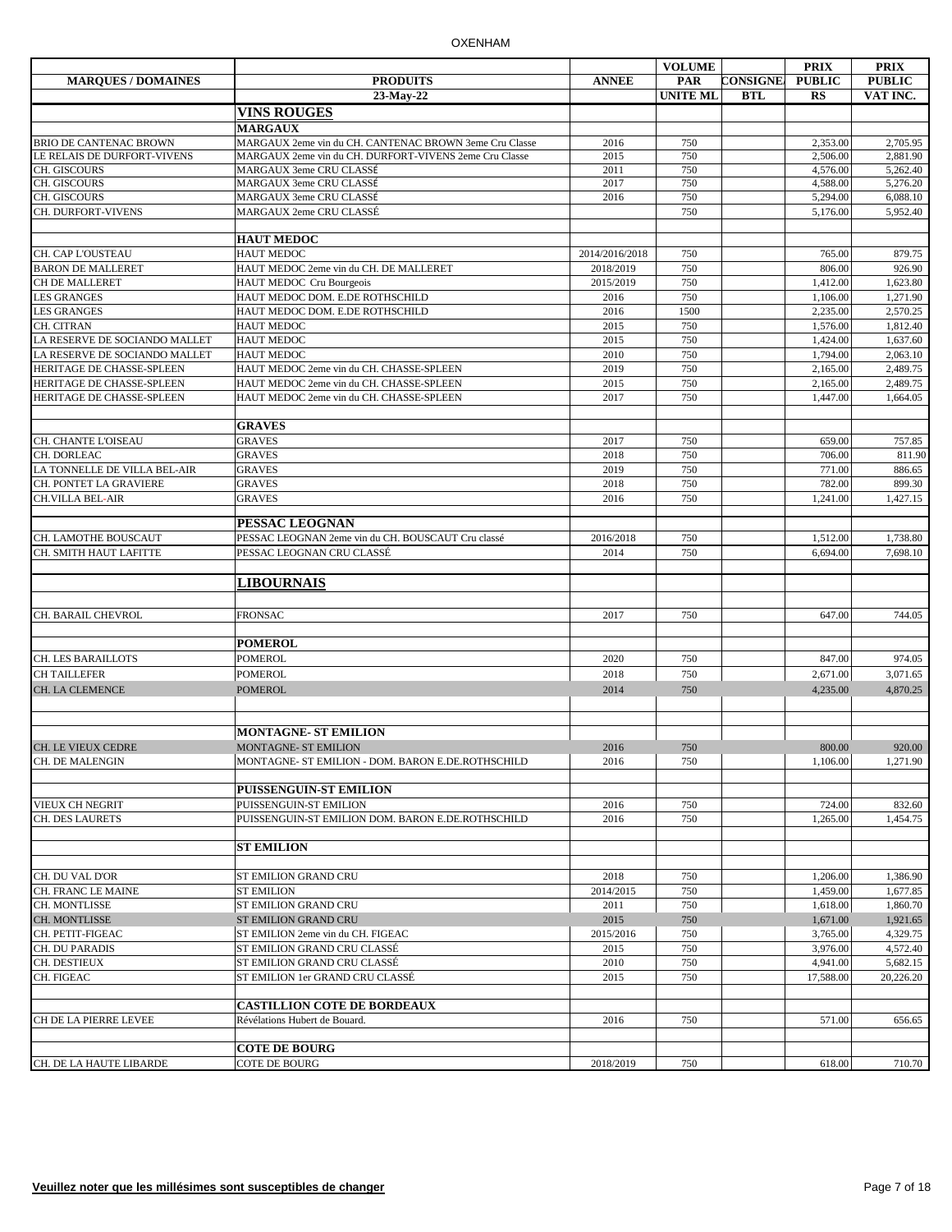|                               |                                                        |                | <b>VOLUME</b>   |                 | <b>PRIX</b>   | <b>PRIX</b>   |
|-------------------------------|--------------------------------------------------------|----------------|-----------------|-----------------|---------------|---------------|
| <b>MARQUES / DOMAINES</b>     | <b>PRODUITS</b>                                        | <b>ANNEE</b>   | <b>PAR</b>      | <b>CONSIGNE</b> | <b>PUBLIC</b> | <b>PUBLIC</b> |
|                               | 23-May-22                                              |                | <b>UNITE ML</b> | <b>BTL</b>      | $_{RS}$       | VAT INC.      |
|                               | <b>VINS ROUGES</b>                                     |                |                 |                 |               |               |
|                               | <b>MARGAUX</b>                                         |                |                 |                 |               |               |
| <b>BRIO DE CANTENAC BROWN</b> | MARGAUX 2eme vin du CH. CANTENAC BROWN 3eme Cru Classe | 2016           | 750             |                 | 2,353.00      | 2,705.95      |
| LE RELAIS DE DURFORT-VIVENS   | MARGAUX 2eme vin du CH. DURFORT-VIVENS 2eme Cru Classe | 2015           | 750             |                 | 2,506.00      | 2,881.90      |
| CH. GISCOURS                  | MARGAUX 3eme CRU CLASSÉ                                | 2011           | 750             |                 | 4,576.00      | 5,262.40      |
| CH. GISCOURS                  | MARGAUX 3eme CRU CLASSÉ                                | 2017           | 750             |                 | 4,588.00      | 5,276.20      |
| CH. GISCOURS                  | MARGAUX 3eme CRU CLASSÉ                                | 2016           | 750             |                 | 5,294.00      | 6,088.10      |
| CH. DURFORT-VIVENS            | MARGAUX 2eme CRU CLASSÉ                                |                | 750             |                 | 5,176.00      | 5.952.40      |
|                               | <b>HAUT MEDOC</b>                                      |                |                 |                 |               |               |
| CH. CAP L'OUSTEAU             | <b>HAUT MEDOC</b>                                      | 2014/2016/2018 | 750             |                 | 765.00        | 879.75        |
| <b>BARON DE MALLERET</b>      | HAUT MEDOC 2eme vin du CH. DE MALLERET                 | 2018/2019      | 750             |                 | 806.00        | 926.90        |
| CH DE MALLERET                | HAUT MEDOC Cru Bourgeois                               | 2015/2019      | 750             |                 | 1,412.00      | 1,623.80      |
| <b>LES GRANGES</b>            | HAUT MEDOC DOM. E.DE ROTHSCHILD                        | 2016           | 750             |                 | 1,106.00      | 1,271.90      |
| <b>LES GRANGES</b>            | HAUT MEDOC DOM. E.DE ROTHSCHILD                        | 2016           | 1500            |                 | 2,235.00      | 2,570.25      |
| CH. CITRAN                    | <b>HAUT MEDOC</b>                                      | 2015           | 750             |                 | 1,576.00      | 1,812.40      |
| LA RESERVE DE SOCIANDO MALLET | <b>HAUT MEDOC</b>                                      | 2015           | 750             |                 | 1,424.00      | 1,637.60      |
| LA RESERVE DE SOCIANDO MALLET | <b>HAUT MEDOC</b>                                      | 2010           | 750             |                 | 1,794.00      | 2,063.10      |
| HERITAGE DE CHASSE-SPLEEN     | HAUT MEDOC 2eme vin du CH. CHASSE-SPLEEN               | 2019           | 750             |                 | 2,165.00      | 2,489.75      |
| HERITAGE DE CHASSE-SPLEEN     | HAUT MEDOC 2eme vin du CH. CHASSE-SPLEEN               | 2015           | 750             |                 | 2,165.00      | 2.489.75      |
| HERITAGE DE CHASSE-SPLEEN     | HAUT MEDOC 2eme vin du CH. CHASSE-SPLEEN               | 2017           | 750             |                 | 1,447.00      | 1,664.05      |
|                               | <b>GRAVES</b>                                          |                |                 |                 |               |               |
| CH. CHANTE L'OISEAU           | <b>GRAVES</b>                                          | 2017           | 750             |                 | 659.00        | 757.85        |
| CH. DORLEAC                   | <b>GRAVES</b>                                          | 2018           | 750             |                 | 706.00        | 811.90        |
| LA TONNELLE DE VILLA BEL-AIR  | <b>GRAVES</b>                                          | 2019           | 750             |                 | 771.00        | 886.65        |
| CH. PONTET LA GRAVIERE        |                                                        |                |                 |                 |               |               |
|                               | <b>GRAVES</b>                                          | 2018           | 750             |                 | 782.00        | 899.30        |
| CH.VILLA BEL-AIR              | <b>GRAVES</b>                                          | 2016           | 750             |                 | 1,241.00      | 1.427.15      |
|                               | PESSAC LEOGNAN                                         |                |                 |                 |               |               |
| CH. LAMOTHE BOUSCAUT          | PESSAC LEOGNAN 2eme vin du CH. BOUSCAUT Cru classé     | 2016/2018      | 750             |                 | 1,512.00      | 1,738.80      |
| CH. SMITH HAUT LAFITTE        | PESSAC LEOGNAN CRU CLASSÉ                              | 2014           | 750             |                 | 6,694.00      | 7,698.10      |
|                               | <b>LIBOURNAIS</b>                                      |                |                 |                 |               |               |
|                               |                                                        |                |                 |                 |               |               |
| CH. BARAIL CHEVROL            | <b>FRONSAC</b>                                         | 2017           | 750             |                 | 647.00        | 744.05        |
|                               | <b>POMEROL</b>                                         |                |                 |                 |               |               |
| CH. LES BARAILLOTS            | <b>POMEROL</b>                                         | 2020           | 750             |                 | 847.00        | 974.05        |
| <b>CH TAILLEFER</b>           | <b>POMEROL</b>                                         | 2018           | 750             |                 | 2,671.00      | 3,071.65      |
| <b>CH. LA CLEMENCE</b>        | <b>POMEROL</b>                                         | 2014           | 750             |                 | 4,235.00      | 4,870.25      |
|                               |                                                        |                |                 |                 |               |               |
|                               | <b>MONTAGNE- ST EMILION</b>                            |                |                 |                 |               |               |
| CH. LE VIEUX CEDRE            | MONTAGNE- ST EMILION                                   | 2016           | 750             |                 | 800.00        | 920.00        |
| CH. DE MALENGIN               | MONTAGNE- ST EMILION - DOM. BARON E.DE.ROTHSCHILD      | 2016           | 750             |                 | 1,106.00      | 1,271.90      |
|                               | PUISSENGUIN-ST EMILION                                 |                |                 |                 |               |               |
| VIEUX CH NEGRIT               | PUISSENGUIN-ST EMILION                                 | 2016           | 750             |                 | 724.00        | 832.60        |
| CH. DES LAURETS               | PUISSENGUIN-ST EMILION DOM. BARON E.DE.ROTHSCHILD      | 2016           | 750             |                 | 1,265.00      | 1.454.75      |
|                               | <b>ST EMILION</b>                                      |                |                 |                 |               |               |
|                               |                                                        |                |                 |                 |               |               |
| CH. DU VAL D'OR               | ST EMILION GRAND CRU                                   | 2018           | 750             |                 | 1,206.00      | 1,386.90      |
| CH. FRANC LE MAINE            | <b>ST EMILION</b>                                      | 2014/2015      | 750             |                 | 1,459.00      | 1,677.85      |
| CH. MONTLISSE                 | ST EMILION GRAND CRU                                   | 2011           | 750             |                 | 1,618.00      | 1,860.70      |
| CH. MONTLISSE                 | ST EMILION GRAND CRU                                   | 2015           | 750             |                 | 1,671.00      | 1,921.65      |
| CH. PETIT-FIGEAC              | ST EMILION 2eme vin du CH. FIGEAC                      | 2015/2016      | 750             |                 | 3,765.00      | 4,329.75      |
| CH. DU PARADIS                | ST EMILION GRAND CRU CLASSÉ                            | 2015           | 750             |                 | 3,976.00      | 4,572.40      |
| CH. DESTIEUX                  | ST EMILION GRAND CRU CLASSÉ                            | 2010           | 750             |                 | 4,941.00      | 5,682.15      |
| CH. FIGEAC                    | ST EMILION 1er GRAND CRU CLASSÉ                        | 2015           | 750             |                 | 17,588.00     | 20,226.20     |
|                               | <b>CASTILLION COTE DE BORDEAUX</b>                     |                |                 |                 |               |               |
| CH DE LA PIERRE LEVEE         | Révélations Hubert de Bouard.                          | 2016           | 750             |                 | 571.00        | 656.65        |
|                               |                                                        |                |                 |                 |               |               |
| CH. DE LA HAUTE LIBARDE       | <b>COTE DE BOURG</b><br><b>COTE DE BOURG</b>           | 2018/2019      | 750             |                 | 618.00        | 710.70        |
|                               |                                                        |                |                 |                 |               |               |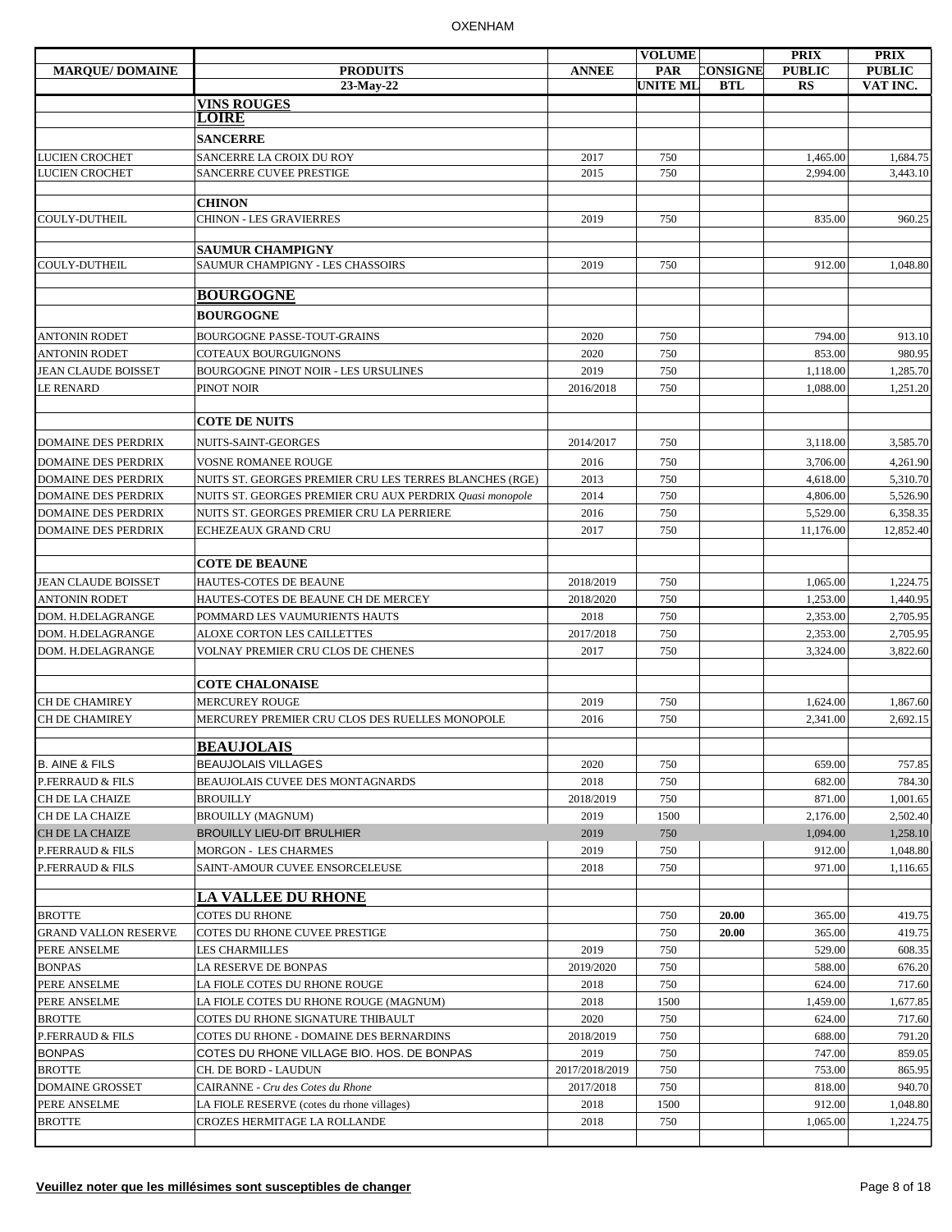|                             |                                                          |                | <b>VOLUME</b>   |            | <b>PRIX</b>   | <b>PRIX</b>   |
|-----------------------------|----------------------------------------------------------|----------------|-----------------|------------|---------------|---------------|
| <b>MARQUE/DOMAINE</b>       | <b>PRODUITS</b>                                          | <b>ANNEE</b>   | <b>PAR</b>      | CONSIGNE   | <b>PUBLIC</b> | <b>PUBLIC</b> |
|                             | 23-May-22                                                |                | <b>UNITE ML</b> | <b>BTL</b> | RS            | VAT INC.      |
|                             | <b>VINS ROUGES</b>                                       |                |                 |            |               |               |
|                             | <b>LOIRE</b>                                             |                |                 |            |               |               |
|                             | <b>SANCERRE</b>                                          |                |                 |            |               |               |
| <b>LUCIEN CROCHET</b>       | SANCERRE LA CROIX DU ROY                                 | 2017           | 750             |            | 1,465.00      | 1,684.75      |
| <b>LUCIEN CROCHET</b>       | SANCERRE CUVEE PRESTIGE                                  | 2015           | 750             |            | 2,994.00      | 3,443.10      |
|                             |                                                          |                |                 |            |               |               |
|                             | <b>CHINON</b>                                            |                |                 |            |               |               |
| COULY-DUTHEIL               | <b>CHINON - LES GRAVIERRES</b>                           | 2019           | 750             |            | 835.00        | 960.25        |
|                             |                                                          |                |                 |            |               |               |
|                             | <b>SAUMUR CHAMPIGNY</b>                                  |                |                 |            |               |               |
| COULY-DUTHEIL               | SAUMUR CHAMPIGNY - LES CHASSOIRS                         | 2019           | 750             |            | 912.00        | 1,048.80      |
|                             | <b>BOURGOGNE</b>                                         |                |                 |            |               |               |
|                             |                                                          |                |                 |            |               |               |
|                             | <b>BOURGOGNE</b>                                         |                |                 |            |               |               |
| <b>ANTONIN RODET</b>        | BOURGOGNE PASSE-TOUT-GRAINS                              | 2020           | 750             |            | 794.00        | 913.10        |
| <b>ANTONIN RODET</b>        | <b>COTEAUX BOURGUIGNONS</b>                              | 2020           | 750             |            | 853.00        | 980.95        |
| <b>JEAN CLAUDE BOISSET</b>  | BOURGOGNE PINOT NOIR - LES URSULINES                     | 2019           | 750             |            | 1,118.00      | 1,285.70      |
| <b>LE RENARD</b>            | PINOT NOIR                                               | 2016/2018      | 750             |            | 1,088.00      | 1,251.20      |
|                             |                                                          |                |                 |            |               |               |
|                             | <b>COTE DE NUITS</b>                                     |                |                 |            |               |               |
| <b>DOMAINE DES PERDRIX</b>  | NUITS-SAINT-GEORGES                                      | 2014/2017      | 750             |            | 3,118.00      | 3,585.70      |
|                             |                                                          |                |                 |            |               |               |
| <b>DOMAINE DES PERDRIX</b>  | <b>VOSNE ROMANEE ROUGE</b>                               | 2016           | 750             |            | 3.706.00      | 4,261.90      |
| <b>DOMAINE DES PERDRIX</b>  | NUITS ST. GEORGES PREMIER CRU LES TERRES BLANCHES (RGE)  | 2013           | 750             |            | 4,618.00      | 5,310.70      |
| <b>DOMAINE DES PERDRIX</b>  | NUITS ST. GEORGES PREMIER CRU AUX PERDRIX Quasi monopole | 2014           | 750             |            | 4,806.00      | 5,526.90      |
| <b>DOMAINE DES PERDRIX</b>  | NUITS ST. GEORGES PREMIER CRU LA PERRIERE                | 2016           | 750             |            | 5,529.00      | 6,358.35      |
| <b>DOMAINE DES PERDRIX</b>  | ECHEZEAUX GRAND CRU                                      | 2017           | 750             |            | 11,176.00     | 12,852.40     |
|                             |                                                          |                |                 |            |               |               |
|                             | <b>COTE DE BEAUNE</b>                                    |                |                 |            |               |               |
| <b>JEAN CLAUDE BOISSET</b>  | HAUTES-COTES DE BEAUNE                                   | 2018/2019      | 750             |            | 1,065.00      | 1,224.75      |
| ANTONIN RODET               | HAUTES-COTES DE BEAUNE CH DE MERCEY                      | 2018/2020      | 750             |            | 1,253.00      | 1,440.95      |
| DOM. H.DELAGRANGE           | POMMARD LES VAUMURIENTS HAUTS                            | 2018           | 750             |            | 2,353.00      | 2,705.95      |
| DOM. H.DELAGRANGE           | ALOXE CORTON LES CAILLETTES                              | 2017/2018      | 750             |            | 2,353.00      | 2,705.95      |
| DOM. H.DELAGRANGE           | VOLNAY PREMIER CRU CLOS DE CHENES                        | 2017           | 750             |            | 3,324.00      | 3,822.60      |
|                             |                                                          |                |                 |            |               |               |
|                             | <b>COTE CHALONAISE</b>                                   |                |                 |            |               |               |
| CH DE CHAMIREY              | <b>MERCUREY ROUGE</b>                                    | 2019           | 750             |            | 1,624.00      | 1,867.60      |
| <b>CH DE CHAMIREY</b>       | MERCUREY PREMIER CRU CLOS DES RUELLES MONOPOLE           | 2016           | 750             |            | 2,341.00      | 2,692.15      |
|                             |                                                          |                |                 |            |               |               |
|                             | <b>BEAUJOLAIS</b>                                        |                |                 |            |               |               |
| <b>B. AINE &amp; FILS</b>   | <b>BEAUJOLAIS VILLAGES</b>                               | 2020           | 750             |            | 659.00        | 757.85        |
| P.FERRAUD & FILS            | BEAUJOLAIS CUVEE DES MONTAGNARDS                         | 2018           | 750             |            | 682.00        | 784.30        |
| CH DE LA CHAIZE             | <b>BROUILLY</b>                                          | 2018/2019      | 750             |            | 871.00        | 1,001.65      |
| CH DE LA CHAIZE             | <b>BROUILLY (MAGNUM)</b>                                 | 2019           | 1500            |            | 2,176.00      | 2,502.40      |
| CH DE LA CHAIZE             | <b>BROUILLY LIEU-DIT BRULHIER</b>                        | 2019           | 750             |            | 1,094.00      | 1,258.10      |
| P.FERRAUD & FILS            | MORGON - LES CHARMES                                     | 2019           | 750             |            | 912.00        | 1,048.80      |
| P.FERRAUD & FILS            | SAINT-AMOUR CUVEE ENSORCELEUSE                           | 2018           | 750             |            | 971.00        | 1,116.65      |
|                             |                                                          |                |                 |            |               |               |
|                             | <b>LA VALLEE DU RHONE</b>                                |                |                 |            |               |               |
| <b>BROTTE</b>               | <b>COTES DU RHONE</b>                                    |                | 750             | 20.00      | 365.00        | 419.75        |
| <b>GRAND VALLON RESERVE</b> | COTES DU RHONE CUVEE PRESTIGE                            |                | 750             | 20.00      | 365.00        | 419.75        |
| PERE ANSELME                | LES CHARMILLES                                           | 2019           | 750             |            | 529.00        | 608.35        |
| <b>BONPAS</b>               | LA RESERVE DE BONPAS                                     | 2019/2020      | 750             |            | 588.00        | 676.20        |
| PERE ANSELME                | LA FIOLE COTES DU RHONE ROUGE                            | 2018           | 750             |            | 624.00        | 717.60        |
| PERE ANSELME                | LA FIOLE COTES DU RHONE ROUGE (MAGNUM)                   | 2018           | 1500            |            | 1,459.00      | 1,677.85      |
| <b>BROTTE</b>               | COTES DU RHONE SIGNATURE THIBAULT                        | 2020           | 750             |            | 624.00        | 717.60        |
| P.FERRAUD & FILS            | COTES DU RHONE - DOMAINE DES BERNARDINS                  | 2018/2019      | 750             |            | 688.00        | 791.20        |
| <b>BONPAS</b>               | COTES DU RHONE VILLAGE BIO. HOS. DE BONPAS               | 2019           | 750             |            | 747.00        | 859.05        |
| <b>BROTTE</b>               | CH. DE BORD - LAUDUN                                     | 2017/2018/2019 | 750             |            | 753.00        | 865.95        |
| <b>DOMAINE GROSSET</b>      | CAIRANNE - Cru des Cotes du Rhone                        | 2017/2018      | 750             |            | 818.00        | 940.70        |
| PERE ANSELME                | LA FIOLE RESERVE (cotes du rhone villages)               | 2018           | 1500            |            | 912.00        | 1,048.80      |
| <b>BROTTE</b>               | CROZES HERMITAGE LA ROLLANDE                             | 2018           | 750             |            | 1,065.00      | 1,224.75      |
|                             |                                                          |                |                 |            |               |               |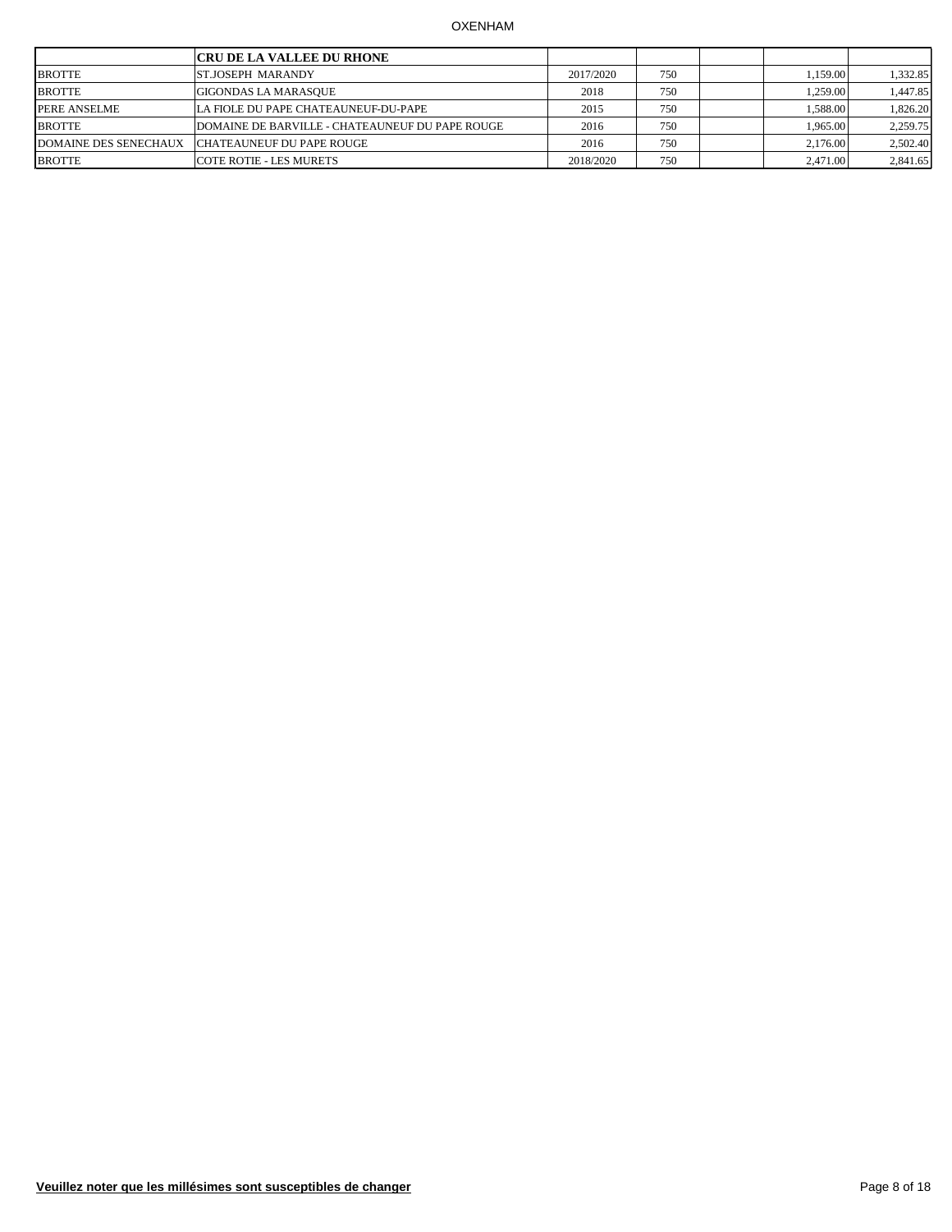|                              | <b>CRU DE LA VALLEE DU RHONE</b>                |           |     |          |          |
|------------------------------|-------------------------------------------------|-----------|-----|----------|----------|
| <b>BROTTE</b>                | <b>ST.JOSEPH MARANDY</b>                        | 2017/2020 | 750 | .159.00  | 1,332.85 |
| <b>BROTTE</b>                | <b>GIGONDAS LA MARASOUE</b>                     | 2018      | 750 | 1.259.00 | ,447.85  |
| PERE ANSELME                 | ILA FIOLE DU PAPE CHATEAUNEUF-DU-PAPE           | 2015      | 750 | 1.588.00 | 1,826.20 |
| <b>BROTTE</b>                | DOMAINE DE BARVILLE - CHATEAUNEUF DU PAPE ROUGE | 2016      | 750 | 1.965.00 | 2,259.75 |
| <b>DOMAINE DES SENECHAUX</b> | CHATEAUNEUF DU PAPE ROUGE                       | 2016      | 750 | 2,176.00 | 2,502.40 |
| <b>BROTTE</b>                | <b>COTE ROTIE - LES MURETS</b>                  | 2018/2020 | 750 | 2.471.00 | 2,841.65 |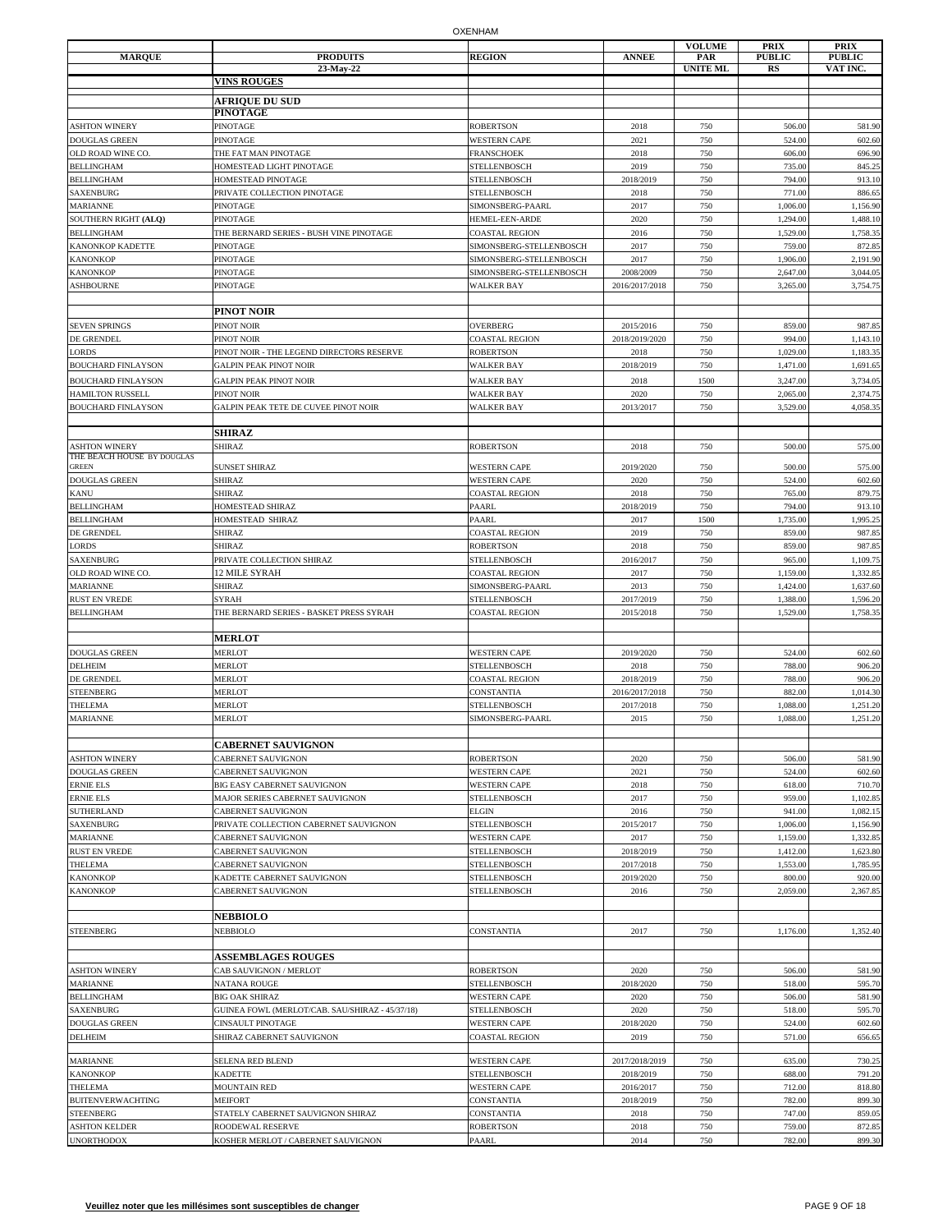| <b>MARQUE</b>                                        | <b>PRODUITS</b><br>23-May-22                                             | <b>REGION</b>                                | <b>ANNEE</b>                | <b>VOLUME</b><br>PAR<br><b>UNITE ML</b> | <b>PRIX</b><br><b>PUBLIC</b><br><b>RS</b> | <b>PRIX</b><br><b>PUBLIC</b><br>VAT INC. |
|------------------------------------------------------|--------------------------------------------------------------------------|----------------------------------------------|-----------------------------|-----------------------------------------|-------------------------------------------|------------------------------------------|
|                                                      | <b>VINS ROUGES</b>                                                       |                                              |                             |                                         |                                           |                                          |
|                                                      | <b>AFRIQUE DU SUD</b>                                                    |                                              |                             |                                         |                                           |                                          |
|                                                      | <b>PINOTAGE</b><br><b>PINOTAGE</b>                                       |                                              |                             |                                         |                                           |                                          |
| <b>ASHTON WINERY</b><br><b>DOUGLAS GREEN</b>         | <b>PINOTAGE</b>                                                          | <b>ROBERTSON</b><br><b>WESTERN CAPE</b>      | 2018<br>2021                | 750<br>750                              | 506.00<br>524.00                          | 581.90<br>602.60                         |
| OLD ROAD WINE CO.                                    | THE FAT MAN PINOTAGE                                                     | <b>FRANSCHOEK</b>                            | 2018                        | 750                                     | 606.00                                    | 696.90                                   |
| BELLINGHAM                                           | HOMESTEAD LIGHT PINOTAGE                                                 | STELLENBOSCH                                 | 2019                        | 750                                     | 735.00                                    | 845.25                                   |
| <b>BELLINGHAM</b>                                    | HOMESTEAD PINOTAGE                                                       | STELLENBOSCH                                 | 2018/2019                   | 750                                     | 794.00                                    | 913.10                                   |
| SAXENBURG<br><b>MARIANNE</b>                         | PRIVATE COLLECTION PINOTAGE<br><b>PINOTAGE</b>                           | <b>STELLENBOSCH</b><br>SIMONSBERG-PAARL      | 2018<br>2017                | 750<br>750                              | 771.00<br>1,006.00                        | 886.65<br>1,156.90                       |
| SOUTHERN RIGHT (ALQ)                                 | <b>PINOTAGE</b>                                                          | <b>HEMEL-EEN-ARDE</b>                        | 2020                        | 750                                     | 1,294.00                                  | 1,488.10                                 |
| <b>BELLINGHAM</b>                                    | THE BERNARD SERIES - BUSH VINE PINOTAGE                                  | <b>COASTAL REGION</b>                        | 2016                        | 750                                     | 1,529.00                                  | 1,758.35                                 |
| <b>KANONKOP KADETTE</b>                              | <b>PINOTAGE</b>                                                          | SIMONSBERG-STELLENBOSCH                      | 2017                        | 750                                     | 759.00                                    | 872.85                                   |
| KANONKOP                                             | <b>PINOTAGE</b>                                                          | SIMONSBERG-STELLENBOSCH                      | 2017                        | 750                                     | 1,906.00                                  | 2,191.90                                 |
| KANONKOP<br><b>ASHBOURNE</b>                         | PINOTAGE<br><b>PINOTAGE</b>                                              | SIMONSBERG-STELLENBOSCH<br><b>WALKER BAY</b> | 2008/2009<br>2016/2017/2018 | 750<br>750                              | 2,647.00<br>3,265.00                      | 3,044.05<br>3,754.7                      |
|                                                      | PINOT NOIR                                                               |                                              |                             |                                         |                                           |                                          |
| <b>SEVEN SPRINGS</b>                                 | PINOT NOIR                                                               | <b>OVERBERG</b>                              | 2015/2016                   | 750                                     | 859.00                                    | 987.85                                   |
| DE GRENDEL                                           | PINOT NOIR                                                               | <b>COASTAL REGION</b>                        | 2018/2019/2020              | 750                                     | 994.00                                    | 1,143.10                                 |
| LORDS                                                | PINOT NOIR - THE LEGEND DIRECTORS RESERVE                                | <b>ROBERTSON</b>                             | 2018                        | 750                                     | 1,029.00                                  | 1,183.35                                 |
| <b>BOUCHARD FINLAYSON</b>                            | <b>GALPIN PEAK PINOT NOIR</b>                                            | <b>WALKER BAY</b>                            | 2018/2019                   | 750                                     | 1,471.00                                  | 1,691.65                                 |
| <b>BOUCHARD FINLAYSON</b><br><b>HAMILTON RUSSELL</b> | <b>GALPIN PEAK PINOT NOIR</b><br><b>PINOT NOIR</b>                       | <b>WALKER BAY</b><br><b>WALKER BAY</b>       | 2018<br>2020                | 1500<br>750                             | 3,247.00<br>2,065.00                      | 3,734.05<br>2,374.75                     |
| <b>BOUCHARD FINLAYSON</b>                            | GALPIN PEAK TETE DE CUVEE PINOT NOIR                                     | <b>WALKER BAY</b>                            | 2013/2017                   | 750                                     | 3,529.00                                  | 4,058.35                                 |
|                                                      |                                                                          |                                              |                             |                                         |                                           |                                          |
|                                                      | <b>SHIRAZ</b>                                                            |                                              |                             |                                         |                                           |                                          |
| <b>ASHTON WINERY</b><br>THE BEACH HOUSE BY DOUGLAS   | <b>SHIRAZ</b>                                                            | <b>ROBERTSON</b>                             | 2018                        | 750                                     | 500.00                                    | 575.00                                   |
| GREEN                                                | <b>SUNSET SHIRAZ</b>                                                     | <b>WESTERN CAPE</b>                          | 2019/2020                   | 750                                     | 500.00                                    | 575.00                                   |
| DOUGLAS GREEN                                        | <b>SHIRAZ</b>                                                            | <b>WESTERN CAPE</b>                          | 2020                        | 750                                     | 524.00                                    | 602.60                                   |
| KANU                                                 | <b>SHIRAZ</b>                                                            | <b>COASTAL REGION</b>                        | 2018                        | 750                                     | 765.00                                    | 879.75                                   |
| BELLINGHAM<br>BELLINGHAM                             | HOMESTEAD SHIRAZ<br>HOMESTEAD SHIRAZ                                     | PAARL<br>PAARL                               | 2018/2019<br>2017           | 750<br>1500                             | 794.00<br>1,735.00                        | 913.10<br>1,995.25                       |
| DE GRENDEL                                           | SHIRAZ                                                                   | <b>COASTAL REGION</b>                        | 2019                        | 750                                     | 859.00                                    | 987.85                                   |
| LORDS                                                | <b>SHIRAZ</b>                                                            | <b>ROBERTSON</b>                             | 2018                        | 750                                     | 859.00                                    | 987.85                                   |
| <b>SAXENBURG</b>                                     | PRIVATE COLLECTION SHIRAZ                                                | <b>STELLENBOSCH</b>                          | 2016/2017                   | 750                                     | 965.00                                    | 1,109.75                                 |
| OLD ROAD WINE CO.                                    | 12 MILE SYRAH                                                            | COASTAL REGION                               | 2017                        | 750                                     | 1,159.00                                  | 1,332.85                                 |
| MARIANNE<br><b>RUST EN VREDE</b>                     | SHIRAZ<br>SYRAH                                                          | SIMONSBERG-PAARL<br>STELLENBOSCH             | 2013<br>2017/2019           | 750<br>750                              | 1,424.00<br>1,388.00                      | 1,637.60<br>1,596.20                     |
| <b>BELLINGHAM</b>                                    | THE BERNARD SERIES - BASKET PRESS SYRAH                                  | COASTAL REGION                               | 2015/2018                   | 750                                     | 1,529.00                                  | 1,758.35                                 |
|                                                      | <b>MERLOT</b>                                                            |                                              |                             |                                         |                                           |                                          |
| <b>DOUGLAS GREEN</b>                                 | <b>MERLOT</b>                                                            | <b>WESTERN CAPE</b>                          | 2019/2020                   | 750                                     | 524.00                                    | 602.60                                   |
| DELHEIM                                              | <b>MERLOT</b>                                                            | <b>STELLENBOSCH</b>                          | 2018                        | 750                                     | 788.00                                    | 906.20                                   |
| DE GRENDEL<br><b>STEENBERG</b>                       | <b>MERLOT</b><br><b>MERLOT</b>                                           | <b>COASTAL REGION</b><br>CONSTANTIA          | 2018/2019<br>2016/2017/2018 | 750<br>750                              | 788.00<br>882.00                          | 906.20<br>1,014.30                       |
| THELEMA                                              | MERLOT                                                                   | STELLENBOSCH                                 | 2017/2018                   | 750                                     | 1,088.00                                  | 1,251.20                                 |
| MARIANNE                                             | <b>MERLOT</b>                                                            | SIMONSBERG-PAARL                             | 2015                        | 750                                     | 1,088.00                                  | 1,251.20                                 |
|                                                      |                                                                          |                                              |                             |                                         |                                           |                                          |
|                                                      | <b>CABERNET SAUVIGNON</b>                                                |                                              |                             |                                         |                                           |                                          |
| <b>ASHTON WINERY</b><br>DOUGLAS GREEN                | CABERNET SAUVIGNON<br><b>CABERNET SAUVIGNON</b>                          | <b>ROBERTSON</b><br><b>WESTERN CAPE</b>      | 2020<br>2021                | 750<br>750                              | 506.00<br>524.00                          | 581.90<br>602.60                         |
| ERNIE ELS                                            | BIG EASY CABERNET SAUVIGNON                                              | <b>WESTERN CAPE</b>                          | 2018                        | 750                                     | 618.00                                    | 710.70                                   |
| ERNIE ELS                                            | MAJOR SERIES CABERNET SAUVIGNON                                          | <b>STELLENBOSCH</b>                          | 2017                        | 750                                     | 959.00                                    | 1,102.85                                 |
| SUTHERLAND                                           | <b>CABERNET SAUVIGNON</b>                                                | <b>ELGIN</b>                                 | 2016                        | 750                                     | 941.00                                    | 1,082.15                                 |
| <b>SAXENBURG</b><br><b>MARIANNE</b>                  | PRIVATE COLLECTION CABERNET SAUVIGNON<br><b>CABERNET SAUVIGNON</b>       | <b>STELLENBOSCH</b><br><b>WESTERN CAPE</b>   | 2015/2017<br>2017           | 750<br>750                              | 1,006.00<br>1,159.00                      | 1,156.90<br>1,332.85                     |
| <b>RUST EN VREDE</b>                                 | CABERNET SAUVIGNON                                                       | <b>STELLENBOSCH</b>                          | 2018/2019                   | 750                                     | 1,412.00                                  | 1,623.80                                 |
| THELEMA                                              | <b>CABERNET SAUVIGNON</b>                                                | <b>STELLENBOSCH</b>                          | 2017/2018                   | 750                                     | 1,553.00                                  | 1,785.95                                 |
| <b>KANONKOP</b>                                      | KADETTE CABERNET SAUVIGNON                                               | <b>STELLENBOSCH</b>                          | 2019/2020                   | 750                                     | 800.00                                    | 920.00                                   |
| KANONKOP                                             | <b>CABERNET SAUVIGNON</b>                                                | <b>STELLENBOSCH</b>                          | 2016                        | 750                                     | 2,059.00                                  | 2,367.85                                 |
|                                                      | <b>NEBBIOLO</b>                                                          |                                              |                             |                                         |                                           |                                          |
| <b>STEENBERG</b>                                     | <b>NEBBIOLO</b>                                                          | CONSTANTIA                                   | 2017                        | 750                                     | 1,176.00                                  | 1,352.40                                 |
|                                                      | <b>ASSEMBLAGES ROUGES</b>                                                |                                              |                             |                                         |                                           |                                          |
| <b>ASHTON WINERY</b>                                 | CAB SAUVIGNON / MERLOT                                                   | <b>ROBERTSON</b>                             | 2020                        | 750                                     | 506.00                                    | 581.90                                   |
| MARIANNE                                             | <b>NATANA ROUGE</b>                                                      | <b>STELLENBOSCH</b>                          | 2018/2020<br>2020           | 750                                     | 518.00                                    | 595.70                                   |
| <b>BELLINGHAM</b><br><b>SAXENBURG</b>                | <b>BIG OAK SHIRAZ</b><br>GUINEA FOWL (MERLOT/CAB. SAU/SHIRAZ - 45/37/18) | <b>WESTERN CAPE</b><br><b>STELLENBOSCH</b>   | 2020                        | 750<br>750                              | 506.00<br>518.00                          | 581.90<br>595.70                         |
| DOUGLAS GREEN                                        | <b>CINSAULT PINOTAGE</b>                                                 | <b>WESTERN CAPE</b>                          | 2018/2020                   | 750                                     | 524.00                                    | 602.60                                   |
| DELHEIM                                              | SHIRAZ CABERNET SAUVIGNON                                                | <b>COASTAL REGION</b>                        | 2019                        | 750                                     | 571.00                                    | 656.65                                   |
| <b>MARIANNE</b>                                      | SELENA RED BLEND                                                         | <b>WESTERN CAPE</b>                          | 2017/2018/2019              | 750                                     | 635.00                                    | 730.25                                   |
| <b>KANONKOP</b>                                      | <b>KADETTE</b>                                                           | <b>STELLENBOSCH</b>                          | 2018/2019                   | 750                                     | 688.00                                    | 791.20                                   |
| THELEMA                                              | <b>MOUNTAIN RED</b>                                                      | <b>WESTERN CAPE</b>                          | 2016/2017                   | 750                                     | 712.00                                    | 818.80                                   |
| <b>BUITENVERWACHTING</b>                             | <b>MEIFORT</b>                                                           | CONSTANTIA                                   | 2018/2019                   | 750                                     | 782.00                                    | 899.30                                   |
| <b>STEENBERG</b>                                     | STATELY CABERNET SAUVIGNON SHIRAZ                                        | CONSTANTIA                                   | 2018                        | 750                                     | 747.00                                    | 859.05                                   |
| <b>ASHTON KELDER</b><br><b>UNORTHODOX</b>            | <b>ROODEWAL RESERVE</b><br>KOSHER MERLOT / CABERNET SAUVIGNON            | <b>ROBERTSON</b><br>PAARL                    | 2018<br>2014                | 750<br>750                              | 759.00<br>782.00                          | 872.85<br>899.30                         |
|                                                      |                                                                          |                                              |                             |                                         |                                           |                                          |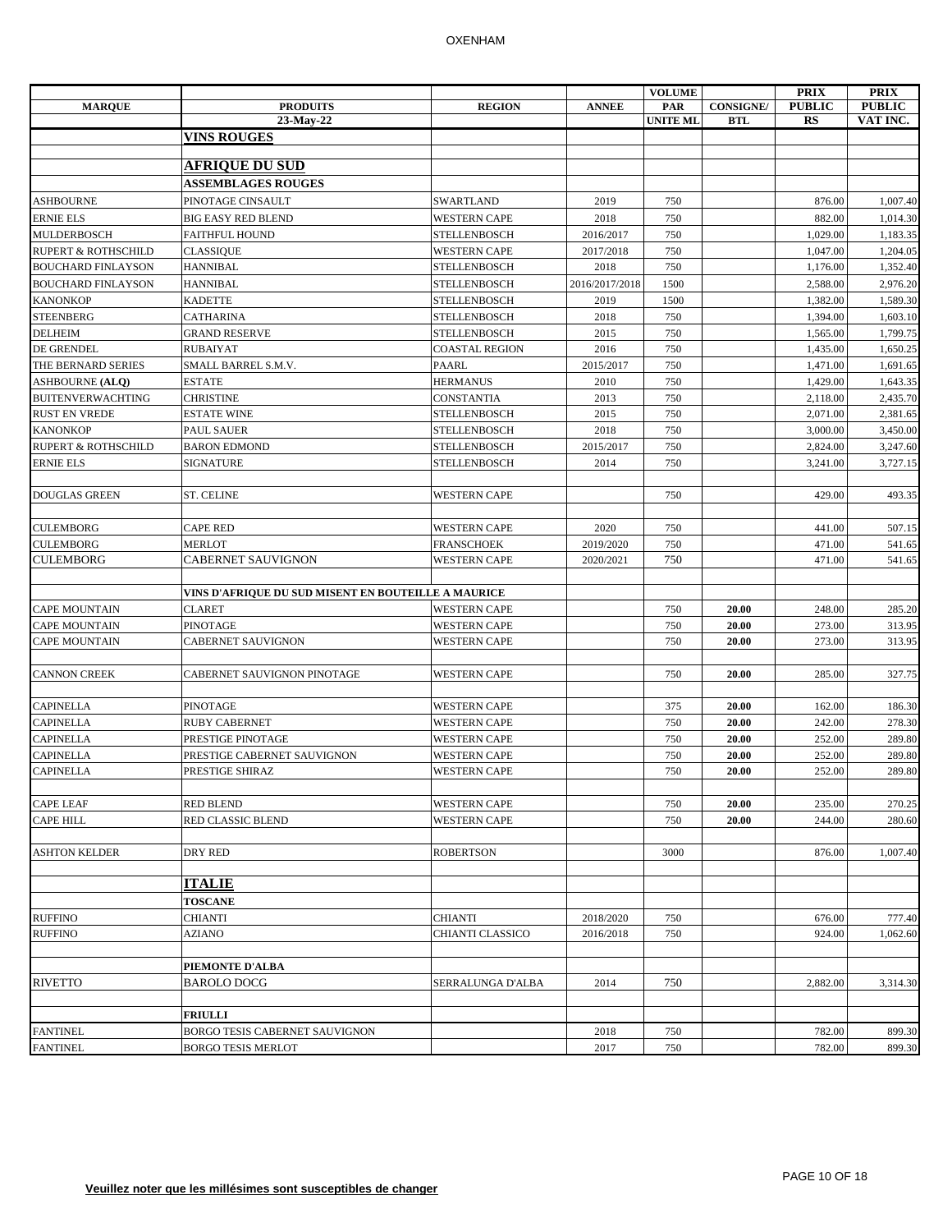|                                               |                                                     |                                            |                   | <b>VOLUME</b>   |                  | <b>PRIX</b>          | <b>PRIX</b>          |
|-----------------------------------------------|-----------------------------------------------------|--------------------------------------------|-------------------|-----------------|------------------|----------------------|----------------------|
| <b>MARQUE</b>                                 | <b>PRODUITS</b>                                     | <b>REGION</b>                              | <b>ANNEE</b>      | PAR             | <b>CONSIGNE/</b> | <b>PUBLIC</b>        | <b>PUBLIC</b>        |
|                                               | 23-May-22                                           |                                            |                   | <b>UNITE ML</b> | <b>BTL</b>       | <b>RS</b>            | VAT INC.             |
|                                               | <b>VINS ROUGES</b>                                  |                                            |                   |                 |                  |                      |                      |
|                                               | <b>AFRIQUE DU SUD</b>                               |                                            |                   |                 |                  |                      |                      |
|                                               | <b>ASSEMBLAGES ROUGES</b>                           |                                            |                   |                 |                  |                      |                      |
| ASHBOURNE                                     | PINOTAGE CINSAULT                                   | SWARTLAND                                  | 2019              | 750             |                  | 876.00               | 1,007.40             |
|                                               |                                                     |                                            |                   |                 |                  |                      |                      |
| <b>ERNIE ELS</b>                              | <b>BIG EASY RED BLEND</b>                           | <b>WESTERN CAPE</b>                        | 2018              | 750             |                  | 882.00               | 1,014.30             |
| MULDERBOSCH<br><b>RUPERT &amp; ROTHSCHILD</b> | FAITHFUL HOUND                                      | <b>STELLENBOSCH</b><br><b>WESTERN CAPE</b> | 2016/2017         | 750<br>750      |                  | 1,029.00<br>1,047.00 | 1,183.35             |
| <b>BOUCHARD FINLAYSON</b>                     | <b>CLASSIQUE</b><br><b>HANNIBAL</b>                 | <b>STELLENBOSCH</b>                        | 2017/2018<br>2018 | 750             |                  | 1,176.00             | 1,204.05<br>1,352.40 |
| <b>BOUCHARD FINLAYSON</b>                     | <b>HANNIBAL</b>                                     | <b>STELLENBOSCH</b>                        | 2016/2017/2018    | 1500            |                  | 2,588.00             | 2,976.20             |
| <b>KANONKOP</b>                               | <b>KADETTE</b>                                      | <b>STELLENBOSCH</b>                        | 2019              | 1500            |                  | 1,382.00             | 1,589.30             |
| <b>STEENBERG</b>                              | <b>CATHARINA</b>                                    | <b>STELLENBOSCH</b>                        | 2018              | 750             |                  | 1,394.00             | 1,603.10             |
| <b>DELHEIM</b>                                | <b>GRAND RESERVE</b>                                | <b>STELLENBOSCH</b>                        | 2015              | 750             |                  | 1,565.00             | 1,799.75             |
| DE GRENDEL                                    | <b>RUBAIYAT</b>                                     | <b>COASTAL REGION</b>                      | 2016              | 750             |                  | 1,435.00             | 1,650.25             |
| THE BERNARD SERIES                            | SMALL BARREL S.M.V.                                 | PAARL                                      | 2015/2017         | 750             |                  | 1,471.00             | 1,691.65             |
| <b>ASHBOURNE (ALQ)</b>                        | <b>ESTATE</b>                                       | <b>HERMANUS</b>                            | 2010              | 750             |                  | 1,429.00             | 1,643.35             |
| <b>BUITENVERWACHTING</b>                      | <b>CHRISTINE</b>                                    | <b>CONSTANTIA</b>                          | 2013              | 750             |                  | 2,118.00             | 2,435.70             |
| <b>RUST EN VREDE</b>                          | <b>ESTATE WINE</b>                                  | <b>STELLENBOSCH</b>                        | 2015              | 750             |                  | 2.071.00             | 2,381.65             |
| <b>KANONKOP</b>                               | <b>PAUL SAUER</b>                                   | <b>STELLENBOSCH</b>                        | 2018              | 750             |                  | 3,000.00             | 3,450.00             |
| <b>RUPERT &amp; ROTHSCHILD</b>                | <b>BARON EDMOND</b>                                 | <b>STELLENBOSCH</b>                        | 2015/2017         | 750             |                  | 2,824.00             | 3,247.60             |
| <b>ERNIE ELS</b>                              | <b>SIGNATURE</b>                                    | <b>STELLENBOSCH</b>                        | 2014              | 750             |                  | 3,241.00             | 3,727.15             |
|                                               |                                                     |                                            |                   |                 |                  |                      |                      |
| <b>DOUGLAS GREEN</b>                          | ST. CELINE                                          | <b>WESTERN CAPE</b>                        |                   | 750             |                  | 429.00               | 493.35               |
|                                               |                                                     |                                            |                   |                 |                  |                      |                      |
| <b>CULEMBORG</b>                              | <b>CAPE RED</b>                                     | <b>WESTERN CAPE</b>                        | 2020              | 750             |                  | 441.00               | 507.15               |
| <b>CULEMBORG</b>                              | <b>MERLOT</b>                                       | <b>FRANSCHOEK</b>                          | 2019/2020         | 750             |                  | 471.00               | 541.65               |
| <b>CULEMBORG</b>                              | <b>CABERNET SAUVIGNON</b>                           | <b>WESTERN CAPE</b>                        | 2020/2021         | 750             |                  | 471.00               | 541.65               |
|                                               |                                                     |                                            |                   |                 |                  |                      |                      |
|                                               | VINS D'AFRIQUE DU SUD MISENT EN BOUTEILLE A MAURICE |                                            |                   |                 |                  |                      |                      |
| <b>CAPE MOUNTAIN</b>                          | <b>CLARET</b>                                       | <b>WESTERN CAPE</b>                        |                   | 750             | 20.00            | 248.00               | 285.20               |
| <b>CAPE MOUNTAIN</b>                          | PINOTAGE                                            | <b>WESTERN CAPE</b>                        |                   | 750             | 20.00            | 273.00               | 313.95               |
| <b>CAPE MOUNTAIN</b>                          | CABERNET SAUVIGNON                                  | <b>WESTERN CAPE</b>                        |                   | 750             | 20.00            | 273.00               | 313.95               |
|                                               |                                                     |                                            |                   |                 |                  |                      |                      |
| <b>CANNON CREEK</b>                           | CABERNET SAUVIGNON PINOTAGE                         | <b>WESTERN CAPE</b>                        |                   | 750             | 20.00            | 285.00               | 327.75               |
|                                               |                                                     |                                            |                   |                 |                  |                      |                      |
| <b>CAPINELLA</b>                              | <b>PINOTAGE</b>                                     | <b>WESTERN CAPE</b>                        |                   | 375             | 20.00            | 162.00               | 186.30               |
| <b>CAPINELLA</b>                              | <b>RUBY CABERNET</b>                                | <b>WESTERN CAPE</b>                        |                   | 750             | 20.00            | 242.00               | 278.30               |
| <b>CAPINELLA</b>                              | PRESTIGE PINOTAGE                                   | <b>WESTERN CAPE</b>                        |                   | 750             | 20.00            | 252.00               | 289.80               |
| <b>CAPINELLA</b>                              | PRESTIGE CABERNET SAUVIGNON                         | <b>WESTERN CAPE</b>                        |                   | 750             | 20.00            | 252.00               | 289.80               |
| <b>CAPINELLA</b>                              | PRESTIGE SHIRAZ                                     | <b>WESTERN CAPE</b>                        |                   | 750             | 20.00            | 252.00               | 289.80               |
|                                               |                                                     |                                            |                   |                 |                  |                      |                      |
| <b>CAPE LEAF</b>                              | <b>RED BLEND</b>                                    | <b>WESTERN CAPE</b>                        |                   | 750             | 20.00            | 235.00               | 270.25               |
| <b>CAPE HILL</b>                              | <b>RED CLASSIC BLEND</b>                            | <b>WESTERN CAPE</b>                        |                   | 750             | 20.00            | 244.00               | 280.60               |
|                                               |                                                     |                                            |                   |                 |                  |                      |                      |
| <b>ASHTON KELDER</b>                          | DRY RED                                             | <b>ROBERTSON</b>                           |                   | 3000            |                  | 876.00               | 1,007.40             |
|                                               |                                                     |                                            |                   |                 |                  |                      |                      |
|                                               | <b>ITALIE</b>                                       |                                            |                   |                 |                  |                      |                      |
|                                               | <b>TOSCANE</b>                                      |                                            |                   |                 |                  |                      |                      |
| <b>RUFFINO</b>                                | <b>CHIANTI</b>                                      | <b>CHIANTI</b>                             | 2018/2020         | 750             |                  | 676.00               | 777.40               |
| <b>RUFFINO</b>                                | AZIANO                                              | CHIANTI CLASSICO                           | 2016/2018         | 750             |                  | 924.00               | 1,062.60             |
|                                               |                                                     |                                            |                   |                 |                  |                      |                      |
|                                               | PIEMONTE D'ALBA                                     |                                            |                   |                 |                  |                      |                      |
| <b>RIVETTO</b>                                | <b>BAROLO DOCG</b>                                  | SERRALUNGA D'ALBA                          | 2014              | 750             |                  | 2,882.00             | 3,314.30             |
|                                               |                                                     |                                            |                   |                 |                  |                      |                      |
|                                               | <b>FRIULLI</b>                                      |                                            |                   |                 |                  |                      |                      |
| <b>FANTINEL</b>                               | BORGO TESIS CABERNET SAUVIGNON                      |                                            | 2018              | 750             |                  | 782.00               | 899.30               |
| <b>FANTINEL</b>                               | <b>BORGO TESIS MERLOT</b>                           |                                            | 2017              | 750             |                  | 782.00               | 899.30               |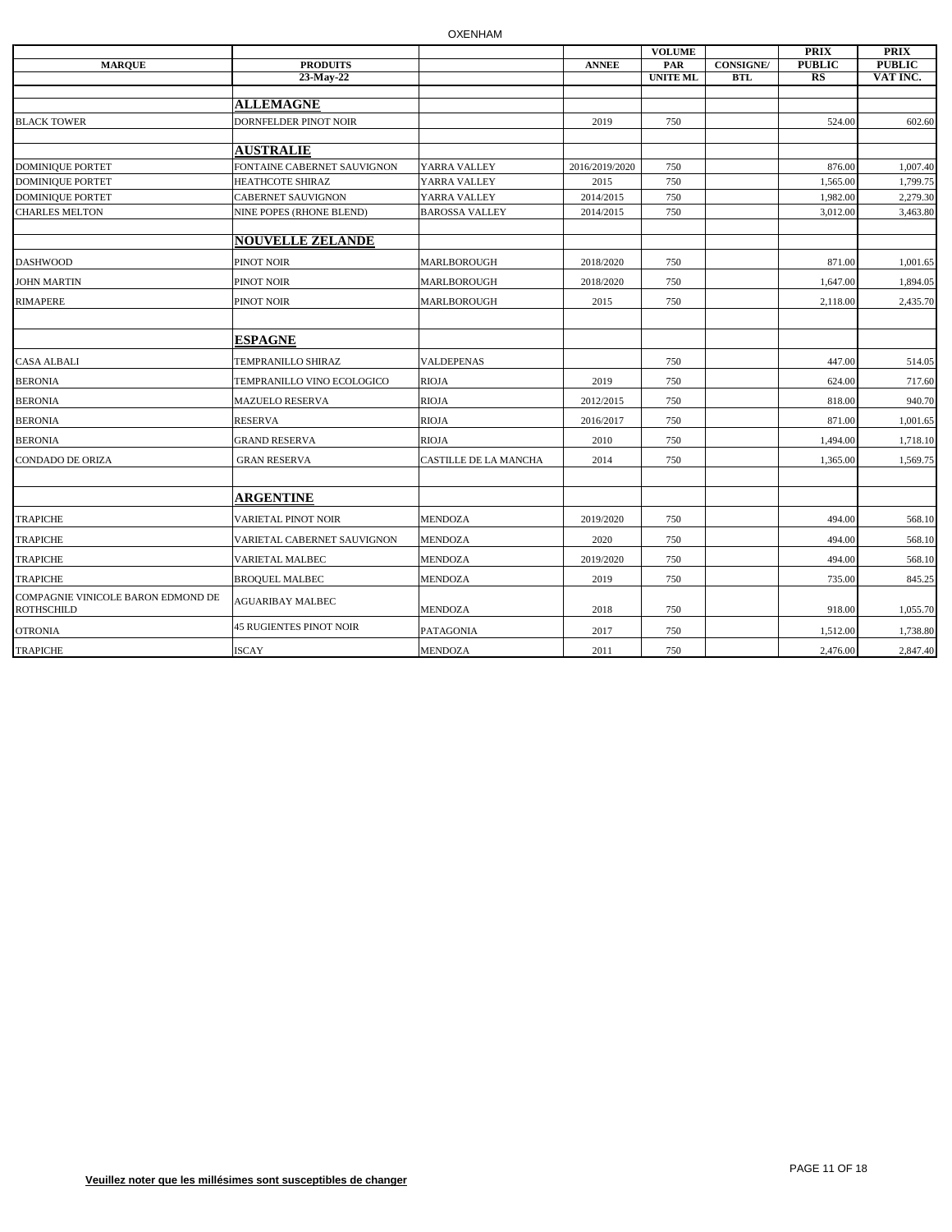|                                                         |                                |                       |                | <b>VOLUME</b>   |                  | <b>PRIX</b>   | <b>PRIX</b>   |
|---------------------------------------------------------|--------------------------------|-----------------------|----------------|-----------------|------------------|---------------|---------------|
| <b>MARQUE</b>                                           | <b>PRODUITS</b>                |                       | <b>ANNEE</b>   | PAR             | <b>CONSIGNE/</b> | <b>PUBLIC</b> | <b>PUBLIC</b> |
|                                                         | $23$ -May-22                   |                       |                | <b>UNITE ML</b> | <b>BTL</b>       | $_{RS}$       | VAT INC.      |
|                                                         | <b>ALLEMAGNE</b>               |                       |                |                 |                  |               |               |
|                                                         |                                |                       |                |                 |                  |               |               |
| <b>BLACK TOWER</b>                                      | DORNFELDER PINOT NOIR          |                       | 2019           | 750             |                  | 524.00        | 602.60        |
|                                                         | <b>AUSTRALIE</b>               |                       |                |                 |                  |               |               |
| <b>DOMINIQUE PORTET</b>                                 | FONTAINE CABERNET SAUVIGNON    | YARRA VALLEY          | 2016/2019/2020 | 750             |                  | 876.00        | 1,007.40      |
| <b>DOMINIQUE PORTET</b>                                 | HEATHCOTE SHIRAZ               | YARRA VALLEY          | 2015           | 750             |                  | 1,565.00      | 1,799.75      |
| <b>DOMINIQUE PORTET</b>                                 | <b>CABERNET SAUVIGNON</b>      | YARRA VALLEY          | 2014/2015      | 750             |                  | 1,982.00      | 2,279.30      |
| <b>CHARLES MELTON</b>                                   | NINE POPES (RHONE BLEND)       | <b>BAROSSA VALLEY</b> | 2014/2015      | 750             |                  | 3,012.00      | 3,463.80      |
|                                                         |                                |                       |                |                 |                  |               |               |
|                                                         | <b>NOUVELLE ZELANDE</b>        |                       |                |                 |                  |               |               |
| <b>DASHWOOD</b>                                         | PINOT NOIR                     | MARLBOROUGH           | 2018/2020      | 750             |                  | 871.00        | 1,001.65      |
| <b>JOHN MARTIN</b>                                      | PINOT NOIR                     | MARLBOROUGH           | 2018/2020      | 750             |                  | 1,647.00      | 1,894.05      |
| <b>RIMAPERE</b>                                         | PINOT NOIR                     | MARLBOROUGH           | 2015           | 750             |                  | 2,118.00      | 2,435.70      |
|                                                         |                                |                       |                |                 |                  |               |               |
|                                                         | <b>ESPAGNE</b>                 |                       |                |                 |                  |               |               |
| <b>CASA ALBALI</b>                                      | TEMPRANILLO SHIRAZ             | <b>VALDEPENAS</b>     |                | 750             |                  | 447.00        | 514.05        |
| <b>BERONIA</b>                                          | TEMPRANILLO VINO ECOLOGICO     | <b>RIOJA</b>          | 2019           | 750             |                  | 624.00        | 717.60        |
| <b>BERONIA</b>                                          | <b>MAZUELO RESERVA</b>         | RIOJA                 | 2012/2015      | 750             |                  | 818.00        | 940.70        |
| <b>BERONIA</b>                                          | <b>RESERVA</b>                 | <b>RIOJA</b>          | 2016/2017      | 750             |                  | 871.00        | 1,001.65      |
| <b>BERONIA</b>                                          | <b>GRAND RESERVA</b>           | <b>RIOJA</b>          | 2010           | 750             |                  | 1,494.00      | 1,718.10      |
| <b>CONDADO DE ORIZA</b>                                 | <b>GRAN RESERVA</b>            | CASTILLE DE LA MANCHA | 2014           | 750             |                  | 1,365.00      | 1,569.75      |
|                                                         |                                |                       |                |                 |                  |               |               |
|                                                         | <b>ARGENTINE</b>               |                       |                |                 |                  |               |               |
| <b>TRAPICHE</b>                                         | <b>VARIETAL PINOT NOIR</b>     | <b>MENDOZA</b>        | 2019/2020      | 750             |                  | 494.00        | 568.10        |
| <b>TRAPICHE</b>                                         | VARIETAL CABERNET SAUVIGNON    | <b>MENDOZA</b>        | 2020           | 750             |                  | 494.00        | 568.10        |
| <b>TRAPICHE</b>                                         | VARIETAL MALBEC                | <b>MENDOZA</b>        | 2019/2020      | 750             |                  | 494.00        | 568.10        |
| <b>TRAPICHE</b>                                         | <b>BROQUEL MALBEC</b>          | <b>MENDOZA</b>        | 2019           | 750             |                  | 735.00        | 845.25        |
| COMPAGNIE VINICOLE BARON EDMOND DE<br><b>ROTHSCHILD</b> | <b>AGUARIBAY MALBEC</b>        | <b>MENDOZA</b>        | 2018           | 750             |                  | 918.00        | 1,055.70      |
| <b>OTRONIA</b>                                          | <b>45 RUGIENTES PINOT NOIR</b> | PATAGONIA             | 2017           | 750             |                  | 1,512.00      | 1,738.80      |
| <b>TRAPICHE</b>                                         | <b>ISCAY</b>                   | <b>MENDOZA</b>        | 2011           | 750             |                  | 2,476.00      | 2,847.40      |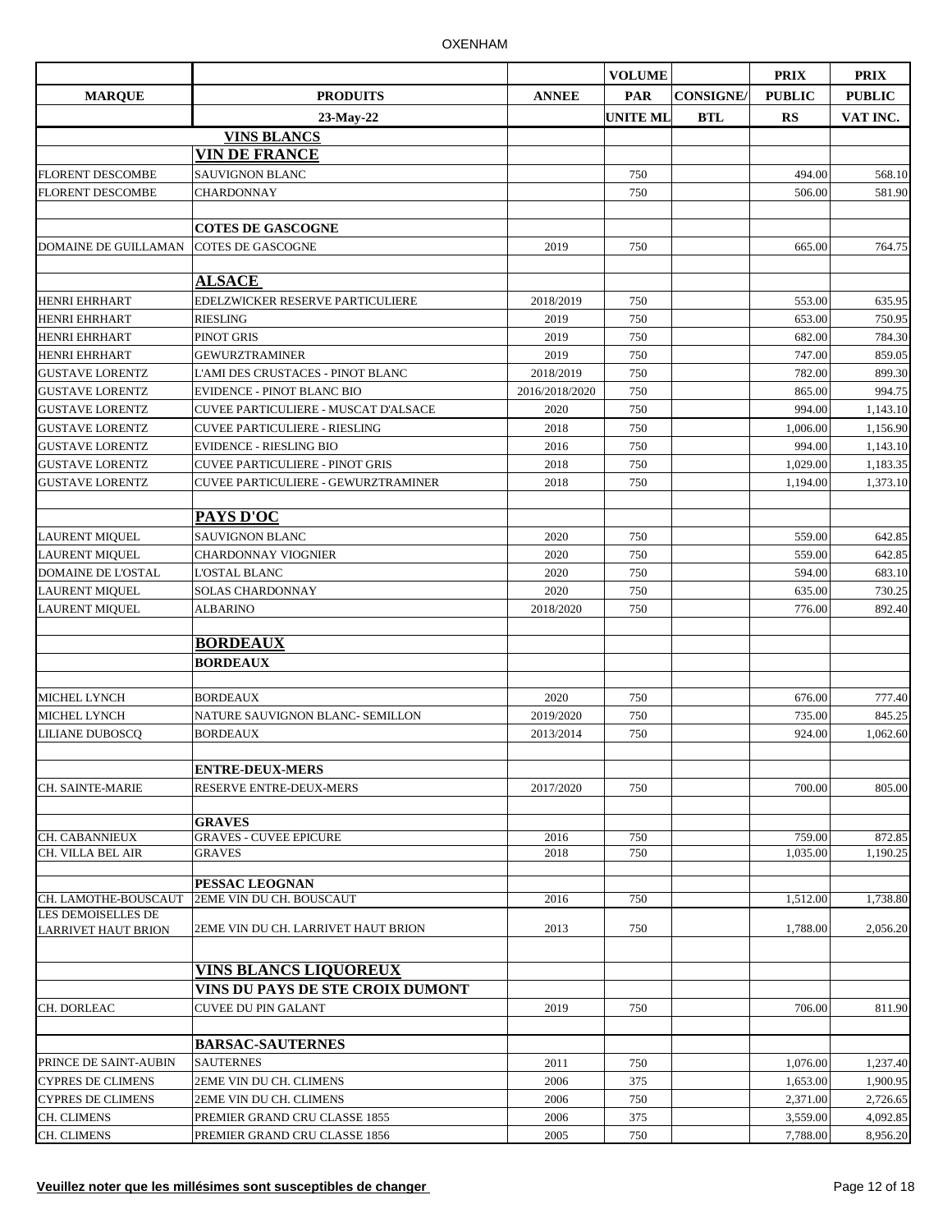|                                              |                                            |                | <b>VOLUME</b>   |                  | <b>PRIX</b>      | <b>PRIX</b>      |
|----------------------------------------------|--------------------------------------------|----------------|-----------------|------------------|------------------|------------------|
| <b>MARQUE</b>                                | <b>PRODUITS</b>                            | <b>ANNEE</b>   | <b>PAR</b>      | <b>CONSIGNE/</b> | <b>PUBLIC</b>    | <b>PUBLIC</b>    |
|                                              | 23-May-22                                  |                | <b>UNITE ML</b> | <b>BTL</b>       | <b>RS</b>        | VAT INC.         |
|                                              | <b>VINS BLANCS</b>                         |                |                 |                  |                  |                  |
|                                              | <b>VIN DE FRANCE</b>                       |                |                 |                  |                  |                  |
| <b>FLORENT DESCOMBE</b>                      | <b>SAUVIGNON BLANC</b>                     |                | 750             |                  | 494.00           | 568.10           |
| <b>FLORENT DESCOMBE</b>                      | <b>CHARDONNAY</b>                          |                | 750             |                  | 506.00           | 581.90           |
|                                              |                                            |                |                 |                  |                  |                  |
|                                              | <b>COTES DE GASCOGNE</b>                   |                |                 |                  |                  |                  |
| <b>DOMAINE DE GUILLAMAN</b>                  | <b>COTES DE GASCOGNE</b>                   | 2019           | 750             |                  | 665.00           | 764.75           |
|                                              |                                            |                |                 |                  |                  |                  |
|                                              | <b>ALSACE</b>                              |                |                 |                  |                  |                  |
| <b>HENRI EHRHART</b>                         | EDELZWICKER RESERVE PARTICULIERE           | 2018/2019      | 750             |                  | 553.00           | 635.95           |
| <b>HENRI EHRHART</b>                         | <b>RIESLING</b>                            | 2019           | 750             |                  | 653.00           | 750.95           |
| <b>HENRI EHRHART</b><br><b>HENRI EHRHART</b> | <b>PINOT GRIS</b><br><b>GEWURZTRAMINER</b> | 2019<br>2019   | 750<br>750      |                  | 682.00<br>747.00 | 784.30           |
| <b>GUSTAVE LORENTZ</b>                       | <b>L'AMI DES CRUSTACES - PINOT BLANC</b>   | 2018/2019      | 750             |                  | 782.00           | 859.05<br>899.30 |
| <b>GUSTAVE LORENTZ</b>                       | <b>EVIDENCE - PINOT BLANC BIO</b>          | 2016/2018/2020 | 750             |                  | 865.00           | 994.75           |
| <b>GUSTAVE LORENTZ</b>                       | CUVEE PARTICULIERE - MUSCAT D'ALSACE       | 2020           | 750             |                  | 994.00           | 1.143.10         |
| <b>GUSTAVE LORENTZ</b>                       | <b>CUVEE PARTICULIERE - RIESLING</b>       | 2018           | 750             |                  | 1,006.00         | 1,156.90         |
| <b>GUSTAVE LORENTZ</b>                       | <b>EVIDENCE - RIESLING BIO</b>             | 2016           | 750             |                  | 994.00           | 1,143.10         |
| <b>GUSTAVE LORENTZ</b>                       | <b>CUVEE PARTICULIERE - PINOT GRIS</b>     | 2018           | 750             |                  | 1,029.00         | 1.183.35         |
| <b>GUSTAVE LORENTZ</b>                       | <b>CUVEE PARTICULIERE - GEWURZTRAMINER</b> | 2018           | 750             |                  | 1,194.00         | 1,373.10         |
|                                              |                                            |                |                 |                  |                  |                  |
|                                              | PAYS D'OC                                  |                |                 |                  |                  |                  |
| <b>LAURENT MIQUEL</b>                        | <b>SAUVIGNON BLANC</b>                     | 2020           | 750             |                  | 559.00           | 642.85           |
| <b>LAURENT MIQUEL</b>                        | <b>CHARDONNAY VIOGNIER</b>                 | 2020           | 750             |                  | 559.00           | 642.85           |
| <b>DOMAINE DE L'OSTAL</b>                    | <b>L'OSTAL BLANC</b>                       | 2020           | 750             |                  | 594.00           | 683.10           |
| LAURENT MIQUEL                               | <b>SOLAS CHARDONNAY</b>                    | 2020           | 750             |                  | 635.00           | 730.25           |
| LAURENT MIQUEL                               | <b>ALBARINO</b>                            | 2018/2020      | 750             |                  | 776.00           | 892.40           |
|                                              |                                            |                |                 |                  |                  |                  |
|                                              | <b>BORDEAUX</b>                            |                |                 |                  |                  |                  |
|                                              | <b>BORDEAUX</b>                            |                |                 |                  |                  |                  |
| <b>MICHEL LYNCH</b>                          | <b>BORDEAUX</b>                            | 2020           | 750             |                  | 676.00           | 777.40           |
| <b>MICHEL LYNCH</b>                          | NATURE SAUVIGNON BLANC- SEMILLON           | 2019/2020      | 750             |                  | 735.00           | 845.25           |
| LILIANE DUBOSCQ                              | <b>BORDEAUX</b>                            | 2013/2014      | 750             |                  | 924.00           | 1,062.60         |
|                                              |                                            |                |                 |                  |                  |                  |
|                                              | <b>ENTRE-DEUX-MERS</b>                     |                |                 |                  |                  |                  |
| <b>CH. SAINTE-MARIE</b>                      | <b>RESERVE ENTRE-DEUX-MERS</b>             | 2017/2020      | 750             |                  | 700.00           | 805.00           |
|                                              |                                            |                |                 |                  |                  |                  |
|                                              | <b>GRAVES</b>                              |                |                 |                  |                  |                  |
| CH. CABANNIEUX                               | <b>GRAVES - CUVEE EPICURE</b>              | 2016           | 750             |                  | 759.00           | 872.85           |
| CH. VILLA BEL AIR                            | <b>GRAVES</b>                              | 2018           | 750             |                  | 1,035.00         | 1,190.25         |
|                                              | PESSAC LEOGNAN                             |                |                 |                  |                  |                  |
| CH. LAMOTHE-BOUSCAUT                         | 2EME VIN DU CH. BOUSCAUT                   | 2016           | 750             |                  | 1,512.00         | 1,738.80         |
| LES DEMOISELLES DE                           |                                            |                |                 |                  |                  |                  |
| <b>LARRIVET HAUT BRION</b>                   | 2EME VIN DU CH. LARRIVET HAUT BRION        | 2013           | 750             |                  | 1,788.00         | 2.056.20         |
|                                              |                                            |                |                 |                  |                  |                  |
|                                              | <b>VINS BLANCS LIQUOREUX</b>               |                |                 |                  |                  |                  |
|                                              | VINS DU PAYS DE STE CROIX DUMONT           |                |                 |                  |                  |                  |
| CH. DORLEAC                                  | <b>CUVEE DU PIN GALANT</b>                 | 2019           | 750             |                  | 706.00           | 811.90           |
|                                              |                                            |                |                 |                  |                  |                  |
|                                              | <b>BARSAC-SAUTERNES</b>                    |                |                 |                  |                  |                  |
| PRINCE DE SAINT-AUBIN                        | <b>SAUTERNES</b>                           | 2011           | 750             |                  | 1,076.00         | 1,237.40         |
| <b>CYPRES DE CLIMENS</b>                     | 2EME VIN DU CH. CLIMENS                    | 2006           | 375             |                  | 1,653.00         | 1,900.95         |
| <b>CYPRES DE CLIMENS</b>                     | 2EME VIN DU CH. CLIMENS                    | 2006           | 750             |                  | 2,371.00         | 2,726.65         |
| <b>CH. CLIMENS</b>                           | PREMIER GRAND CRU CLASSE 1855              | 2006           | 375             |                  | 3,559.00         | 4,092.85         |
| <b>CH. CLIMENS</b>                           | PREMIER GRAND CRU CLASSE 1856              | 2005           | 750             |                  | 7,788.00         | 8,956.20         |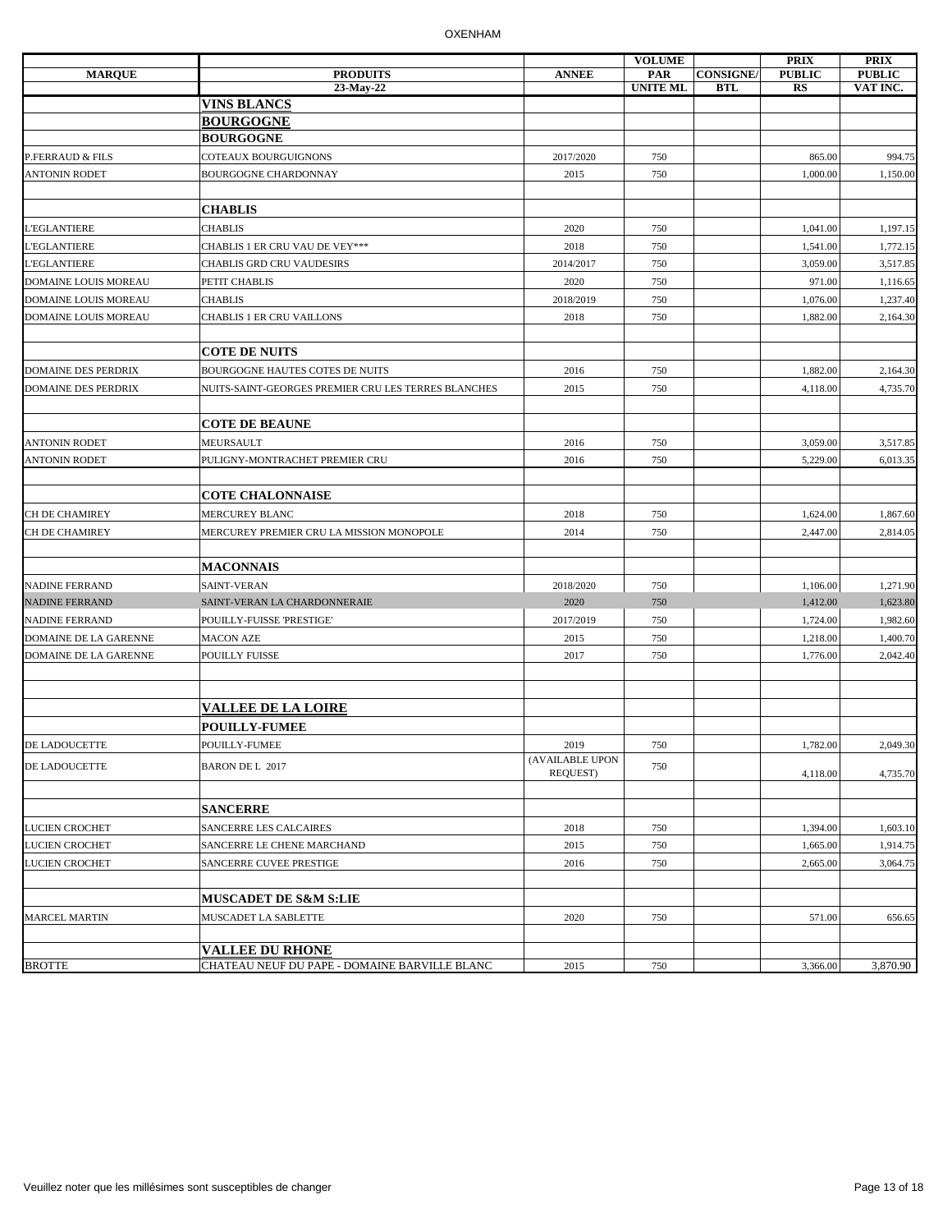|                              |                                                     |                             | <b>VOLUME</b>   |                 | <b>PRIX</b>   | <b>PRIX</b>   |
|------------------------------|-----------------------------------------------------|-----------------------------|-----------------|-----------------|---------------|---------------|
| <b>MARQUE</b>                | <b>PRODUITS</b>                                     | <b>ANNEE</b>                | <b>PAR</b>      | <b>CONSIGNE</b> | <b>PUBLIC</b> | <b>PUBLIC</b> |
|                              | 23-May-22<br><b>VINS BLANCS</b>                     |                             | <b>UNITE ML</b> | <b>BTL</b>      | RS            | VAT INC.      |
|                              | <b>BOURGOGNE</b>                                    |                             |                 |                 |               |               |
|                              | <b>BOURGOGNE</b>                                    |                             |                 |                 |               |               |
| P.FERRAUD & FILS             | COTEAUX BOURGUIGNONS                                | 2017/2020                   | 750             |                 | 865.00        | 994.75        |
| <b>ANTONIN RODET</b>         | <b>BOURGOGNE CHARDONNAY</b>                         | 2015                        | 750             |                 | 1,000.00      | 1,150.00      |
|                              |                                                     |                             |                 |                 |               |               |
|                              | <b>CHABLIS</b>                                      |                             |                 |                 |               |               |
| L'EGLANTIERE                 | <b>CHABLIS</b>                                      | 2020                        | 750             |                 |               |               |
| <b>L'EGLANTIERE</b>          |                                                     |                             | 750             |                 | 1,041.00      | 1,197.15      |
|                              | CHABLIS 1 ER CRU VAU DE VEY***                      | 2018                        |                 |                 | 1,541.00      | 1,772.15      |
| L'EGLANTIERE                 | CHABLIS GRD CRU VAUDESIRS                           | 2014/2017                   | 750             |                 | 3,059.00      | 3,517.85      |
| DOMAINE LOUIS MOREAU         | PETIT CHABLIS                                       | 2020                        | 750             |                 | 971.00        | 1,116.65      |
| <b>DOMAINE LOUIS MOREAU</b>  | <b>CHABLIS</b>                                      | 2018/2019                   | 750             |                 | 1,076.00      | 1,237.40      |
| DOMAINE LOUIS MOREAU         | CHABLIS 1 ER CRU VAILLONS                           | 2018                        | 750             |                 | 1,882.00      | 2,164.30      |
|                              |                                                     |                             |                 |                 |               |               |
|                              | <b>COTE DE NUITS</b>                                |                             |                 |                 |               |               |
| <b>DOMAINE DES PERDRIX</b>   | BOURGOGNE HAUTES COTES DE NUITS                     | 2016                        | 750             |                 | 1,882.00      | 2,164.30      |
| <b>DOMAINE DES PERDRIX</b>   | NUITS-SAINT-GEORGES PREMIER CRU LES TERRES BLANCHES | 2015                        | 750             |                 | 4,118.00      | 4,735.70      |
|                              |                                                     |                             |                 |                 |               |               |
|                              | <b>COTE DE BEAUNE</b>                               |                             |                 |                 |               |               |
| <b>ANTONIN RODET</b>         | MEURSAULT                                           | 2016                        | 750             |                 | 3,059.00      | 3,517.85      |
| <b>ANTONIN RODET</b>         | PULIGNY-MONTRACHET PREMIER CRU                      | 2016                        | 750             |                 | 5,229.00      | 6,013.35      |
|                              |                                                     |                             |                 |                 |               |               |
|                              | <b>COTE CHALONNAISE</b>                             |                             |                 |                 |               |               |
| CH DE CHAMIREY               | <b>MERCUREY BLANC</b>                               | 2018                        | 750             |                 | 1,624.00      | 1,867.60      |
| CH DE CHAMIREY               | MERCUREY PREMIER CRU LA MISSION MONOPOLE            | 2014                        | 750             |                 | 2,447.00      | 2,814.05      |
|                              |                                                     |                             |                 |                 |               |               |
|                              | <b>MACONNAIS</b>                                    |                             |                 |                 |               |               |
| <b>NADINE FERRAND</b>        | SAINT-VERAN                                         | 2018/2020                   | 750             |                 | 1,106.00      | 1,271.90      |
| <b>NADINE FERRAND</b>        | SAINT-VERAN LA CHARDONNERAIE                        | 2020                        | 750             |                 | 1,412.00      | 1,623.80      |
| <b>NADINE FERRAND</b>        | POUILLY-FUISSE 'PRESTIGE'                           | 2017/2019                   | 750             |                 | 1,724.00      | 1,982.60      |
| DOMAINE DE LA GARENNE        | <b>MACON AZE</b>                                    | 2015                        | 750             |                 | 1,218.00      | 1,400.70      |
| <b>DOMAINE DE LA GARENNE</b> | POUILLY FUISSE                                      | 2017                        | 750             |                 | 1,776.00      | 2,042.40      |
|                              |                                                     |                             |                 |                 |               |               |
|                              |                                                     |                             |                 |                 |               |               |
|                              | <b>VALLEE DE LA LOIRE</b>                           |                             |                 |                 |               |               |
|                              | <b>POUILLY-FUMEE</b>                                |                             |                 |                 |               |               |
| <b>DE LADOUCETTE</b>         | POUILLY-FUMEE                                       | 2019                        | 750             |                 | 1,782.00      | 2,049.30      |
| <b>DE LADOUCETTE</b>         | <b>BARON DE L 2017</b>                              | (AVAILABLE UPON<br>REQUEST) | 750             |                 | 4,118.00      | 4,735.70      |
|                              |                                                     |                             |                 |                 |               |               |
|                              | <b>SANCERRE</b>                                     |                             |                 |                 |               |               |
| <b>LUCIEN CROCHET</b>        |                                                     |                             | 750             |                 |               | 1,603.10      |
| <b>LUCIEN CROCHET</b>        | SANCERRE LES CALCAIRES                              | 2018                        | 750             |                 | 1,394.00      |               |
|                              | SANCERRE LE CHENE MARCHAND                          | 2015                        |                 |                 | 1,665.00      | 1,914.75      |
| <b>LUCIEN CROCHET</b>        | SANCERRE CUVEE PRESTIGE                             | 2016                        | 750             |                 | 2,665.00      | 3,064.75      |
|                              |                                                     |                             |                 |                 |               |               |
|                              | <b>MUSCADET DE S&amp;M S:LIE</b>                    |                             |                 |                 |               |               |
| <b>MARCEL MARTIN</b>         | MUSCADET LA SABLETTE                                | 2020                        | 750             |                 | 571.00        | 656.65        |
|                              | <b>VALLEE DU RHONE</b>                              |                             |                 |                 |               |               |
| <b>BROTTE</b>                | CHATEAU NEUF DU PAPE - DOMAINE BARVILLE BLANC       | 2015                        | 750             |                 | 3,366.00      | 3,870.90      |
|                              |                                                     |                             |                 |                 |               |               |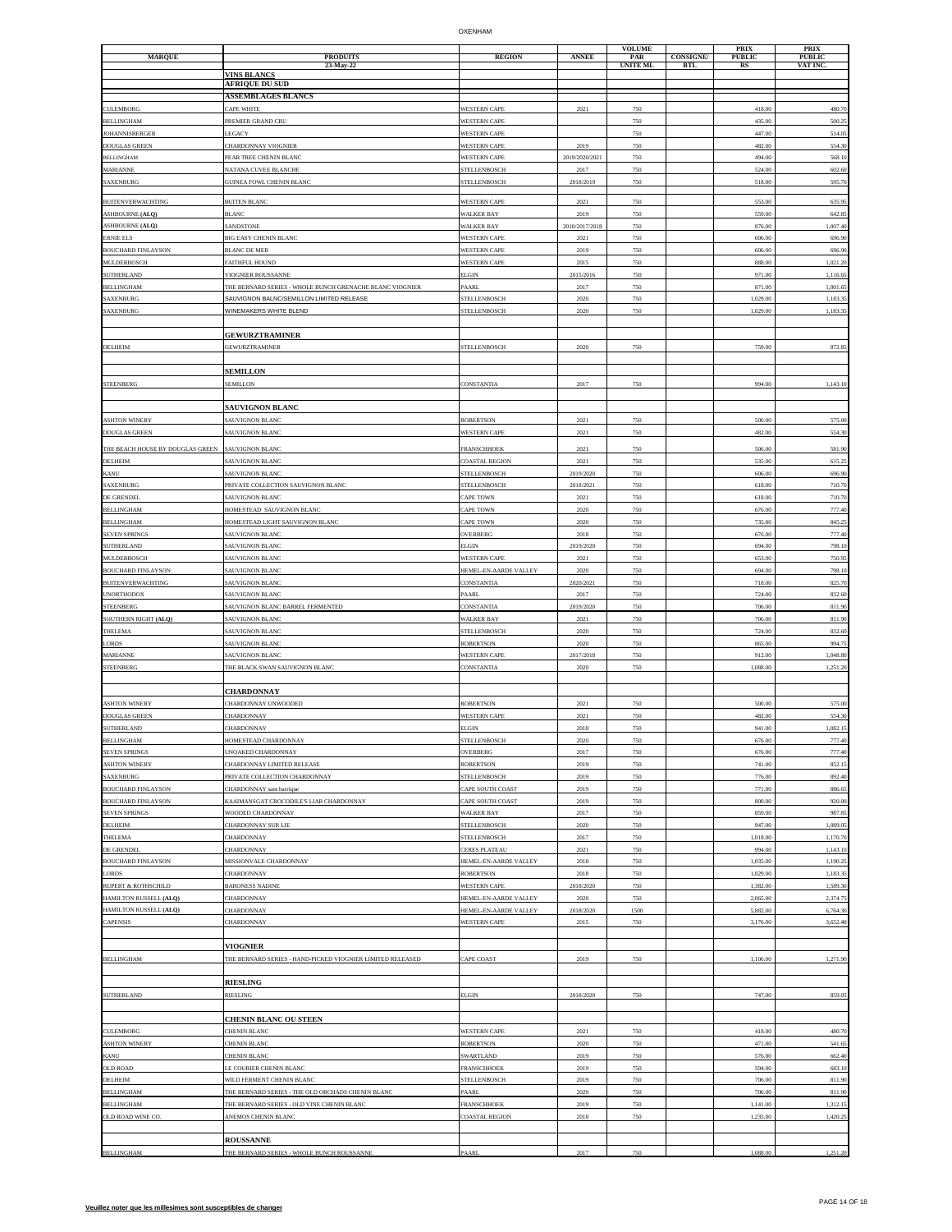| <b>MARQUE</b>                               | <b>PRODUITS</b>                                            | <b>REGION</b>                           | <b>ANNEE</b>           | <b>VOLUME</b><br>PAR | <b>CONSIGNE/</b> | <b>PRIX</b><br><b>PUBLIC</b> | PRIX<br><b>PUBLIC</b> |
|---------------------------------------------|------------------------------------------------------------|-----------------------------------------|------------------------|----------------------|------------------|------------------------------|-----------------------|
|                                             | 23-May-22                                                  |                                         |                        | <b>UNITE ML</b>      | <b>BTL</b>       | RS                           | VAT INC               |
|                                             | <b>VINS BLANCS</b><br><b>AFRIQUE DU SUD</b>                |                                         |                        |                      |                  |                              |                       |
|                                             | <b>ASSEMBLAGES BLANCS</b>                                  |                                         |                        |                      |                  |                              |                       |
| CULEMBORG                                   | CAPE WHITE                                                 | WESTERN CAPE                            | 2021                   | 750                  |                  | 418.00                       | 480.7                 |
| <b>BELLINGHAM</b>                           | PREMIER GRAND CRU                                          | WESTERN CAPE                            |                        | 750                  |                  | 435.00                       | 500.2                 |
| <b>JOHANNISBERGER</b>                       | LEGACY                                                     | <b>WESTERN CAPE</b>                     |                        | 750                  |                  | 447.00                       | 514.0                 |
| DOUGLAS GREEN                               | CHARDONNAY VIOGNIER                                        | <b>WESTERN CAPE</b>                     | 2019                   | 750                  |                  | 482.00                       | 554.3                 |
| <b>BELLINGHAM</b><br>MARIANNE               | PEAR TREE CHENIN BLANC<br>NATANA CUVEE BLANCHE             | <b>WESTERN CAPE</b><br>STELLENBOSCH     | 2019/2020/2021<br>2017 | 750<br>750           |                  | 494.00<br>524.00             | 568.1<br>602.6        |
| SAXENBURG                                   | <b>GUINEA FOWL CHENIN BLANC</b>                            | <b>STELLENBOSCH</b>                     | 2018/2019              | 750                  |                  | 518.00                       | 595.7                 |
|                                             |                                                            |                                         |                        |                      |                  |                              |                       |
| <b>BUITENVERWACHTING</b>                    | <b>BUITEN BLANC</b>                                        | <b>WESTERN CAPE</b>                     | 2021                   | 750                  |                  | 553.00                       | 635.9                 |
| <b>ASHBOURNE (ALQ)</b>                      | <b>BLANC</b>                                               | <b>WALKER BAY</b><br><b>WALKER BAY</b>  | 2019                   | 750                  |                  | 559.00                       | 642.8                 |
| ASHBOURNE (ALQ)<br><b>ERNIE ELS</b>         | SANDSTONE<br><b>BIG EASY CHENIN BLANC</b>                  | <b>WESTERN CAPE</b>                     | 2010/2017/2018<br>2021 | 750<br>750           |                  | 876.00<br>606.00             | 1,007.4<br>696.9      |
| <b>BOUCHARD FINLAYSON</b>                   | <b>BLANC DE MER</b>                                        | WESTERN CAPE                            | 2019                   | 750                  |                  | 606.00                       | 696.9                 |
| MULDERBOSCH                                 | FAITHFUL HOUND                                             | <b>WESTERN CAPE</b>                     | 2015                   | 750                  |                  | 888.00                       | 1,021.2               |
| SUTHERLAND                                  | <b>VIOGNIER ROUSSANNE</b>                                  | ELGIN                                   | 2015/2016              | 750                  |                  | 971.00                       | 1,116.6               |
| <b>BELLINGHAM</b>                           | THE BERNARD SERIES - WHOLE BUNCH GRENACHE BLANC VIOGNIER   | PAARL                                   | 2017                   | 750                  |                  | 871.00                       | 1,001.6               |
| SAXENBURG                                   | SAUVIGNON BALNC/SEMILLON LIMITED RELEASE                   | STELLENBOSCH                            | 2020                   | 750                  |                  | 1,029.00                     | 1,183.3               |
| SAXENBURG                                   | WINEMAKERS WHITE BLEND                                     | STELLENBOSCH                            | 2020                   | 750                  |                  | 1,029.00                     | 1,183.3               |
|                                             | <b>GEWURZTRAMINER</b>                                      |                                         |                        |                      |                  |                              |                       |
| DELHEIM                                     | <b>GEWURZTRAMINER</b>                                      | STELLENBOSCH                            | 2020                   | 750                  |                  | 759.00                       | 872.8                 |
|                                             |                                                            |                                         |                        |                      |                  |                              |                       |
|                                             | <b>SEMILLON</b>                                            |                                         |                        |                      |                  |                              |                       |
| STEENBERG                                   | <b>SEMILLON</b>                                            | CONSTANTIA                              | 2017                   | 750                  |                  | 994.00                       | 1,143.10              |
|                                             |                                                            |                                         |                        |                      |                  |                              |                       |
| <b>ASHTON WINERY</b>                        | <b>SAUVIGNON BLANC</b>                                     |                                         |                        |                      |                  |                              |                       |
| <b>DOUGLAS GREEN</b>                        | <b>SAUVIGNON BLANC</b><br><b>SAUVIGNON BLANC</b>           | <b>ROBERTSON</b><br>WESTERN CAPE        | 2021<br>2021           | 750<br>750           |                  | 500.00<br>482.00             | 575.0<br>554.3        |
|                                             |                                                            |                                         |                        |                      |                  |                              |                       |
| THE BEACH HOUSE BY DOUGLAS GREEN<br>DELHEIM | <b>SAUVIGNON BLANC</b><br>AUVIGNON BLANC                   | FRANSCHHOEK<br>COASTAL REGION           | 2021<br>2021           | 750<br>750           |                  | 506.00<br>535.00             | 581.90<br>615.2       |
| KANU                                        | SAUVIGNON BLANC                                            | STELLENBOSCH                            | 2019/2020              | 750                  |                  | 606.00                       | 696.90                |
| SAXENBURG                                   | PRIVATE COLLECTION SAUVIGNON BLANC                         | STELLENBOSCH                            | 2018/2021              | 750                  |                  | 618.00                       | 710.7                 |
| DE GRENDEL                                  | SAUVIGNON BLANC                                            | CAPE TOWN                               | 2021                   | 750                  |                  | 618.00                       | 710.7                 |
| <b>BELLINGHAM</b>                           | HOMESTEAD SAUVIGNON BLANC                                  | <b>CAPE TOWN</b>                        | 2020                   | 750                  |                  | 676.00                       | 777.4                 |
| <b>BELLINGHAM</b>                           | HOMESTEAD LIGHT SAUVIGNON BLANC                            | APE TOWN                                | 2020                   | 750                  |                  | 735.00                       | 845.2                 |
| <b>SEVEN SPRINGS</b>                        | <b>SAUVIGNON BLANC</b>                                     | OVERBERG                                | 2018                   | 750                  |                  | 676.00                       | 777.4                 |
| SUTHERLAND                                  | <b>SAUVIGNON BLANC</b>                                     | ELGIN                                   | 2019/2020              | 750                  |                  | 694.00                       | 798.1                 |
| MULDERBOSCH<br><b>BOUCHARD FINLAYSON</b>    | <b>AUVIGNON BLANC</b><br>SAUVIGNON BLANC                   | WESTERN CAPE<br>HEMEL-EN-AARDE VALLEY   | 2021<br>2020           | 750<br>750           |                  | 653.00<br>694.00             | 750.9<br>798.1        |
| <b>BUITENVERWACHTING</b>                    | AUVIGNON BLANC                                             | CONSTANTIA                              | 2020/2021              | 750                  |                  | 718.00                       | 825.7                 |
| <b>UNORTHODOX</b>                           | SAUVIGNON BLANC                                            | <b>PAARL</b>                            | 2017                   | 750                  |                  | 724.00                       | 832.6                 |
| STEENBERG                                   | <b>SAUVIGNON BLANC BARREL FERMENTED</b>                    | CONSTANTIA                              | 2019/2020              | 750                  |                  | 706.00                       | 811.9                 |
| SOUTHERN RIGHT (ALQ)                        | SAUVIGNON BLANC                                            | <b>WALKER BAY</b>                       | 2021                   | 750                  |                  | 706.00                       | 811.9                 |
| THELEMA                                     | <b>SAUVIGNON BLANC</b>                                     | STELLENBOSCH                            | 2020                   | 750                  |                  | 724.00                       | 832.6                 |
| <b>ORDS</b>                                 | <b>AUVIGNON BLANC</b>                                      | ROBERTSON                               | 2020                   | 750                  |                  | 865.00                       | 994.7                 |
| <b>MARIANNE</b><br>STEENBERG                | SAUVIGNON BLANC<br>THE BLACK SWAN SAUVIGNON BLANC          | <b>WESTERN CAPE</b><br>CONSTANTIA       | 2017/2018<br>2020      | 750<br>750           |                  | 912.00<br>1,088.00           | 1,048.8<br>1,251.2    |
|                                             |                                                            |                                         |                        |                      |                  |                              |                       |
|                                             | <b>CHARDONNAY</b>                                          |                                         |                        |                      |                  |                              |                       |
| <b>ASHTON WINERY</b>                        | <b>HARDONNAY UNWOODED</b>                                  | ROBERTSON                               | 2021                   | 750                  |                  | 500.00                       | 575.0                 |
| <b>DOUGLAS GREEN</b>                        | CHARDONNAY                                                 | <b>WESTERN CAPE</b>                     | 2021                   | 750                  |                  | 482.00                       | 554.3                 |
| <b>SUTHERLAND</b>                           | <b>HARDONNAY</b>                                           | ELGIN                                   | 2018                   | 750                  |                  | 941.00                       | 1,082.1               |
| <b>BELLINGHAM</b>                           | <b>JOMESTEAD CHARDONNAY</b>                                | <b>STELLENBOSCH</b>                     | 2020                   | 750                  |                  | 676.00                       | 777.4                 |
| SEVEN SPRINGS<br><b>ASHTON WINERY</b>       | JNOAKED CHARDONNAY<br>HARDONNAY LIMITED RELEASE            | OVERBERG<br>ROBERTSON                   | 2017<br>2019           | 750<br>750           |                  | 676.00<br>741.00             | 777.4<br>852.1        |
| <b>SAXENBURG</b>                            | PRIVATE COLLECTION CHARDONNAY                              | STELLENBOSCH                            | 2019                   | 750                  |                  | 776.00                       | 892.40                |
| <b>BOUCHARD FINLAYSON</b>                   | CHARDONNAY sans barrique                                   | CAPE SOUTH COAST                        | 2019                   | 750                  |                  | 771.00                       | 886.6                 |
| <b>BOUCHARD FINLAYSON</b>                   | KAAIMANSGAT CROCODILE'S LIAR CHARDONNAY                    | CAPE SOUTH COAST                        | 2019                   | 750                  |                  | 800.00                       | 920.00                |
| <b>SEVEN SPRINGS</b>                        | WOODED CHARDONNAY                                          | <b>WALKER BAY</b>                       | 2017                   | 750                  |                  | 859.00                       | 987.8                 |
| DELHEIM                                     | CHARDONNAY SUR LIE                                         | STELLENBOSCH                            | 2020                   | 750                  |                  | 947.00                       | 1,089.0               |
| THELEMA<br>DE GRENDEL                       | CHARDONNAY                                                 | <b>STELLENBOSCH</b>                     | 2017                   | 750                  |                  | 1,018.00<br>994.00           | 1,170.7               |
| <b>BOUCHARD FINLAYSON</b>                   | CHARDONNAY<br>MISSIONVALE CHARDONNAY                       | CERES PLATEAU<br>HEMEL-EN-AARDE VALLEY  | 2021<br>2018           | 750<br>750           |                  | 1,035.00                     | 1,143.1<br>1,190.2    |
| <b>ORDS</b>                                 | CHARDONNAY                                                 | <b>ROBERTSON</b>                        | 2018                   | 750                  |                  | 1,029.00                     | 1,183.3               |
| RUPERT & ROTHSCHILD                         | <b>BARONESS NADINE</b>                                     | <b>WESTERN CAPE</b>                     | 2018/2020              | 750                  |                  | 1,382.00                     | 1,589.3               |
| HAMILTON RUSSELL (ALQ)                      | CHARDONNAY                                                 | HEMEL-EN-AARDE VALLEY                   | 2020                   | 750                  |                  | 2,065.00                     | 2,374.7               |
| HAMILTON RUSSELL (ALQ)                      | CHARDONNAY                                                 | HEMEL-EN-AARDE VALLEY                   | 2018/2020              | 1500                 |                  | 5,882.00                     | 6,764.3               |
| CAPENSIS                                    | CHARDONNAY                                                 | <b>WESTERN CAPE</b>                     | 2015                   | 750                  |                  | 3,176.00                     | 3,652.4               |
|                                             | <b>VIOGNIER</b>                                            |                                         |                        |                      |                  |                              |                       |
| <b>BELLINGHAM</b>                           | THE BERNARD SERIES - HAND-PICKED VIOGNIER LIMITED RELEASED | CAPE COAST                              | 2019                   | 750                  |                  | 1,106.00                     | 1,271.9               |
|                                             |                                                            |                                         |                        |                      |                  |                              |                       |
|                                             | <b>RIESLING</b>                                            |                                         |                        |                      |                  |                              |                       |
| <b>SUTHERLAND</b>                           | RIESLING                                                   | ELGIN                                   | 2018/2020              | 750                  |                  | 747.00                       | 859.05                |
|                                             |                                                            |                                         |                        |                      |                  |                              |                       |
|                                             | <b>CHENIN BLANC OU STEEN</b>                               |                                         |                        |                      |                  |                              |                       |
| CULEMBORG<br><b>ASHTON WINERY</b>           | <b>CHENIN BLANC</b><br>CHENIN BLANC                        | <b>WESTERN CAPE</b><br><b>ROBERTSON</b> | 2021<br>2020           | 750<br>750           |                  | 418.00<br>471.00             | 480.7<br>541.65       |
| KANU                                        | <b>CHENIN BLANC</b>                                        | <b>SWARTLAND</b>                        | 2019                   | 750                  |                  | 576.00                       | 662.40                |
| <b>DLD ROAD</b>                             | <b>E COURIER CHENIN BLANC</b>                              | FRANSCHHOEK                             | 2019                   | 750                  |                  | 594.00                       | 683.1                 |
| DELHEIM                                     | WILD FERMENT CHENIN BLANC                                  | STELLENBOSCH                            | 2019                   | 750                  |                  | 706.00                       | 811.90                |
| <b>BELLINGHAM</b>                           | THE BERNARD SERIES - THE OLD ORCHADS CHENIN BLANC          | PAARL                                   | 2020                   | 750                  |                  | 706.00                       | 811.9                 |
| BELLINGHAM                                  | THE BERNARD SERIES - OLD VINE CHENIN BLANC                 | FRANSCHHOEK                             | 2019                   | 750                  |                  | 1,141.00                     | 1,312.1               |
| OLD ROAD WINE CO.                           | ANEMOS CHENIN BLANC                                        | <b>COASTAL REGION</b>                   | 2018                   | 750                  |                  | 1,235.00                     | 1,420.2               |
|                                             | <b>ROUSSANNE</b>                                           |                                         |                        |                      |                  |                              |                       |
| <b>BELLINGHAM</b>                           | THE BERNARD SERIES - WHOLE BUNCH ROUSSANNE                 | PAARI                                   | 2017                   | 750                  |                  | 1,088.00                     | 1,251.20              |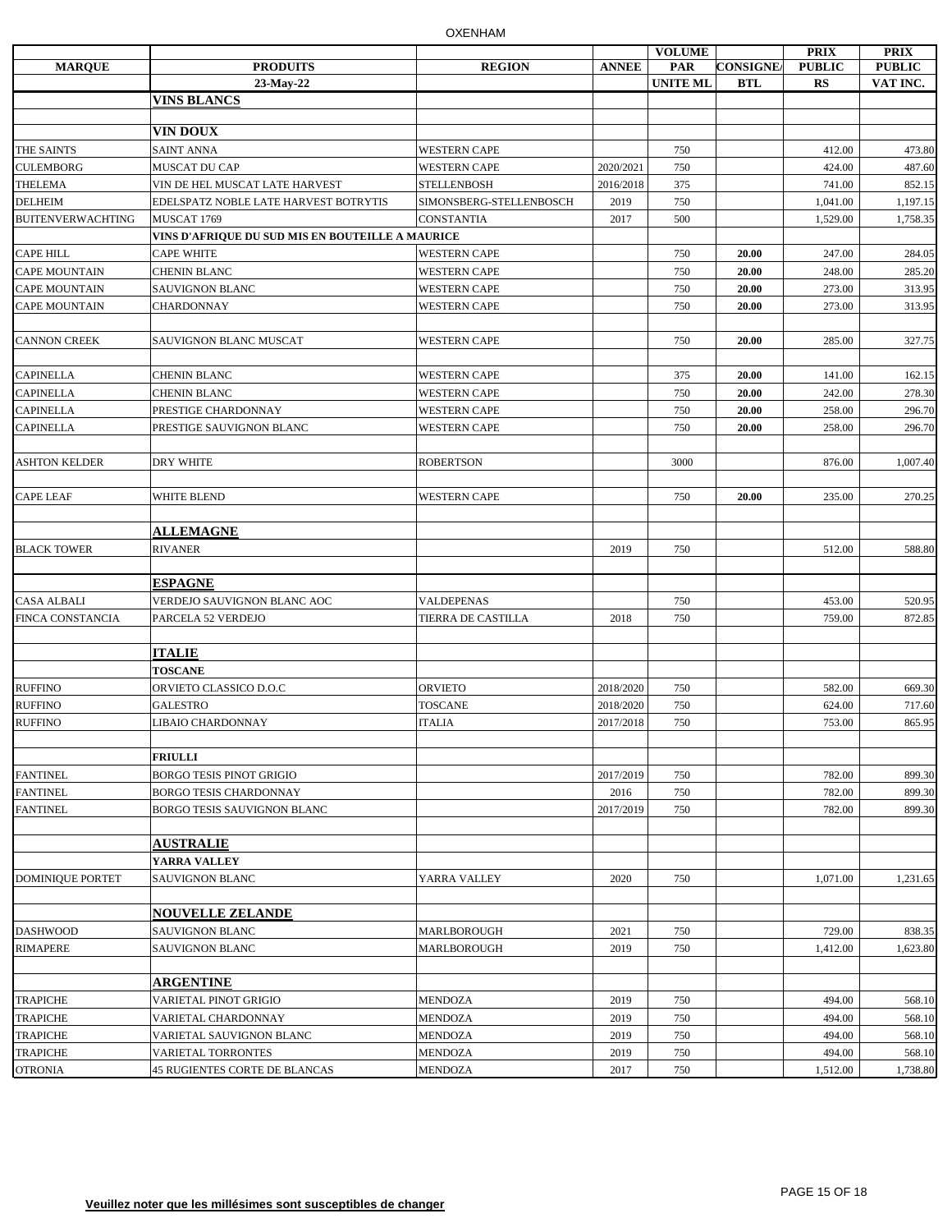|                          |                                                  |                         |              | <b>VOLUME</b>   |                 | <b>PRIX</b>   | <b>PRIX</b>   |
|--------------------------|--------------------------------------------------|-------------------------|--------------|-----------------|-----------------|---------------|---------------|
| <b>MARQUE</b>            | <b>PRODUITS</b>                                  | <b>REGION</b>           | <b>ANNEE</b> | PAR             | <b>CONSIGNE</b> | <b>PUBLIC</b> | <b>PUBLIC</b> |
|                          | 23-May-22                                        |                         |              | <b>UNITE ML</b> | <b>BTL</b>      | RS            | VAT INC.      |
|                          | <b>VINS BLANCS</b>                               |                         |              |                 |                 |               |               |
|                          | VIN DOUX                                         |                         |              |                 |                 |               |               |
| THE SAINTS               | <b>SAINT ANNA</b>                                | <b>WESTERN CAPE</b>     |              | 750             |                 | 412.00        | 473.80        |
| <b>CULEMBORG</b>         | MUSCAT DU CAP                                    | <b>WESTERN CAPE</b>     | 2020/2021    | 750             |                 | 424.00        | 487.60        |
| <b>THELEMA</b>           | VIN DE HEL MUSCAT LATE HARVEST                   | <b>STELLENBOSH</b>      | 2016/2018    | 375             |                 | 741.00        | 852.15        |
| <b>DELHEIM</b>           | EDELSPATZ NOBLE LATE HARVEST BOTRYTIS            | SIMONSBERG-STELLENBOSCH | 2019         | 750             |                 | 1,041.00      | 1,197.15      |
| <b>BUITENVERWACHTING</b> | MUSCAT 1769                                      | <b>CONSTANTIA</b>       | 2017         | 500             |                 | 1,529.00      | 1,758.35      |
|                          | VINS D'AFRIQUE DU SUD MIS EN BOUTEILLE A MAURICE |                         |              |                 |                 |               |               |
| <b>CAPE HILL</b>         | <b>CAPE WHITE</b>                                | <b>WESTERN CAPE</b>     |              | 750             | 20.00           | 247.00        | 284.05        |
| <b>CAPE MOUNTAIN</b>     | <b>CHENIN BLANC</b>                              | <b>WESTERN CAPE</b>     |              | 750             | 20.00           | 248.00        | 285.20        |
| <b>CAPE MOUNTAIN</b>     | SAUVIGNON BLANC                                  | <b>WESTERN CAPE</b>     |              | 750             | 20.00           | 273.00        | 313.95        |
| <b>CAPE MOUNTAIN</b>     | CHARDONNAY                                       | <b>WESTERN CAPE</b>     |              | 750             | 20.00           | 273.00        | 313.95        |
|                          |                                                  |                         |              |                 |                 |               |               |
| <b>CANNON CREEK</b>      | SAUVIGNON BLANC MUSCAT                           | <b>WESTERN CAPE</b>     |              | 750             | 20.00           | 285.00        | 327.75        |
|                          |                                                  |                         |              |                 |                 |               |               |
| <b>CAPINELLA</b>         | <b>CHENIN BLANC</b>                              | <b>WESTERN CAPE</b>     |              | 375             | 20.00           | 141.00        | 162.15        |
| <b>CAPINELLA</b>         | <b>CHENIN BLANC</b>                              | <b>WESTERN CAPE</b>     |              | 750             | 20.00           | 242.00        | 278.30        |
| <b>CAPINELLA</b>         | PRESTIGE CHARDONNAY                              | <b>WESTERN CAPE</b>     |              | 750             | 20.00           | 258.00        | 296.70        |
| <b>CAPINELLA</b>         | PRESTIGE SAUVIGNON BLANC                         | <b>WESTERN CAPE</b>     |              | 750             | 20.00           | 258.00        | 296.70        |
|                          |                                                  |                         |              |                 |                 |               |               |
| <b>ASHTON KELDER</b>     | DRY WHITE                                        | <b>ROBERTSON</b>        |              | 3000            |                 | 876.00        | 1,007.40      |
|                          |                                                  |                         |              |                 |                 |               |               |
| <b>CAPE LEAF</b>         | WHITE BLEND                                      | <b>WESTERN CAPE</b>     |              | 750             | 20.00           | 235.00        | 270.25        |
|                          |                                                  |                         |              |                 |                 |               |               |
|                          | <b>ALLEMAGNE</b>                                 |                         |              |                 |                 |               |               |
| <b>BLACK TOWER</b>       | <b>RIVANER</b>                                   |                         | 2019         | 750             |                 | 512.00        | 588.80        |
|                          |                                                  |                         |              |                 |                 |               |               |
|                          | <b>ESPAGNE</b>                                   |                         |              |                 |                 |               |               |
| <b>CASA ALBALI</b>       | VERDEJO SAUVIGNON BLANC AOC                      | <b>VALDEPENAS</b>       |              | 750             |                 | 453.00        | 520.95        |
| FINCA CONSTANCIA         | PARCELA 52 VERDEJO                               | TIERRA DE CASTILLA      | 2018         | 750             |                 | 759.00        | 872.85        |
|                          |                                                  |                         |              |                 |                 |               |               |
|                          | <b>ITALIE</b>                                    |                         |              |                 |                 |               |               |
|                          | <b>TOSCANE</b>                                   |                         |              |                 |                 |               |               |
| <b>RUFFINO</b>           | ORVIETO CLASSICO D.O.C                           | <b>ORVIETO</b>          | 2018/2020    | 750             |                 | 582.00        | 669.30        |
| <b>RUFFINO</b>           | <b>GALESTRO</b>                                  | TOSCANE                 | 2018/2020    | 750             |                 | 624.00        | 717.60        |
| <b>RUFFINO</b>           | LIBAIO CHARDONNAY                                | <b>ITALIA</b>           | 2017/2018    | 750             |                 | 753.00        | 865.95        |
|                          |                                                  |                         |              |                 |                 |               |               |
|                          | <b>FRIULLI</b>                                   |                         |              |                 |                 |               |               |
| <b>FANTINEL</b>          | <b>BORGO TESIS PINOT GRIGIO</b>                  |                         | 2017/2019    | 750             |                 | 782.00        | 899.30        |
| <b>FANTINEL</b>          | BORGO TESIS CHARDONNAY                           |                         | 2016         | 750             |                 | 782.00        | 899.30        |
| <b>FANTINEL</b>          | BORGO TESIS SAUVIGNON BLANC                      |                         | 2017/2019    | 750             |                 | 782.00        | 899.30        |
|                          |                                                  |                         |              |                 |                 |               |               |
|                          | <b>AUSTRALIE</b>                                 |                         |              |                 |                 |               |               |
|                          | YARRA VALLEY                                     |                         |              |                 |                 |               |               |
| <b>DOMINIQUE PORTET</b>  | SAUVIGNON BLANC                                  | YARRA VALLEY            | 2020         | 750             |                 | 1,071.00      | 1,231.65      |
|                          |                                                  |                         |              |                 |                 |               |               |
|                          | <b>NOUVELLE ZELANDE</b>                          |                         |              |                 |                 |               |               |
| <b>DASHWOOD</b>          | SAUVIGNON BLANC                                  | MARLBOROUGH             | 2021         | 750             |                 | 729.00        | 838.35        |
| <b>RIMAPERE</b>          | <b>SAUVIGNON BLANC</b>                           | <b>MARLBOROUGH</b>      | 2019         | 750             |                 | 1,412.00      | 1,623.80      |
|                          |                                                  |                         |              |                 |                 |               |               |
|                          | <b>ARGENTINE</b>                                 |                         |              |                 |                 |               |               |
| <b>TRAPICHE</b>          | VARIETAL PINOT GRIGIO                            | <b>MENDOZA</b>          | 2019         | 750             |                 | 494.00        | 568.10        |
| <b>TRAPICHE</b>          | VARIETAL CHARDONNAY                              | <b>MENDOZA</b>          | 2019         | 750             |                 | 494.00        | 568.10        |
| <b>TRAPICHE</b>          | VARIETAL SAUVIGNON BLANC                         | <b>MENDOZA</b>          | 2019         | 750             |                 | 494.00        | 568.10        |
| <b>TRAPICHE</b>          | VARIETAL TORRONTES                               | MENDOZA                 | 2019         | 750             |                 | 494.00        | 568.10        |
| <b>OTRONIA</b>           | 45 RUGIENTES CORTE DE BLANCAS                    | <b>MENDOZA</b>          | 2017         | 750             |                 | 1,512.00      | 1,738.80      |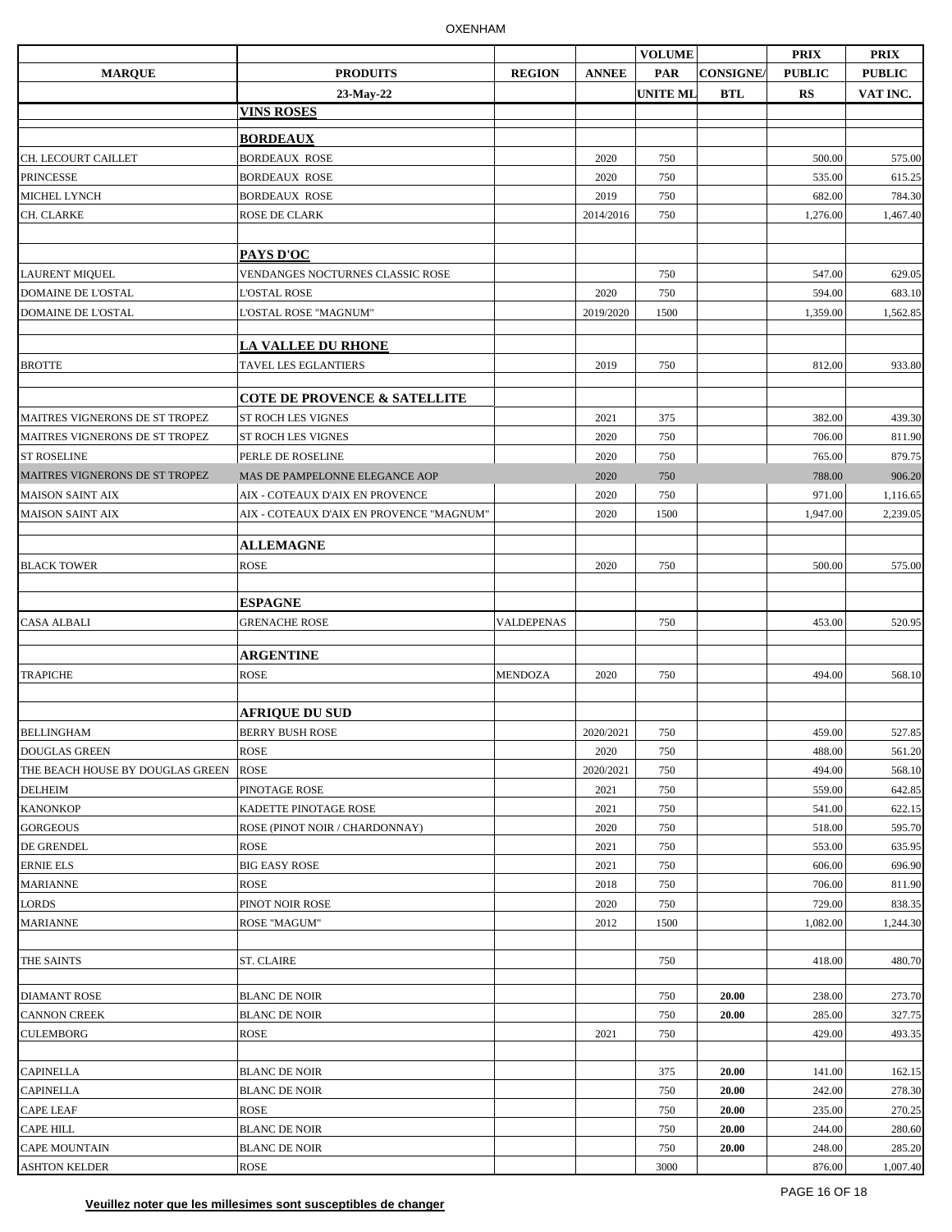|                                  |                                          |                   |              | <b>VOLUME</b>   |                 | <b>PRIX</b>   | <b>PRIX</b>   |
|----------------------------------|------------------------------------------|-------------------|--------------|-----------------|-----------------|---------------|---------------|
| <b>MARQUE</b>                    | <b>PRODUITS</b>                          | <b>REGION</b>     | <b>ANNEE</b> | <b>PAR</b>      | <b>CONSIGNE</b> | <b>PUBLIC</b> | <b>PUBLIC</b> |
|                                  | 23-May-22                                |                   |              | <b>UNITE MI</b> | <b>BTL</b>      | RS            | VAT INC.      |
|                                  | <b>VINS ROSES</b>                        |                   |              |                 |                 |               |               |
|                                  | <b>BORDEAUX</b>                          |                   |              |                 |                 |               |               |
| CH. LECOURT CAILLET              | <b>BORDEAUX ROSE</b>                     |                   | 2020         | 750             |                 | 500.00        | 575.00        |
| <b>PRINCESSE</b>                 | <b>BORDEAUX ROSE</b>                     |                   | 2020         | 750             |                 | 535.00        |               |
|                                  |                                          |                   |              |                 |                 |               | 615.25        |
| <b>MICHEL LYNCH</b>              | <b>BORDEAUX ROSE</b>                     |                   | 2019         | 750             |                 | 682.00        | 784.30        |
| CH. CLARKE                       | ROSE DE CLARK                            |                   | 2014/2016    | 750             |                 | 1,276.00      | 1,467.40      |
|                                  |                                          |                   |              |                 |                 |               |               |
|                                  | PAYS D'OC                                |                   |              |                 |                 |               |               |
| <b>LAURENT MIQUEL</b>            | VENDANGES NOCTURNES CLASSIC ROSE         |                   |              | 750             |                 | 547.00        | 629.05        |
| <b>DOMAINE DE L'OSTAL</b>        | <b>L'OSTAL ROSE</b>                      |                   | 2020         | 750             |                 | 594.00        | 683.10        |
| DOMAINE DE L'OSTAL               | L'OSTAL ROSE "MAGNUM"                    |                   | 2019/2020    | 1500            |                 | 1,359.00      | 1,562.85      |
|                                  | <b>LA VALLEE DU RHONE</b>                |                   |              |                 |                 |               |               |
| <b>BROTTE</b>                    | TAVEL LES EGLANTIERS                     |                   | 2019         | 750             |                 | 812.00        | 933.80        |
|                                  |                                          |                   |              |                 |                 |               |               |
|                                  | <b>COTE DE PROVENCE &amp; SATELLITE</b>  |                   |              |                 |                 |               |               |
| MAITRES VIGNERONS DE ST TROPEZ   | <b>ST ROCH LES VIGNES</b>                |                   | 2021         | 375             |                 | 382.00        | 439.30        |
| MAITRES VIGNERONS DE ST TROPEZ   | ST ROCH LES VIGNES                       |                   | 2020         | 750             |                 | 706.00        | 811.90        |
| <b>ST ROSELINE</b>               | PERLE DE ROSELINE                        |                   | 2020         | 750             |                 | 765.00        | 879.75        |
| MAITRES VIGNERONS DE ST TROPEZ   | MAS DE PAMPELONNE ELEGANCE AOP           |                   | 2020         | 750             |                 | 788.00        | 906.20        |
|                                  |                                          |                   |              |                 |                 | 971.00        |               |
| <b>MAISON SAINT AIX</b>          | AIX - COTEAUX D'AIX EN PROVENCE          |                   | 2020         | 750             |                 |               | 1,116.65      |
| <b>MAISON SAINT AIX</b>          | AIX - COTEAUX D'AIX EN PROVENCE "MAGNUM" |                   | 2020         | 1500            |                 | 1,947.00      | 2,239.05      |
|                                  | <b>ALLEMAGNE</b>                         |                   |              |                 |                 |               |               |
| <b>BLACK TOWER</b>               | <b>ROSE</b>                              |                   | 2020         | 750             |                 | 500.00        | 575.00        |
|                                  |                                          |                   |              |                 |                 |               |               |
|                                  | <b>ESPAGNE</b>                           |                   |              |                 |                 |               |               |
| <b>CASA ALBALI</b>               | <b>GRENACHE ROSE</b>                     | <b>VALDEPENAS</b> |              | 750             |                 | 453.00        | 520.95        |
|                                  |                                          |                   |              |                 |                 |               |               |
|                                  | <b>ARGENTINE</b>                         |                   |              |                 |                 |               |               |
| <b>TRAPICHE</b>                  | <b>ROSE</b>                              | <b>MENDOZA</b>    | 2020         | 750             |                 | 494.00        | 568.10        |
|                                  |                                          |                   |              |                 |                 |               |               |
|                                  | <b>AFRIQUE DU SUD</b>                    |                   |              |                 |                 |               |               |
| <b>BELLINGHAM</b>                | <b>BERRY BUSH ROSE</b>                   |                   | 2020/2021    | 750             |                 | 459.00        | 527.85        |
| <b>DOUGLAS GREEN</b>             | <b>ROSE</b>                              |                   | 2020         | 750             |                 | 488.00        | 561.20        |
| THE BEACH HOUSE BY DOUGLAS GREEN | <b>ROSE</b>                              |                   | 2020/2021    | 750             |                 | 494.00        | 568.10        |
| <b>DELHEIM</b>                   | PINOTAGE ROSE                            |                   | 2021         | 750             |                 | 559.00        | 642.85        |
| <b>KANONKOP</b>                  | KADETTE PINOTAGE ROSE                    |                   | 2021         | 750             |                 | 541.00        | 622.15        |
| <b>GORGEOUS</b>                  | ROSE (PINOT NOIR / CHARDONNAY)           |                   | 2020         | 750             |                 | 518.00        | 595.70        |
| DE GRENDEL                       | <b>ROSE</b>                              |                   | 2021         | 750             |                 | 553.00        | 635.95        |
| <b>ERNIE ELS</b>                 | <b>BIG EASY ROSE</b>                     |                   | 2021         | 750             |                 | 606.00        | 696.90        |
|                                  | <b>ROSE</b>                              |                   |              |                 |                 |               |               |
| <b>MARIANNE</b>                  |                                          |                   | 2018         | 750             |                 | 706.00        | 811.90        |
| <b>LORDS</b>                     | PINOT NOIR ROSE                          |                   | 2020         | 750             |                 | 729.00        | 838.35        |
| <b>MARIANNE</b>                  | ROSE "MAGUM"                             |                   | 2012         | 1500            |                 | 1,082.00      | 1,244.30      |
|                                  |                                          |                   |              |                 |                 |               |               |
| THE SAINTS                       | <b>ST. CLAIRE</b>                        |                   |              | 750             |                 | 418.00        | 480.70        |
| <b>DIAMANT ROSE</b>              | <b>BLANC DE NOIR</b>                     |                   |              | 750             | 20.00           | 238.00        | 273.70        |
| <b>CANNON CREEK</b>              | <b>BLANC DE NOIR</b>                     |                   |              | 750             | 20.00           | 285.00        | 327.75        |
| <b>CULEMBORG</b>                 | <b>ROSE</b>                              |                   | 2021         |                 |                 |               |               |
|                                  |                                          |                   |              | 750             |                 | 429.00        | 493.35        |
|                                  |                                          |                   |              |                 |                 |               |               |
| <b>CAPINELLA</b>                 | <b>BLANC DE NOIR</b>                     |                   |              | 375             | 20.00           | 141.00        | 162.15        |
| <b>CAPINELLA</b>                 | <b>BLANC DE NOIR</b>                     |                   |              | 750             | 20.00           | 242.00        | 278.30        |
| <b>CAPE LEAF</b>                 | <b>ROSE</b>                              |                   |              | 750             | 20.00           | 235.00        | 270.25        |
| CAPE HILL                        | <b>BLANC DE NOIR</b>                     |                   |              | 750             | 20.00           | 244.00        | 280.60        |
| <b>CAPE MOUNTAIN</b>             | <b>BLANC DE NOIR</b>                     |                   |              | 750             | 20.00           | 248.00        | 285.20        |
| <b>ASHTON KELDER</b>             | ROSE                                     |                   |              | 3000            |                 | 876.00        | 1,007.40      |